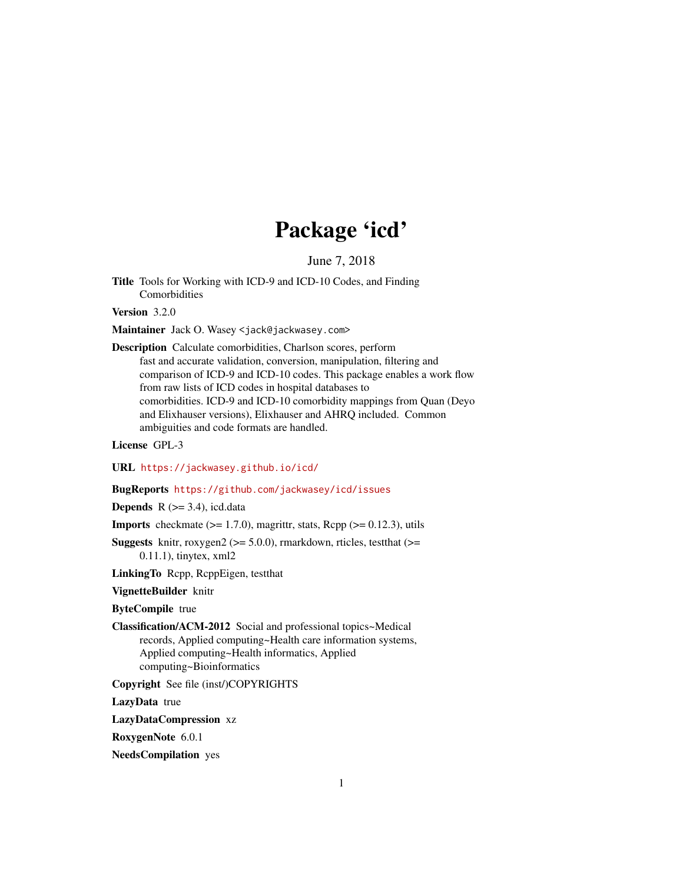# Package 'icd'

June 7, 2018

<span id="page-0-0"></span>Title Tools for Working with ICD-9 and ICD-10 Codes, and Finding Comorbidities

Version 3.2.0

Maintainer Jack O. Wasey <jack@jackwasey.com>

Description Calculate comorbidities, Charlson scores, perform fast and accurate validation, conversion, manipulation, filtering and comparison of ICD-9 and ICD-10 codes. This package enables a work flow from raw lists of ICD codes in hospital databases to comorbidities. ICD-9 and ICD-10 comorbidity mappings from Quan (Deyo and Elixhauser versions), Elixhauser and AHRQ included. Common ambiguities and code formats are handled.

License GPL-3

URL <https://jackwasey.github.io/icd/>

#### BugReports <https://github.com/jackwasey/icd/issues>

**Depends** R  $(>= 3.4)$ , icd.data

**Imports** checkmate  $(>= 1.7.0)$ , magrittr, stats, Rcpp  $(>= 0.12.3)$ , utils

**Suggests** knitr, roxygen2 ( $>=$  5.0.0), rmarkdown, rticles, test that ( $>=$ 0.11.1), tinytex, xml2

LinkingTo Rcpp, RcppEigen, testthat

VignetteBuilder knitr

ByteCompile true

Classification/ACM-2012 Social and professional topics~Medical records, Applied computing~Health care information systems, Applied computing~Health informatics, Applied computing~Bioinformatics

Copyright See file (inst/)COPYRIGHTS

LazyData true

LazyDataCompression xz

RoxygenNote 6.0.1

NeedsCompilation yes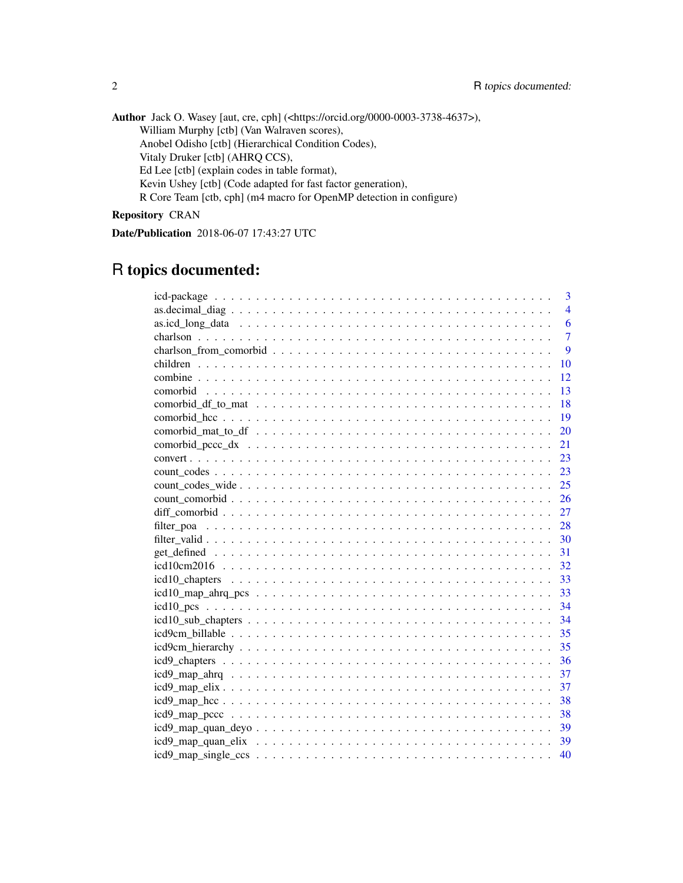Author Jack O. Wasey [aut, cre, cph] (<https://orcid.org/0000-0003-3738-4637>), William Murphy [ctb] (Van Walraven scores), Anobel Odisho [ctb] (Hierarchical Condition Codes), Vitaly Druker [ctb] (AHRQ CCS), Ed Lee [ctb] (explain codes in table format), Kevin Ushey [ctb] (Code adapted for fast factor generation), R Core Team [ctb, cph] (m4 macro for OpenMP detection in configure)

Repository CRAN

Date/Publication 2018-06-07 17:43:27 UTC

## R topics documented:

| 3              |
|----------------|
| $\overline{4}$ |
| 6              |
| $\overline{7}$ |
| 9              |
| 10             |
| 12             |
| 13             |
| 18             |
| 19             |
| 20             |
| 21             |
| 23             |
| 23             |
| 25             |
| 26             |
| 27             |
| 28             |
| 30             |
| 31             |
| 32             |
| 33             |
|                |
|                |
| 34             |
| 35             |
| 35             |
| 36             |
| 37             |
| 37             |
| -38            |
| 38             |
|                |
|                |
| 40             |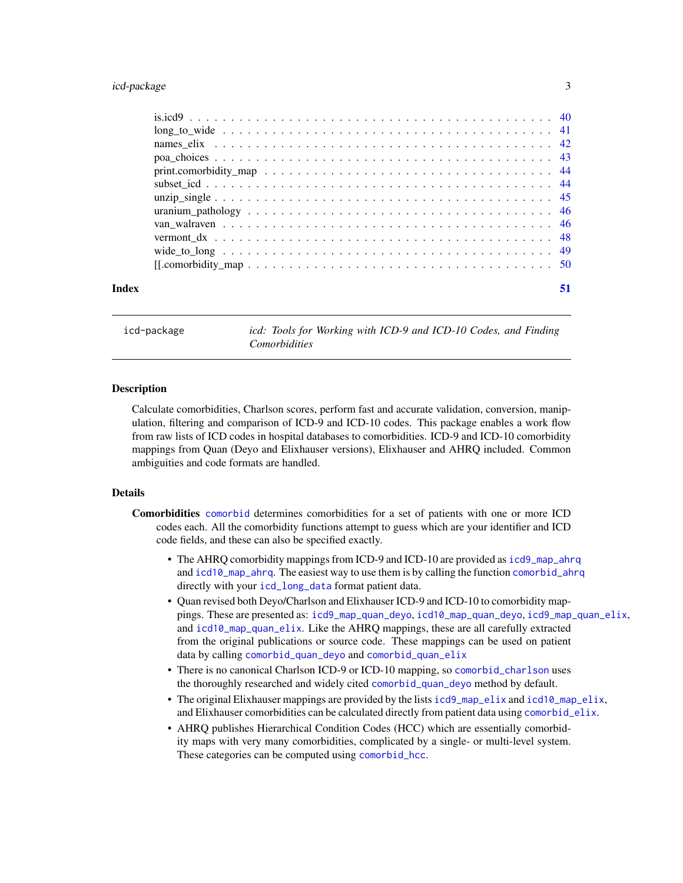#### <span id="page-2-0"></span>icd-package 3

| Index | 51 |
|-------|----|
|       |    |
|       |    |
|       |    |
|       |    |
|       |    |
|       |    |
|       |    |
|       |    |
|       |    |
|       |    |
|       |    |
|       |    |

icd-package *icd: Tools for Working with ICD-9 and ICD-10 Codes, and Finding Comorbidities*

#### **Description**

Calculate comorbidities, Charlson scores, perform fast and accurate validation, conversion, manipulation, filtering and comparison of ICD-9 and ICD-10 codes. This package enables a work flow from raw lists of ICD codes in hospital databases to comorbidities. ICD-9 and ICD-10 comorbidity mappings from Quan (Deyo and Elixhauser versions), Elixhauser and AHRQ included. Common ambiguities and code formats are handled.

#### Details

- Comorbidities [comorbid](#page-12-1) determines comorbidities for a set of patients with one or more ICD codes each. All the comorbidity functions attempt to guess which are your identifier and ICD code fields, and these can also be specified exactly.
	- The AHRQ comorbidity mappings from ICD-9 and ICD-10 are provided as [icd9\\_map\\_ahrq](#page-36-1) and [icd10\\_map\\_ahrq](#page-36-2). The easiest way to use them is by calling the function [comorbid\\_ahrq](#page-12-2) directly with your [icd\\_long\\_data](#page-5-1) format patient data.
	- Quan revised both Deyo/Charlson and Elixhauser ICD-9 and ICD-10 to comorbidity mappings. These are presented as: [icd9\\_map\\_quan\\_deyo](#page-38-1), [icd10\\_map\\_quan\\_deyo](#page-38-2), [icd9\\_map\\_quan\\_elix](#page-38-3), and [icd10\\_map\\_quan\\_elix](#page-38-4). Like the AHRQ mappings, these are all carefully extracted from the original publications or source code. These mappings can be used on patient data by calling [comorbid\\_quan\\_deyo](#page-12-2) and [comorbid\\_quan\\_elix](#page-12-2)
	- There is no canonical Charlson ICD-9 or ICD-10 mapping, so [comorbid\\_charlson](#page-12-2) uses the thoroughly researched and widely cited [comorbid\\_quan\\_deyo](#page-12-2) method by default.
	- The original Elixhauser mappings are provided by the lists [icd9\\_map\\_elix](#page-36-3) and [icd10\\_map\\_elix](#page-36-4), and Elixhauser comorbidities can be calculated directly from patient data using [comorbid\\_elix](#page-12-2).
	- AHRQ publishes Hierarchical Condition Codes (HCC) which are essentially comorbidity maps with very many comorbidities, complicated by a single- or multi-level system. These categories can be computed using [comorbid\\_hcc](#page-18-1).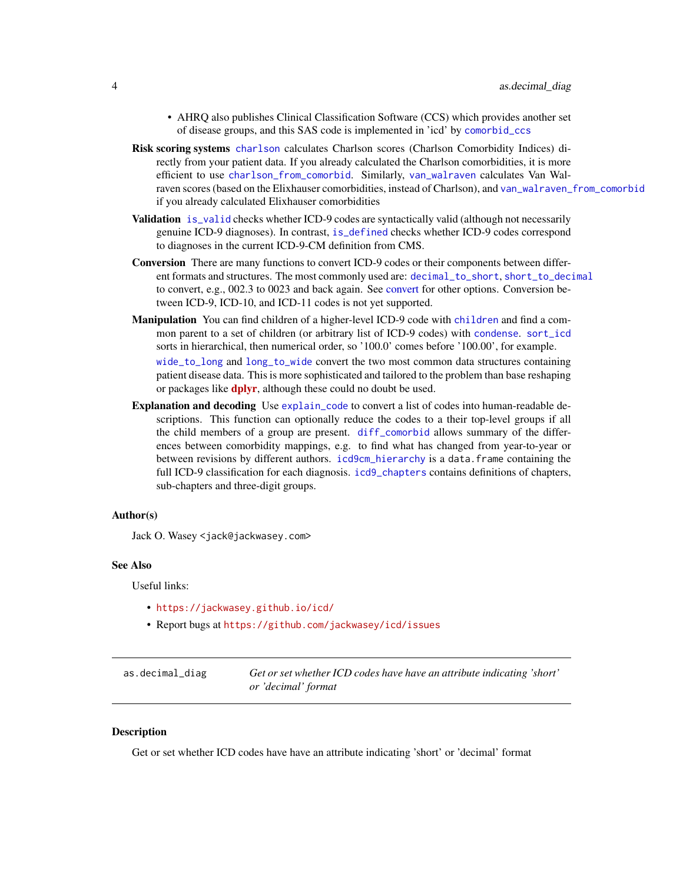- <span id="page-3-0"></span>• AHRQ also publishes Clinical Classification Software (CCS) which provides another set of disease groups, and this SAS code is implemented in 'icd' by [comorbid\\_ccs](#page-12-2)
- Risk scoring systems [charlson](#page-6-1) calculates Charlson scores (Charlson Comorbidity Indices) directly from your patient data. If you already calculated the Charlson comorbidities, it is more efficient to use [charlson\\_from\\_comorbid](#page-8-1). Similarly, [van\\_walraven](#page-45-1) calculates Van Walraven scores (based on the Elixhauser comorbidities, instead of Charlson), and [van\\_walraven\\_from\\_comorbid](#page-45-2) if you already calculated Elixhauser comorbidities
- Validation [is\\_valid](#page-0-0) checks whether ICD-9 codes are syntactically valid (although not necessarily genuine ICD-9 diagnoses). In contrast, [is\\_defined](#page-0-0) checks whether ICD-9 codes correspond to diagnoses in the current ICD-9-CM definition from CMS.
- Conversion There are many functions to convert ICD-9 codes or their components between different formats and structures. The most commonly used are: [decimal\\_to\\_short](#page-0-0), [short\\_to\\_decimal](#page-0-0) to convert, e.g., 002.3 to 0023 and back again. See [convert](#page-22-1) for other options. Conversion between ICD-9, ICD-10, and ICD-11 codes is not yet supported.
- Manipulation You can find [children](#page-9-1) of a higher-level ICD-9 code with children and find a common parent to a set of children (or arbitrary list of ICD-9 codes) with [condense](#page-0-0). [sort\\_icd](#page-0-0) sorts in hierarchical, then numerical order, so '100.0' comes before '100.00', for example. [wide\\_to\\_long](#page-48-1) and [long\\_to\\_wide](#page-40-1) convert the two most common data structures containing patient disease data. This is more sophisticated and tailored to the problem than base reshaping or packages like **[dplyr](https://CRAN.R-project.org/package=dplyr)**, although these could no doubt be used.
- Explanation and decoding Use [explain\\_code](#page-0-0) to convert a list of codes into human-readable descriptions. This function can optionally reduce the codes to a their top-level groups if all the child members of a group are present. [diff\\_comorbid](#page-26-1) allows summary of the differences between comorbidity mappings, e.g. to find what has changed from year-to-year or between revisions by different authors. [icd9cm\\_hierarchy](#page-34-1) is a data.frame containing the full ICD-9 classification for each diagnosis. [icd9\\_chapters](#page-35-1) contains definitions of chapters, sub-chapters and three-digit groups.

#### Author(s)

Jack O. Wasey <jack@jackwasey.com>

#### See Also

Useful links:

- <https://jackwasey.github.io/icd/>
- Report bugs at <https://github.com/jackwasey/icd/issues>

| as.decimal_diag | Get or set whether ICD codes have have an attribute indicating 'short' |
|-----------------|------------------------------------------------------------------------|
|                 | or 'decimal' format                                                    |

#### Description

Get or set whether ICD codes have have an attribute indicating 'short' or 'decimal' format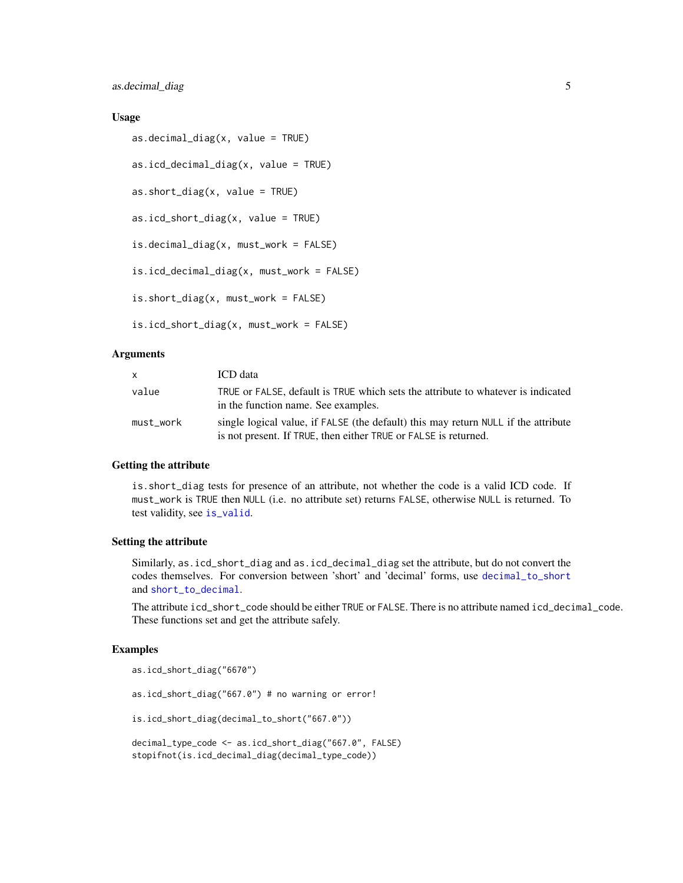#### <span id="page-4-0"></span>Usage

```
as.decimal_diag(x, value = TRUE)
as.icd_decimal_diag(x, value = TRUE)
as.short\_diag(x, value = TRUE)as.icd_short_diag(x, value = TRUE)
is.decimal_diag(x, must_work = FALSE)
is.icd_decimal_diag(x, must_work = FALSE)
is.short_diag(x, must_work = FALSE)
is.icd_short_diag(x, must_work = FALSE)
```
#### Arguments

| $\mathsf{x}$ | ICD data                                                                                                                                              |
|--------------|-------------------------------------------------------------------------------------------------------------------------------------------------------|
| value        | TRUE or FALSE, default is TRUE which sets the attribute to whatever is indicated<br>in the function name. See examples.                               |
| must work    | single logical value, if FALSE (the default) this may return NULL if the attribute<br>is not present. If TRUE, then either TRUE or FALSE is returned. |

#### Getting the attribute

is.short\_diag tests for presence of an attribute, not whether the code is a valid ICD code. If must\_work is TRUE then NULL (i.e. no attribute set) returns FALSE, otherwise NULL is returned. To test validity, see [is\\_valid](#page-0-0).

#### Setting the attribute

Similarly, as.icd\_short\_diag and as.icd\_decimal\_diag set the attribute, but do not convert the codes themselves. For conversion between 'short' and 'decimal' forms, use [decimal\\_to\\_short](#page-0-0) and [short\\_to\\_decimal](#page-0-0).

The attribute icd\_short\_code should be either TRUE or FALSE. There is no attribute named icd\_decimal\_code. These functions set and get the attribute safely.

#### Examples

```
as.icd_short_diag("6670")
as.icd_short_diag("667.0") # no warning or error!
is.icd_short_diag(decimal_to_short("667.0"))
decimal_type_code <- as.icd_short_diag("667.0", FALSE)
stopifnot(is.icd_decimal_diag(decimal_type_code))
```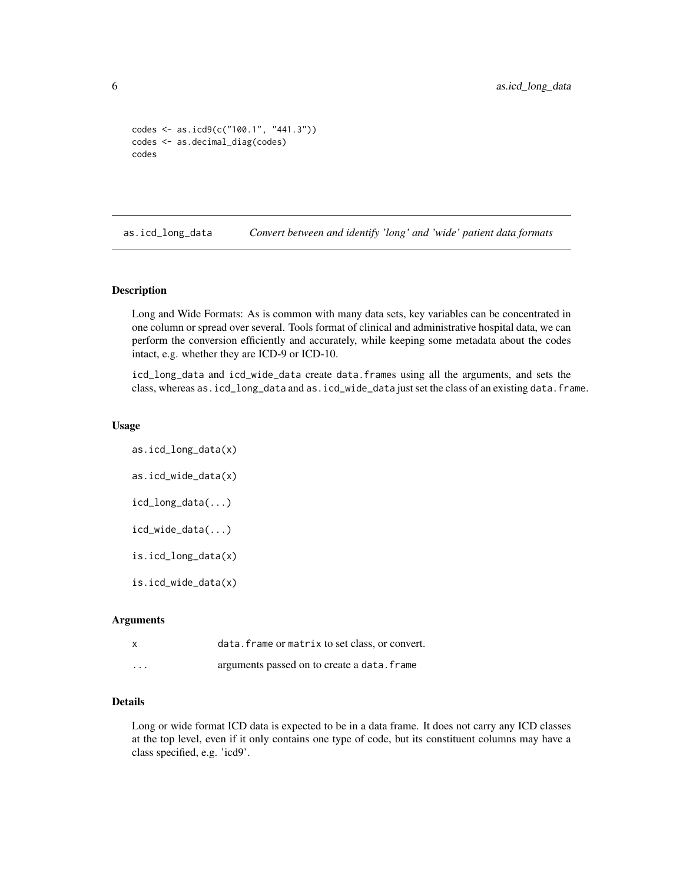```
codes <- as.icd9(c("100.1", "441.3"))
codes <- as.decimal_diag(codes)
codes
```
<span id="page-5-2"></span>as.icd\_long\_data *Convert between and identify 'long' and 'wide' patient data formats*

#### <span id="page-5-1"></span>Description

Long and Wide Formats: As is common with many data sets, key variables can be concentrated in one column or spread over several. Tools format of clinical and administrative hospital data, we can perform the conversion efficiently and accurately, while keeping some metadata about the codes intact, e.g. whether they are ICD-9 or ICD-10.

icd\_long\_data and icd\_wide\_data create data.frames using all the arguments, and sets the class, whereas as.icd\_long\_data and as.icd\_wide\_data just set the class of an existing data.frame.

#### Usage

as.icd\_long\_data(x) as.icd\_wide\_data(x) icd\_long\_data(...) icd\_wide\_data(...) is.icd\_long\_data(x) is.icd\_wide\_data(x)

#### Arguments

|          | data. frame or matrix to set class, or convert. |
|----------|-------------------------------------------------|
| $\cdots$ | arguments passed on to create a data. frame     |

#### Details

Long or wide format ICD data is expected to be in a data frame. It does not carry any ICD classes at the top level, even if it only contains one type of code, but its constituent columns may have a class specified, e.g. 'icd9'.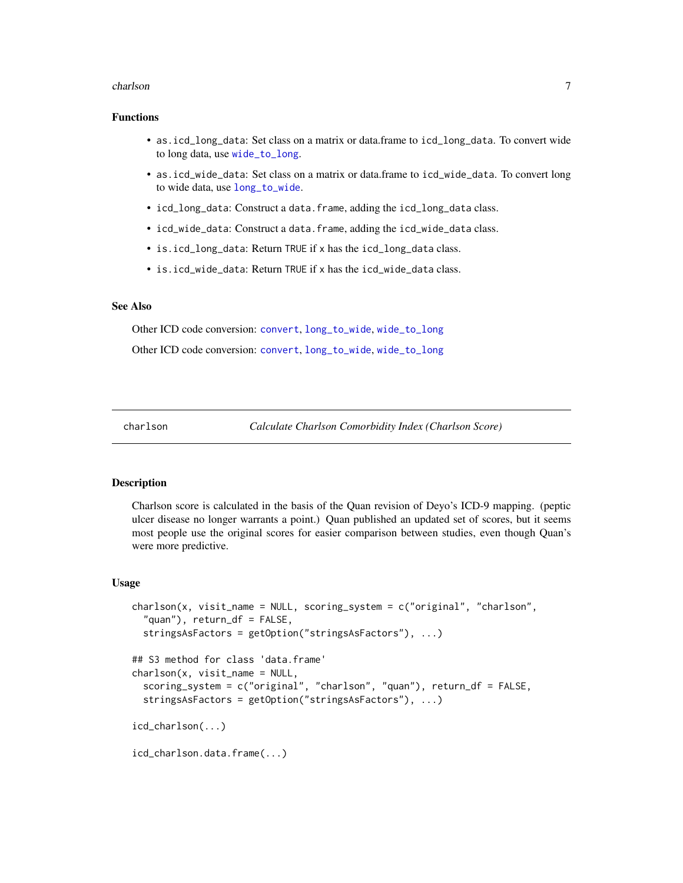#### <span id="page-6-0"></span>charlson 7

#### Functions

- as.icd\_long\_data: Set class on a matrix or data.frame to icd\_long\_data. To convert wide to long data, use [wide\\_to\\_long](#page-48-1).
- as.icd\_wide\_data: Set class on a matrix or data.frame to icd\_wide\_data. To convert long to wide data, use [long\\_to\\_wide](#page-40-1).
- icd\_long\_data: Construct a data.frame, adding the icd\_long\_data class.
- icd\_wide\_data: Construct a data.frame, adding the icd\_wide\_data class.
- is.icd\_long\_data: Return TRUE if x has the icd\_long\_data class.
- is.icd\_wide\_data: Return TRUE if x has the icd\_wide\_data class.

#### See Also

Other ICD code conversion: [convert](#page-22-1), [long\\_to\\_wide](#page-40-1), [wide\\_to\\_long](#page-48-1) Other ICD code conversion: [convert](#page-22-1), [long\\_to\\_wide](#page-40-1), [wide\\_to\\_long](#page-48-1)

<span id="page-6-1"></span>

charlson *Calculate Charlson Comorbidity Index (Charlson Score)*

#### Description

Charlson score is calculated in the basis of the Quan revision of Deyo's ICD-9 mapping. (peptic ulcer disease no longer warrants a point.) Quan published an updated set of scores, but it seems most people use the original scores for easier comparison between studies, even though Quan's were more predictive.

#### Usage

```
charlson(x, visit_name = NULL, scoring_system = c("original", "charlson",""quan"), return_df = FALSE,
  stringsAsFactors = getOption("stringsAsFactors"), ...)
## S3 method for class 'data.frame'
charlson(x, visit_name = NULL,
  scoring_system = c("original", "charlson", "quan"), return_df = FALSE,
  stringsAsFactors = getOption("stringsAsFactors"), ...)
icd_charlson(...)
icd_charlson.data.frame(...)
```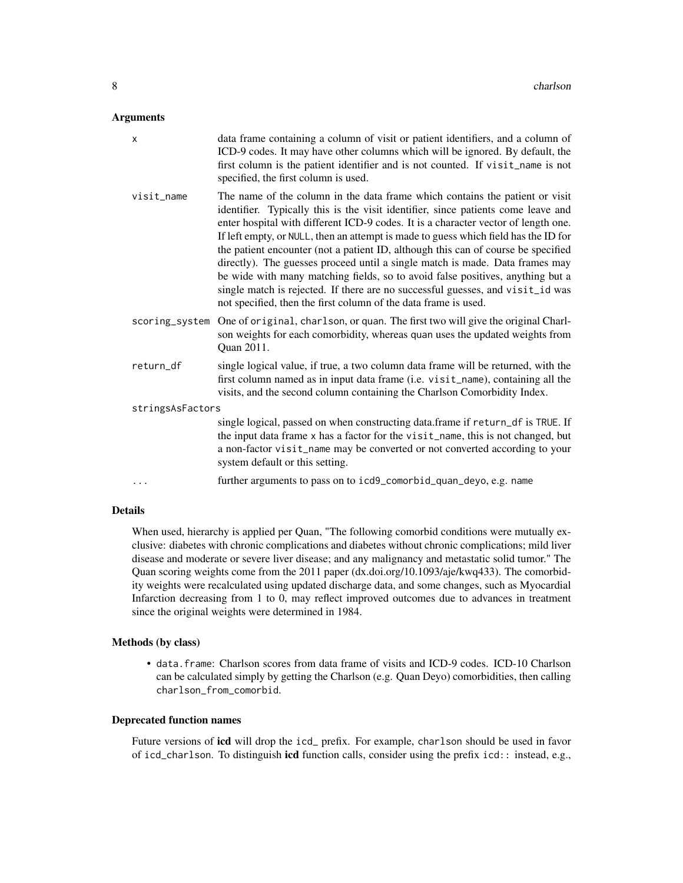#### Arguments

| X                | data frame containing a column of visit or patient identifiers, and a column of<br>ICD-9 codes. It may have other columns which will be ignored. By default, the<br>first column is the patient identifier and is not counted. If visit_name is not<br>specified, the first column is used.                                                                                                                                                                                                                                                                                                                                                                                                                                                                |  |
|------------------|------------------------------------------------------------------------------------------------------------------------------------------------------------------------------------------------------------------------------------------------------------------------------------------------------------------------------------------------------------------------------------------------------------------------------------------------------------------------------------------------------------------------------------------------------------------------------------------------------------------------------------------------------------------------------------------------------------------------------------------------------------|--|
| visit_name       | The name of the column in the data frame which contains the patient or visit<br>identifier. Typically this is the visit identifier, since patients come leave and<br>enter hospital with different ICD-9 codes. It is a character vector of length one.<br>If left empty, or NULL, then an attempt is made to guess which field has the ID for<br>the patient encounter (not a patient ID, although this can of course be specified<br>directly). The guesses proceed until a single match is made. Data frames may<br>be wide with many matching fields, so to avoid false positives, anything but a<br>single match is rejected. If there are no successful guesses, and visit_id was<br>not specified, then the first column of the data frame is used. |  |
| scoring_system   | One of original, charlson, or quan. The first two will give the original Charl-<br>son weights for each comorbidity, whereas quan uses the updated weights from<br>Quan 2011.                                                                                                                                                                                                                                                                                                                                                                                                                                                                                                                                                                              |  |
| return_df        | single logical value, if true, a two column data frame will be returned, with the<br>first column named as in input data frame (i.e. visit_name), containing all the<br>visits, and the second column containing the Charlson Comorbidity Index.                                                                                                                                                                                                                                                                                                                                                                                                                                                                                                           |  |
| stringsAsFactors |                                                                                                                                                                                                                                                                                                                                                                                                                                                                                                                                                                                                                                                                                                                                                            |  |
|                  | single logical, passed on when constructing data.frame if return_df is TRUE. If<br>the input data frame x has a factor for the visit_name, this is not changed, but<br>a non-factor visit_name may be converted or not converted according to your<br>system default or this setting.                                                                                                                                                                                                                                                                                                                                                                                                                                                                      |  |
|                  |                                                                                                                                                                                                                                                                                                                                                                                                                                                                                                                                                                                                                                                                                                                                                            |  |

#### Details

When used, hierarchy is applied per Quan, "The following comorbid conditions were mutually exclusive: diabetes with chronic complications and diabetes without chronic complications; mild liver disease and moderate or severe liver disease; and any malignancy and metastatic solid tumor." The Quan scoring weights come from the 2011 paper (dx.doi.org/10.1093/aje/kwq433). The comorbidity weights were recalculated using updated discharge data, and some changes, such as Myocardial Infarction decreasing from 1 to 0, may reflect improved outcomes due to advances in treatment since the original weights were determined in 1984.

#### Methods (by class)

• data.frame: Charlson scores from data frame of visits and ICD-9 codes. ICD-10 Charlson can be calculated simply by getting the Charlson (e.g. Quan Deyo) comorbidities, then calling charlson\_from\_comorbid.

#### Deprecated function names

Future versions of icd will drop the icd\_ prefix. For example, charlson should be used in favor of icd\_charlson. To distinguish icd function calls, consider using the prefix icd:: instead, e.g.,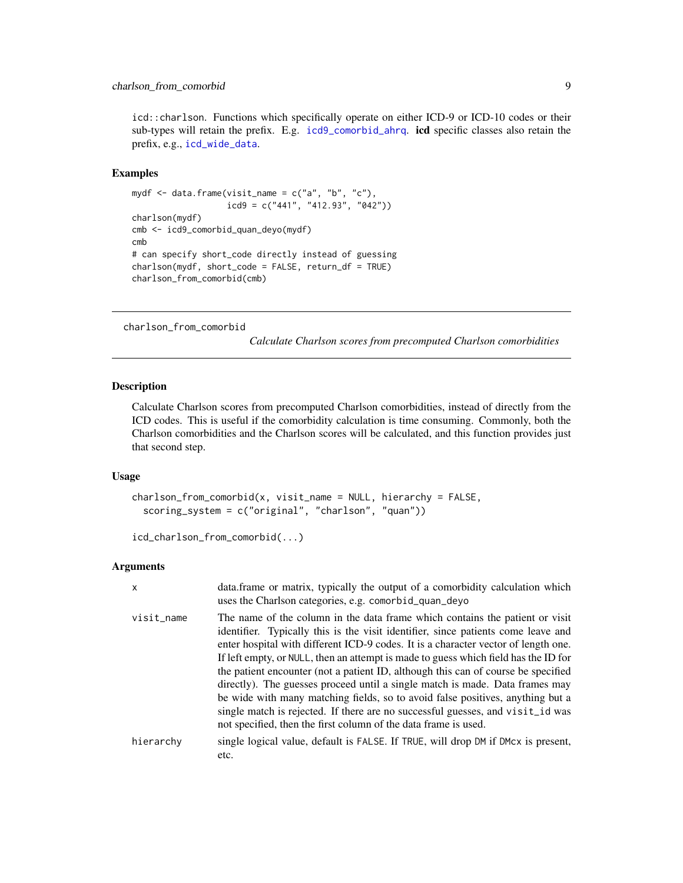<span id="page-8-0"></span>icd::charlson. Functions which specifically operate on either ICD-9 or ICD-10 codes or their sub-types will retain the prefix. E.g. [icd9\\_comorbid\\_ahrq](#page-12-2). **icd** specific classes also retain the prefix, e.g., [icd\\_wide\\_data](#page-5-1).

#### Examples

```
mydf \leq data.frame(visit_name = c("a", "b", "c"),icd9 = c("441", "412.93", "042"))
charlson(mydf)
cmb <- icd9_comorbid_quan_deyo(mydf)
cmb
# can specify short_code directly instead of guessing
charlson(mydf, short_code = FALSE, return_df = TRUE)
charlson_from_comorbid(cmb)
```
<span id="page-8-1"></span>charlson\_from\_comorbid

*Calculate Charlson scores from precomputed Charlson comorbidities*

#### Description

Calculate Charlson scores from precomputed Charlson comorbidities, instead of directly from the ICD codes. This is useful if the comorbidity calculation is time consuming. Commonly, both the Charlson comorbidities and the Charlson scores will be calculated, and this function provides just that second step.

#### Usage

```
charlson_from_comorbid(x, visit_name = NULL, hierarchy = FALSE,
  scoring_system = c("original", "charlson", "quan"))
```

```
icd_charlson_from_comorbid(...)
```

| $\times$   | data.frame or matrix, typically the output of a comorbidity calculation which<br>uses the Charlson categories, e.g. comorbid_quan_deyo                                                                                                                                                                                                                                                                                                                                                                                                                                                                                                                                                                                                                     |
|------------|------------------------------------------------------------------------------------------------------------------------------------------------------------------------------------------------------------------------------------------------------------------------------------------------------------------------------------------------------------------------------------------------------------------------------------------------------------------------------------------------------------------------------------------------------------------------------------------------------------------------------------------------------------------------------------------------------------------------------------------------------------|
| visit_name | The name of the column in the data frame which contains the patient or visit<br>identifier. Typically this is the visit identifier, since patients come leave and<br>enter hospital with different ICD-9 codes. It is a character vector of length one.<br>If left empty, or NULL, then an attempt is made to guess which field has the ID for<br>the patient encounter (not a patient ID, although this can of course be specified<br>directly). The guesses proceed until a single match is made. Data frames may<br>be wide with many matching fields, so to avoid false positives, anything but a<br>single match is rejected. If there are no successful guesses, and visit id was<br>not specified, then the first column of the data frame is used. |
| hierarchy  | single logical value, default is FALSE. If TRUE, will drop DM if DMcx is present,<br>etc.                                                                                                                                                                                                                                                                                                                                                                                                                                                                                                                                                                                                                                                                  |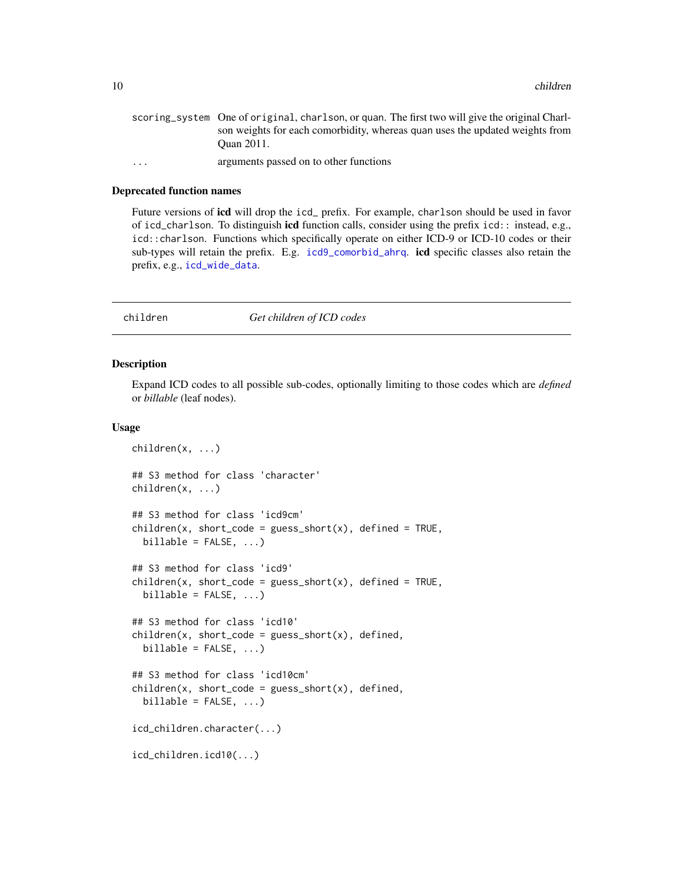<span id="page-9-0"></span>

|                         | scoring_system One of original, charlson, or quan. The first two will give the original Charl- |
|-------------------------|------------------------------------------------------------------------------------------------|
|                         | son weights for each comorbidity, whereas quan uses the updated weights from                   |
|                         | Ouan 2011.                                                                                     |
| $\cdot$ $\cdot$ $\cdot$ | arguments passed on to other functions                                                         |
|                         |                                                                                                |

#### Deprecated function names

Future versions of icd will drop the icd\_ prefix. For example, charlson should be used in favor of icd\_charlson. To distinguish icd function calls, consider using the prefix icd:: instead, e.g., icd::charlson. Functions which specifically operate on either ICD-9 or ICD-10 codes or their sub-types will retain the prefix. E.g. [icd9\\_comorbid\\_ahrq](#page-12-2). **icd** specific classes also retain the prefix, e.g., [icd\\_wide\\_data](#page-5-1).

<span id="page-9-1"></span>

#### children *Get children of ICD codes*

#### Description

Expand ICD codes to all possible sub-codes, optionally limiting to those codes which are *defined* or *billable* (leaf nodes).

#### Usage

```
children(x, ...)
## S3 method for class 'character'
children(x, ...)
## S3 method for class 'icd9cm'
children(x, short\_code = guess\_short(x), defined = TRUE,billable = FALSE, ...)## S3 method for class 'icd9'
children(x, short\_code = guess\_short(x), defined = TRUE,billable = FALSE, ...)## S3 method for class 'icd10'
children(x, short\_code = guess\_short(x), defined,billable = FALSE, ...)## S3 method for class 'icd10cm'
children(x, short\_code = guess\_short(x), defined,billable = FALSE, ...)icd_children.character(...)
icd_children.icd10(...)
```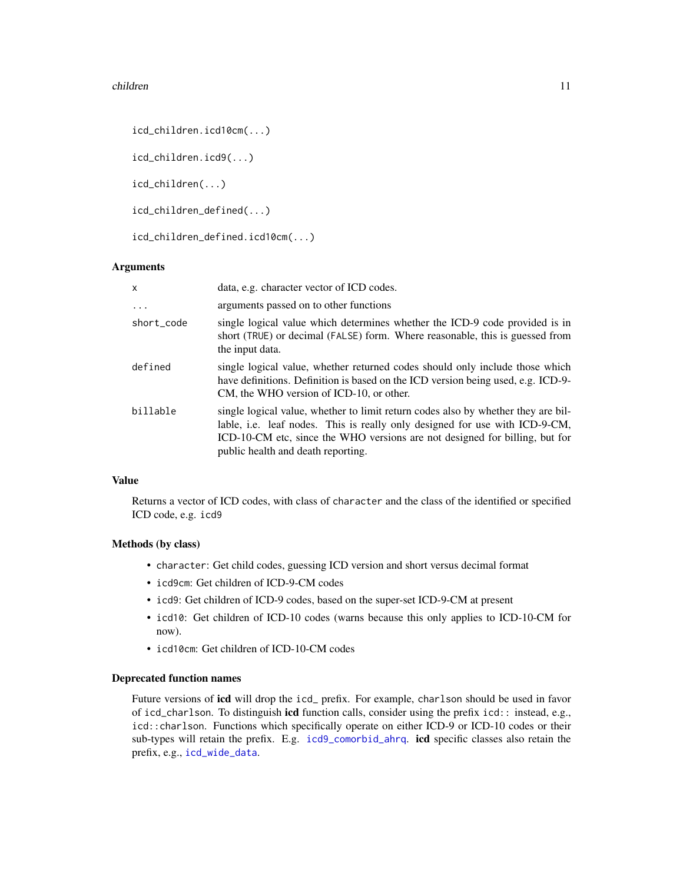#### <span id="page-10-0"></span>children 11

icd\_children.icd10cm(...)

icd\_children.icd9(...)

icd\_children(...)

icd\_children\_defined(...)

icd\_children\_defined.icd10cm(...)

#### Arguments

| $\mathsf{x}$ | data, e.g. character vector of ICD codes.                                                                                                                                                                                                                                             |
|--------------|---------------------------------------------------------------------------------------------------------------------------------------------------------------------------------------------------------------------------------------------------------------------------------------|
| $\cdot$      | arguments passed on to other functions                                                                                                                                                                                                                                                |
| short_code   | single logical value which determines whether the ICD-9 code provided is in<br>short (TRUE) or decimal (FALSE) form. Where reasonable, this is guessed from<br>the input data.                                                                                                        |
| defined      | single logical value, whether returned codes should only include those which<br>have definitions. Definition is based on the ICD version being used, e.g. ICD-9-<br>CM, the WHO version of ICD-10, or other.                                                                          |
| billable     | single logical value, whether to limit return codes also by whether they are bil-<br>lable, i.e. leaf nodes. This is really only designed for use with ICD-9-CM,<br>ICD-10-CM etc, since the WHO versions are not designed for billing, but for<br>public health and death reporting. |

#### Value

Returns a vector of ICD codes, with class of character and the class of the identified or specified ICD code, e.g. icd9

#### Methods (by class)

- character: Get child codes, guessing ICD version and short versus decimal format
- icd9cm: Get children of ICD-9-CM codes
- icd9: Get children of ICD-9 codes, based on the super-set ICD-9-CM at present
- icd10: Get children of ICD-10 codes (warns because this only applies to ICD-10-CM for now).
- icd10cm: Get children of ICD-10-CM codes

#### Deprecated function names

Future versions of icd will drop the icd\_ prefix. For example, charlson should be used in favor of icd\_charlson. To distinguish icd function calls, consider using the prefix icd:: instead, e.g., icd::charlson. Functions which specifically operate on either ICD-9 or ICD-10 codes or their sub-types will retain the prefix. E.g. [icd9\\_comorbid\\_ahrq](#page-12-2). icd specific classes also retain the prefix, e.g., [icd\\_wide\\_data](#page-5-1).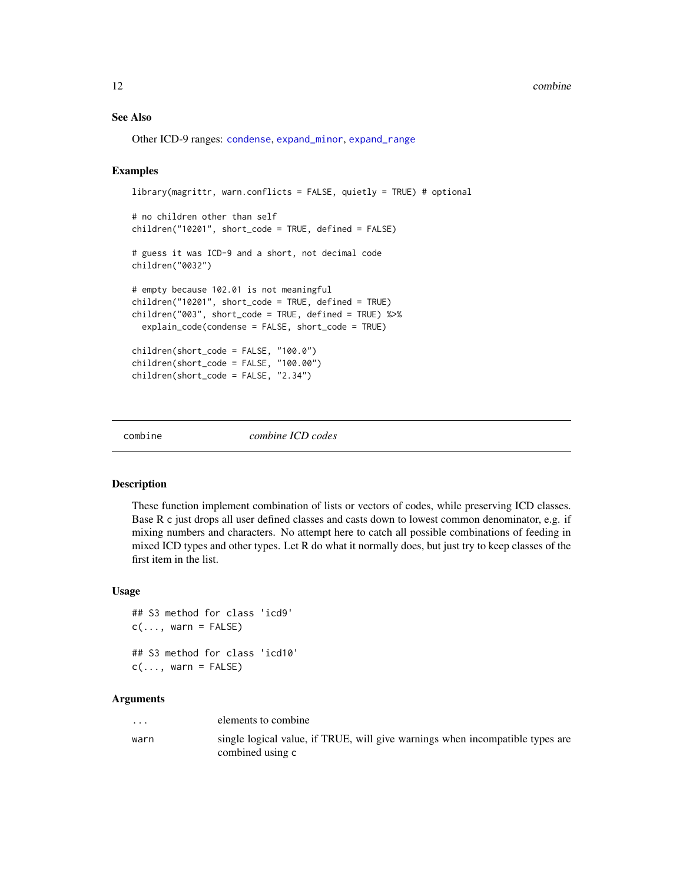#### <span id="page-11-0"></span>12 combine

#### See Also

Other ICD-9 ranges: [condense](#page-0-0), [expand\\_minor](#page-0-0), [expand\\_range](#page-0-0)

#### Examples

```
library(magrittr, warn.conflicts = FALSE, quietly = TRUE) # optional
# no children other than self
children("10201", short_code = TRUE, defined = FALSE)
# guess it was ICD-9 and a short, not decimal code
children("0032")
# empty because 102.01 is not meaningful
children("10201", short_code = TRUE, defined = TRUE)
children("003", short_code = TRUE, defined = TRUE) %>%
 explain_code(condense = FALSE, short_code = TRUE)
children(short_code = FALSE, "100.0")
children(short_code = FALSE, "100.00")
children(short_code = FALSE, "2.34")
```
combine *combine ICD codes*

#### Description

These function implement combination of lists or vectors of codes, while preserving ICD classes. Base R c just drops all user defined classes and casts down to lowest common denominator, e.g. if mixing numbers and characters. No attempt here to catch all possible combinations of feeding in mixed ICD types and other types. Let R do what it normally does, but just try to keep classes of the first item in the list.

#### Usage

```
## S3 method for class 'icd9'
c(\ldots, \text{ warn} = \text{FALSE})## S3 method for class 'icd10'
c(\ldots, \text{ warn} = \text{FALSE})
```

| $\cdots$ | elements to combine                                                                               |
|----------|---------------------------------------------------------------------------------------------------|
| warn     | single logical value, if TRUE, will give warnings when incompatible types are<br>combined using c |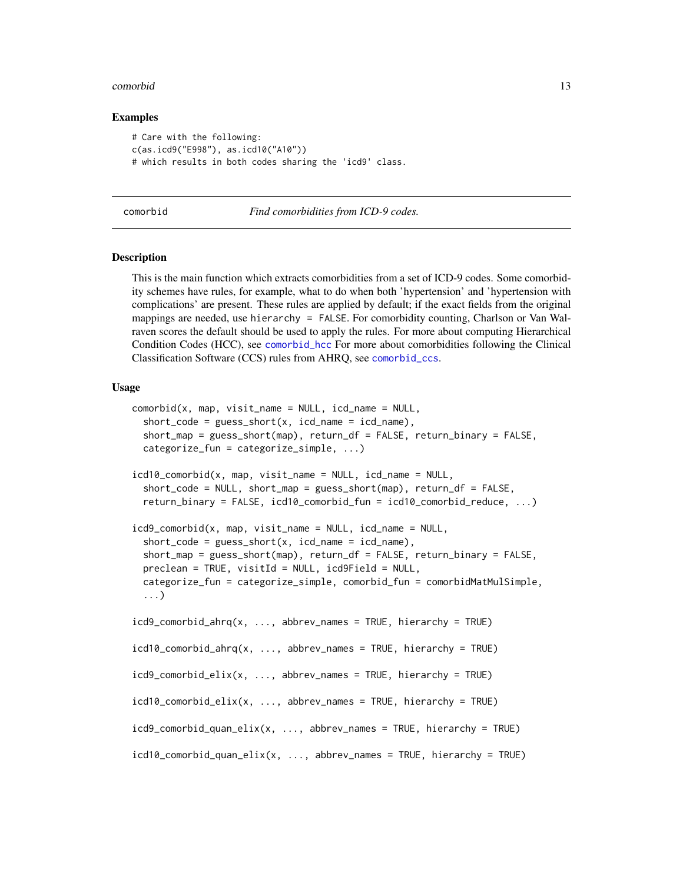#### <span id="page-12-0"></span>comorbid the comorbid that the comorbid the comorbid the comorbid the comorbid that  $\sim 13$

#### Examples

```
# Care with the following:
c(as.icd9("E998"), as.icd10("A10"))
# which results in both codes sharing the 'icd9' class.
```
<span id="page-12-1"></span>comorbid *Find comorbidities from ICD-9 codes.*

#### <span id="page-12-2"></span>Description

This is the main function which extracts comorbidities from a set of ICD-9 codes. Some comorbidity schemes have rules, for example, what to do when both 'hypertension' and 'hypertension with complications' are present. These rules are applied by default; if the exact fields from the original mappings are needed, use hierarchy = FALSE. For comorbidity counting, Charlson or Van Walraven scores the default should be used to apply the rules. For more about computing Hierarchical Condition Codes (HCC), see [comorbid\\_hcc](#page-18-1) For more about comorbidities following the Clinical Classification Software (CCS) rules from AHRQ, see [comorbid\\_ccs](#page-12-2).

#### Usage

```
comorbid(x, map, visit_name = NULL, icd_name = NULL,short\_code = guess\_short(x, icd_name = icd_name),short_map = guess_short(map), return_df = FALSE, return_binary = FALSE,
  categorize_fun = categorize_simple, ...)
icd10<sub>comorbid(x, map, visit_name = NULL, icd_name = NULL,</sub>
  short_code = NULL, short_map = guess_short(map), return_df = FALSE,
  return_binary = FALSE, icd10_comorbid_fun = icd10_comorbid_reduce, ...)
icd9_comorbid(x, map, visit_name = NULL, icd_name = NULL,
  short\_code = guess\_short(x, icd\_name = icd\_name),short_map = guess_short(map), return_df = FALSE, return_binary = FALSE,
  preclean = TRUE, visitId = NULL, icd9Field = NULL,
  categorize_fun = categorize_simple, comorbid_fun = comorbidMatMulSimple,
  ...)
icd9_comorbid_ahrq(x, ..., abbrev_names = TRUE, hierarchy = TRUE)
icd10\_comorbid_ahrq(x, ..., abbrew_names = TRUE, hierarchy = TRUE)icd9_comorbid_elix(x, ..., abbrev_names = TRUE, hierarchy = TRUE)
icd10\_comorbid\_elix(x, ..., abbrew\_names = TRUE, hierarchy = TRUE)icd9_comorbid_quan_elix(x, ..., abbrev_names = TRUE, hierarchy = TRUE)
icd10_comorbid_quan_elix(x, ..., abbrev_names = TRUE, hierarchy = TRUE)
```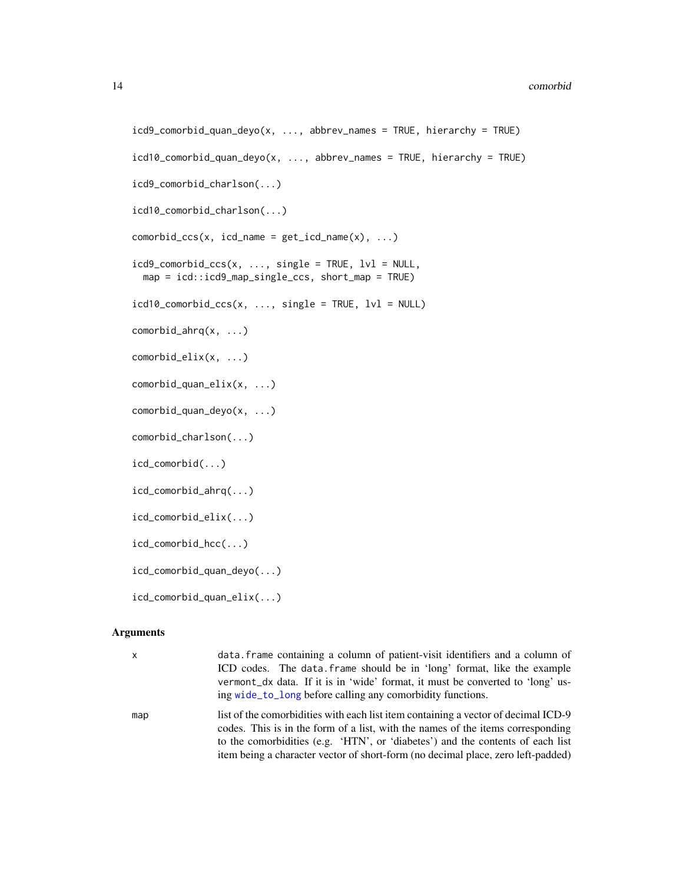```
icd9_comorbid_quan_deyo(x, ..., abbrev_names = TRUE, hierarchy = TRUE)
icd10_comorbid_quan_deyo(x, ..., abbrev_names = TRUE, hierarchy = TRUE)
icd9_comorbid_charlson(...)
icd10_comorbid_charlson(...)
comorbid\_ccs(x, icd_name = get\_icd_name(x), ...)icd9\_comorbid\_ccs(x, ..., single = TRUE, lvl = NULL,map = icd::icd9_map_single_ccs, short_map = TRUE)
icd10<sub>c</sub>omorbid_ccs(x, ..., single = TRUE, 1vl = NULL)
comorbid_ahrq(x, ...)
comorbid_elix(x, ...)
comorbid_quan_elix(x, ...)
comorbid_quan_deyo(x, ...)
comorbid_charlson(...)
icd_comorbid(...)
icd_comorbid_ahrq(...)
icd_comorbid_elix(...)
icd_comorbid_hcc(...)
icd_comorbid_quan_deyo(...)
icd_comorbid_quan_elix(...)
```

| $\mathsf{x}$ | data. frame containing a column of patient-visit identifiers and a column of<br>ICD codes. The data frame should be in 'long' format, like the example<br>vermont dx data. If it is in 'wide' format, it must be converted to 'long' us-<br>ing wide_to_long before calling any comorbidity functions.                                      |
|--------------|---------------------------------------------------------------------------------------------------------------------------------------------------------------------------------------------------------------------------------------------------------------------------------------------------------------------------------------------|
| map          | list of the comorbidities with each list item containing a vector of decimal ICD-9<br>codes. This is in the form of a list, with the names of the items corresponding<br>to the comorbidities (e.g. 'HTN', or 'diabetes') and the contents of each list<br>item being a character vector of short-form (no decimal place, zero left-padded) |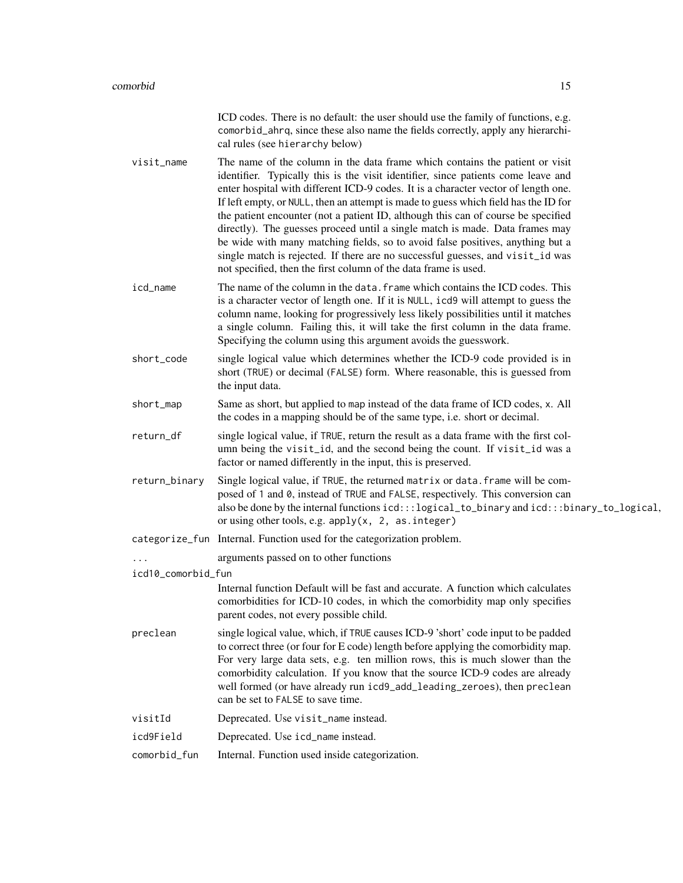|                    | ICD codes. There is no default: the user should use the family of functions, e.g.<br>comorbid_ahrq, since these also name the fields correctly, apply any hierarchi-<br>cal rules (see hierarchy below)                                                                                                                                                                                                                                                                                                                                                                                                                                                                                                                                                    |
|--------------------|------------------------------------------------------------------------------------------------------------------------------------------------------------------------------------------------------------------------------------------------------------------------------------------------------------------------------------------------------------------------------------------------------------------------------------------------------------------------------------------------------------------------------------------------------------------------------------------------------------------------------------------------------------------------------------------------------------------------------------------------------------|
| visit_name         | The name of the column in the data frame which contains the patient or visit<br>identifier. Typically this is the visit identifier, since patients come leave and<br>enter hospital with different ICD-9 codes. It is a character vector of length one.<br>If left empty, or NULL, then an attempt is made to guess which field has the ID for<br>the patient encounter (not a patient ID, although this can of course be specified<br>directly). The guesses proceed until a single match is made. Data frames may<br>be wide with many matching fields, so to avoid false positives, anything but a<br>single match is rejected. If there are no successful guesses, and visit_id was<br>not specified, then the first column of the data frame is used. |
| icd_name           | The name of the column in the data. frame which contains the ICD codes. This<br>is a character vector of length one. If it is NULL, icd9 will attempt to guess the<br>column name, looking for progressively less likely possibilities until it matches<br>a single column. Failing this, it will take the first column in the data frame.<br>Specifying the column using this argument avoids the guesswork.                                                                                                                                                                                                                                                                                                                                              |
| short_code         | single logical value which determines whether the ICD-9 code provided is in<br>short (TRUE) or decimal (FALSE) form. Where reasonable, this is guessed from<br>the input data.                                                                                                                                                                                                                                                                                                                                                                                                                                                                                                                                                                             |
| short_map          | Same as short, but applied to map instead of the data frame of ICD codes, x. All<br>the codes in a mapping should be of the same type, i.e. short or decimal.                                                                                                                                                                                                                                                                                                                                                                                                                                                                                                                                                                                              |
| return_df          | single logical value, if TRUE, return the result as a data frame with the first col-<br>umn being the visit_id, and the second being the count. If visit_id was a<br>factor or named differently in the input, this is preserved.                                                                                                                                                                                                                                                                                                                                                                                                                                                                                                                          |
| return_binary      | Single logical value, if TRUE, the returned matrix or data. frame will be com-<br>posed of 1 and 0, instead of TRUE and FALSE, respectively. This conversion can<br>also be done by the internal functions icd:::logical_to_binary and icd:::binary_to_logical,<br>or using other tools, e.g. $apply(x, 2, as.integer)$                                                                                                                                                                                                                                                                                                                                                                                                                                    |
|                    | categorize_fun Internal. Function used for the categorization problem.                                                                                                                                                                                                                                                                                                                                                                                                                                                                                                                                                                                                                                                                                     |
|                    | arguments passed on to other functions                                                                                                                                                                                                                                                                                                                                                                                                                                                                                                                                                                                                                                                                                                                     |
| icd10_comorbid_fun |                                                                                                                                                                                                                                                                                                                                                                                                                                                                                                                                                                                                                                                                                                                                                            |
|                    | Internal function Default will be fast and accurate. A function which calculates<br>comorbidities for ICD-10 codes, in which the comorbidity map only specifies<br>parent codes, not every possible child.                                                                                                                                                                                                                                                                                                                                                                                                                                                                                                                                                 |
| preclean           | single logical value, which, if TRUE causes ICD-9 'short' code input to be padded<br>to correct three (or four for E code) length before applying the comorbidity map.<br>For very large data sets, e.g. ten million rows, this is much slower than the<br>comorbidity calculation. If you know that the source ICD-9 codes are already<br>well formed (or have already run icd9_add_leading_zeroes), then preclean<br>can be set to FALSE to save time.                                                                                                                                                                                                                                                                                                   |
| visitId            | Deprecated. Use visit_name instead.                                                                                                                                                                                                                                                                                                                                                                                                                                                                                                                                                                                                                                                                                                                        |
| icd9Field          | Deprecated. Use icd_name instead.                                                                                                                                                                                                                                                                                                                                                                                                                                                                                                                                                                                                                                                                                                                          |
| comorbid_fun       | Internal. Function used inside categorization.                                                                                                                                                                                                                                                                                                                                                                                                                                                                                                                                                                                                                                                                                                             |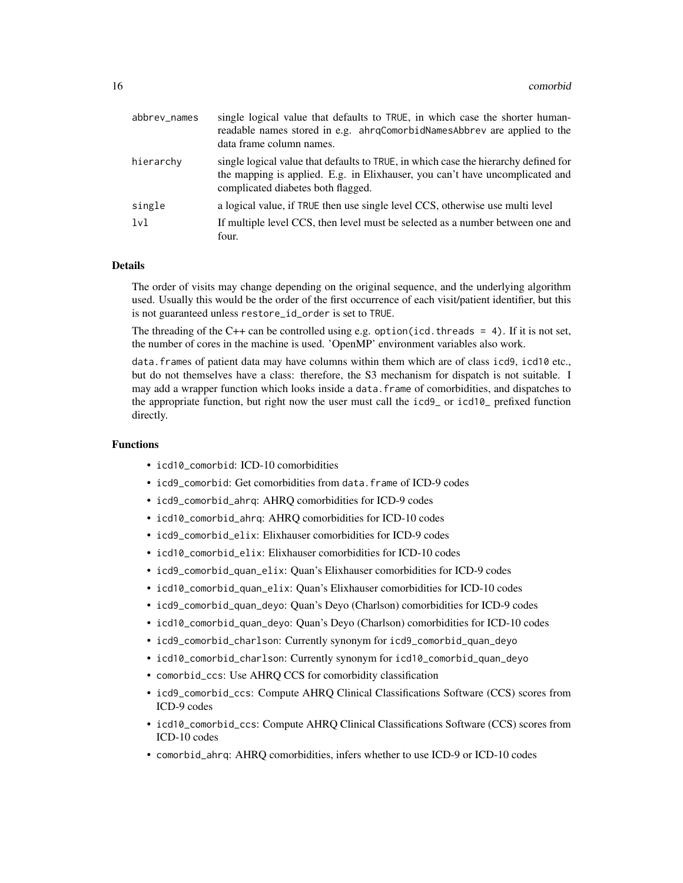| abbrev_names | single logical value that defaults to TRUE, in which case the shorter human-<br>readable names stored in e.g. ahrqComorbidNamesAbbrev are applied to the<br>data frame column names.                      |
|--------------|-----------------------------------------------------------------------------------------------------------------------------------------------------------------------------------------------------------|
| hierarchy    | single logical value that defaults to TRUE, in which case the hierarchy defined for<br>the mapping is applied. E.g. in Elixhauser, you can't have uncomplicated and<br>complicated diabetes both flagged. |
| single       | a logical value, if TRUE then use single level CCS, otherwise use multi level                                                                                                                             |
| 1v1          | If multiple level CCS, then level must be selected as a number between one and<br>four.                                                                                                                   |

#### Details

The order of visits may change depending on the original sequence, and the underlying algorithm used. Usually this would be the order of the first occurrence of each visit/patient identifier, but this is not guaranteed unless restore\_id\_order is set to TRUE.

The threading of the  $C++$  can be controlled using e.g. option(icd.threads = 4). If it is not set, the number of cores in the machine is used. 'OpenMP' environment variables also work.

data.frames of patient data may have columns within them which are of class icd9, icd10 etc., but do not themselves have a class: therefore, the S3 mechanism for dispatch is not suitable. I may add a wrapper function which looks inside a data.frame of comorbidities, and dispatches to the appropriate function, but right now the user must call the icd9\_ or icd10\_ prefixed function directly.

#### Functions

- icd10\_comorbid: ICD-10 comorbidities
- icd9\_comorbid: Get comorbidities from data.frame of ICD-9 codes
- icd9\_comorbid\_ahrq: AHRQ comorbidities for ICD-9 codes
- icd10\_comorbid\_ahrq: AHRQ comorbidities for ICD-10 codes
- icd9 comorbid elix: Elixhauser comorbidities for ICD-9 codes
- icd10\_comorbid\_elix: Elixhauser comorbidities for ICD-10 codes
- icd9\_comorbid\_quan\_elix: Quan's Elixhauser comorbidities for ICD-9 codes
- icd10\_comorbid\_quan\_elix: Quan's Elixhauser comorbidities for ICD-10 codes
- icd9\_comorbid\_quan\_deyo: Quan's Deyo (Charlson) comorbidities for ICD-9 codes
- icd10\_comorbid\_quan\_deyo: Quan's Deyo (Charlson) comorbidities for ICD-10 codes
- icd9\_comorbid\_charlson: Currently synonym for icd9\_comorbid\_quan\_deyo
- icd10\_comorbid\_charlson: Currently synonym for icd10\_comorbid\_quan\_deyo
- comorbid\_ccs: Use AHRQ CCS for comorbidity classification
- icd9\_comorbid\_ccs: Compute AHRQ Clinical Classifications Software (CCS) scores from ICD-9 codes
- icd10\_comorbid\_ccs: Compute AHRQ Clinical Classifications Software (CCS) scores from ICD-10 codes
- comorbid\_ahrq: AHRQ comorbidities, infers whether to use ICD-9 or ICD-10 codes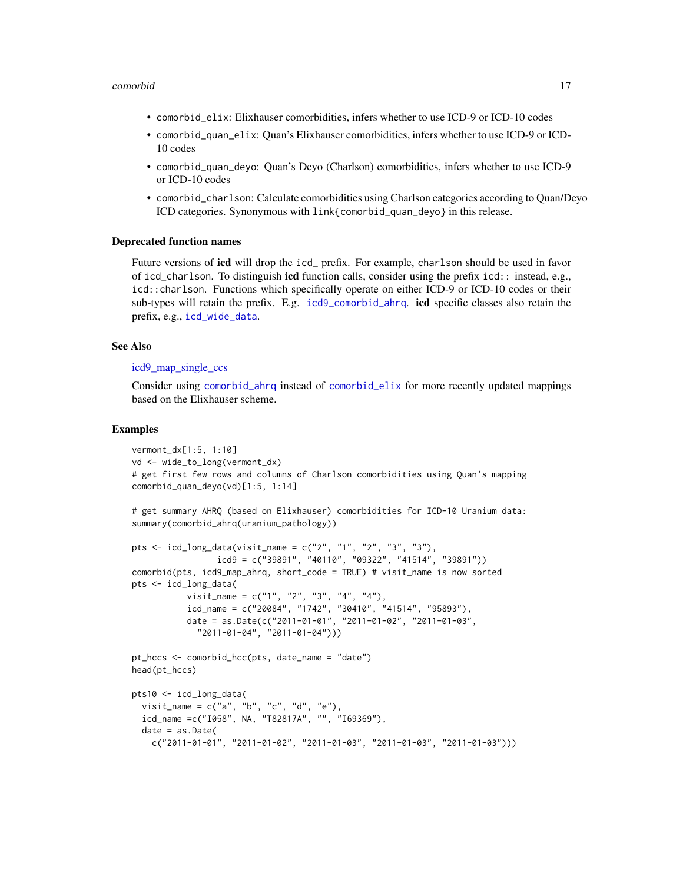#### <span id="page-16-0"></span>comorbid and the comorbid of the comorbid comorbid and the comorbid of the comorbid of the comorbid of the comorbid of the comorbid of the comorbid of the comorbid of the comorbid of the comorbid of the comorbid of the com

- comorbid\_elix: Elixhauser comorbidities, infers whether to use ICD-9 or ICD-10 codes
- comorbid\_quan\_elix: Quan's Elixhauser comorbidities, infers whether to use ICD-9 or ICD-10 codes
- comorbid\_quan\_deyo: Quan's Deyo (Charlson) comorbidities, infers whether to use ICD-9 or ICD-10 codes
- comorbid\_charlson: Calculate comorbidities using Charlson categories according to Quan/Deyo ICD categories. Synonymous with link{comorbid\_quan\_deyo} in this release.

#### Deprecated function names

Future versions of icd will drop the icd\_ prefix. For example, charlson should be used in favor of icd\_charlson. To distinguish icd function calls, consider using the prefix icd:: instead, e.g., icd::charlson. Functions which specifically operate on either ICD-9 or ICD-10 codes or their sub-types will retain the prefix. E.g. [icd9\\_comorbid\\_ahrq](#page-12-2). icd specific classes also retain the prefix, e.g., [icd\\_wide\\_data](#page-5-1).

#### See Also

#### [icd9\\_map\\_single\\_ccs](#page-39-1)

Consider using [comorbid\\_ahrq](#page-12-2) instead of [comorbid\\_elix](#page-12-2) for more recently updated mappings based on the Elixhauser scheme.

#### Examples

```
vermont_dx[1:5, 1:10]
vd <- wide_to_long(vermont_dx)
# get first few rows and columns of Charlson comorbidities using Quan's mapping
comorbid_quan_deyo(vd)[1:5, 1:14]
```

```
# get summary AHRQ (based on Elixhauser) comorbidities for ICD-10 Uranium data:
summary(comorbid_ahrq(uranium_pathology))
```

```
pts \le icd_long_data(visit_name = c("2", "1", "2", "3", "3"),
                 icd9 = c("39891", "40110", "09322", "41514", "39891"))
comorbid(pts, icd9_map_ahrq, short_code = TRUE) # visit_name is now sorted
pts <- icd_long_data(
           visit_name = c("1", "2", "3", "4", "4"),
           icd_name = c("20084", "1742", "30410", "41514", "95893"),
           date = as.Date(c("2011-01-01", "2011-01-02", "2011-01-03",
             "2011-01-04", "2011-01-04")))
pt_hccs <- comorbid_hcc(pts, date_name = "date")
head(pt_hccs)
pts10 <- icd_long_data(
  visit_name = c("a", "b", "c", "d", "e"),
```

```
icd_name =c("I058", NA, "T82817A", "", "I69369"),
date = as.Date(c("2011-01-01", "2011-01-02", "2011-01-03", "2011-01-03", "2011-01-03")))
```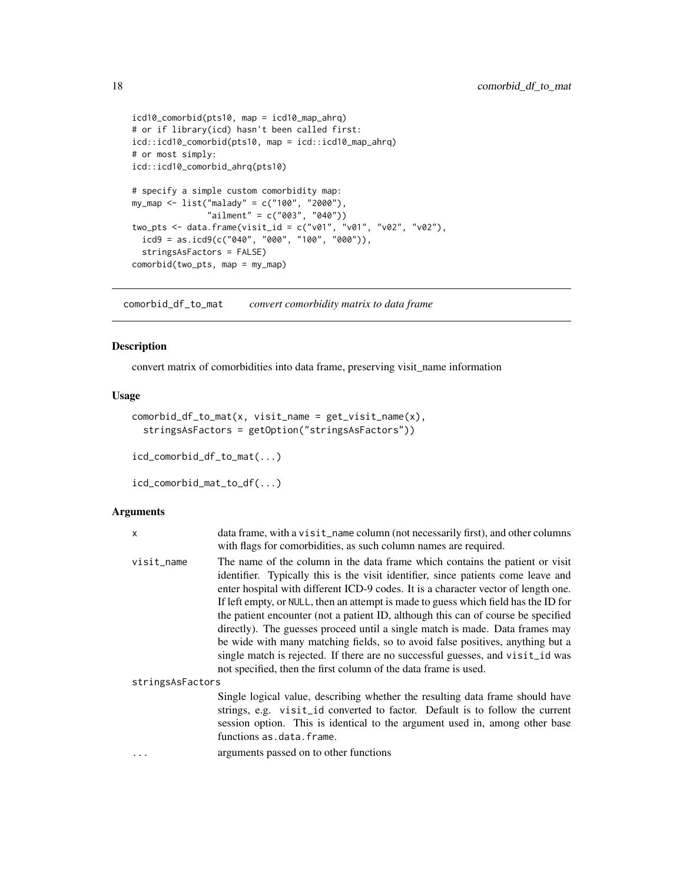```
icd10_comorbid(pts10, map = icd10_map_ahrq)
# or if library(icd) hasn't been called first:
icd::icd10_comorbid(pts10, map = icd::icd10_map_ahrq)
# or most simply:
icd::icd10_comorbid_ahrq(pts10)
# specify a simple custom comorbidity map:
my_map <- list("malady" = c("100", "2000"),
               "ailment" = c("003", "040"))
two_pts <- data.frame(visit_id = c("v01", "v01", "v02", "v02"),
  icd9 = as.icd9(c("040", "000", "100", "000")),
  stringsAsFactors = FALSE)
comorbid(two_pts, map = my_map)
```
comorbid\_df\_to\_mat *convert comorbidity matrix to data frame*

#### Description

convert matrix of comorbidities into data frame, preserving visit\_name information

#### Usage

```
comorbid_df_to_mat(x, visit_name = get_visit_name(x),
  stringsAsFactors = getOption("stringsAsFactors"))
icd_comorbid_df_to_mat(...)
icd_comorbid_mat_to_df(...)
```

| X                | data frame, with a visit_name column (not necessarily first), and other columns<br>with flags for comorbidities, as such column names are required.                                                                                                                                                                                                                                                                                                                                                                                                                                                                                                                                                                                                        |
|------------------|------------------------------------------------------------------------------------------------------------------------------------------------------------------------------------------------------------------------------------------------------------------------------------------------------------------------------------------------------------------------------------------------------------------------------------------------------------------------------------------------------------------------------------------------------------------------------------------------------------------------------------------------------------------------------------------------------------------------------------------------------------|
| visit_name       | The name of the column in the data frame which contains the patient or visit<br>identifier. Typically this is the visit identifier, since patients come leave and<br>enter hospital with different ICD-9 codes. It is a character vector of length one.<br>If left empty, or NULL, then an attempt is made to guess which field has the ID for<br>the patient encounter (not a patient ID, although this can of course be specified<br>directly). The guesses proceed until a single match is made. Data frames may<br>be wide with many matching fields, so to avoid false positives, anything but a<br>single match is rejected. If there are no successful guesses, and visit_id was<br>not specified, then the first column of the data frame is used. |
|                  |                                                                                                                                                                                                                                                                                                                                                                                                                                                                                                                                                                                                                                                                                                                                                            |
| stringsAsFactors |                                                                                                                                                                                                                                                                                                                                                                                                                                                                                                                                                                                                                                                                                                                                                            |
|                  | Single logical value, describing whether the resulting data frame should have<br>strings, e.g. visit_id converted to factor. Default is to follow the current<br>session option. This is identical to the argument used in, among other base<br>functions as.data.frame.                                                                                                                                                                                                                                                                                                                                                                                                                                                                                   |
| .                | arguments passed on to other functions                                                                                                                                                                                                                                                                                                                                                                                                                                                                                                                                                                                                                                                                                                                     |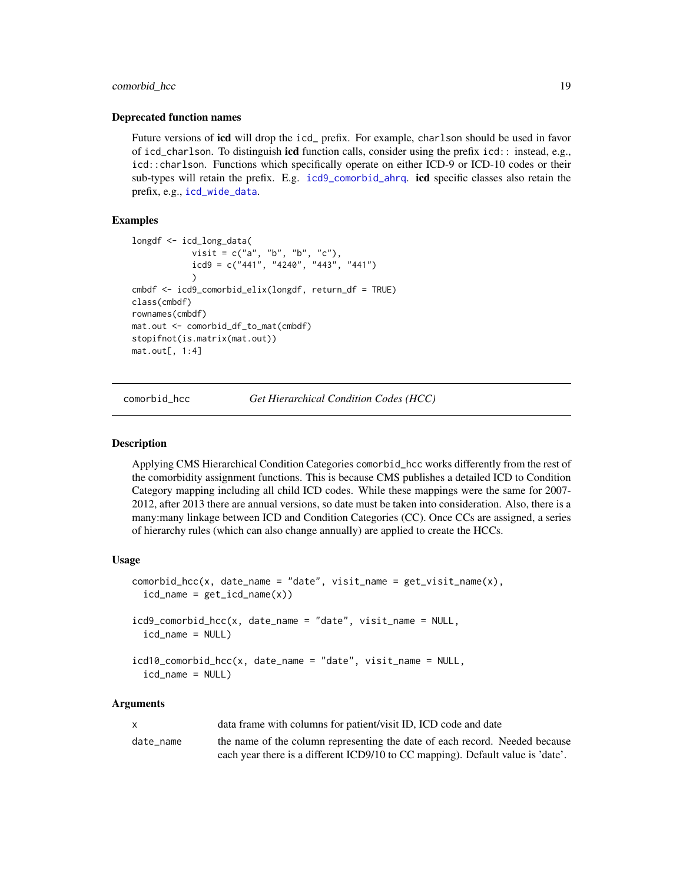#### <span id="page-18-0"></span>comorbid\_hcc 19

#### Deprecated function names

Future versions of **icd** will drop the icd prefix. For example, charlson should be used in favor of icd\_charlson. To distinguish icd function calls, consider using the prefix icd:: instead, e.g., icd::charlson. Functions which specifically operate on either ICD-9 or ICD-10 codes or their sub-types will retain the prefix. E.g. [icd9\\_comorbid\\_ahrq](#page-12-2). icd specific classes also retain the prefix, e.g., [icd\\_wide\\_data](#page-5-1).

#### Examples

```
longdf <- icd_long_data(
            visit = c("a", "b", "b", "c"),
            icd9 = c("441", "4240", "443", "441"))
cmbdf <- icd9_comorbid_elix(longdf, return_df = TRUE)
class(cmbdf)
rownames(cmbdf)
mat.out <- comorbid_df_to_mat(cmbdf)
stopifnot(is.matrix(mat.out))
mat.out[, 1:4]
```
<span id="page-18-1"></span>comorbid\_hcc *Get Hierarchical Condition Codes (HCC)*

#### Description

Applying CMS Hierarchical Condition Categories comorbid\_hcc works differently from the rest of the comorbidity assignment functions. This is because CMS publishes a detailed ICD to Condition Category mapping including all child ICD codes. While these mappings were the same for 2007- 2012, after 2013 there are annual versions, so date must be taken into consideration. Also, there is a many:many linkage between ICD and Condition Categories (CC). Once CCs are assigned, a series of hierarchy rules (which can also change annually) are applied to create the HCCs.

#### Usage

```
control_hcc(x, date_name = "date", visit_name = get\_visit_name(x),icd_name = get\_icd_name(x))icd9_comorbid_hcc(x, date_name = "date", visit_name = NULL,
  icd_name = NULL)
icd10_comorbid_hcc(x, date_name = "date", visit_name = NULL,
  icd_name = NULL)
```

| X         | data frame with columns for patient/visit ID, ICD code and date                 |
|-----------|---------------------------------------------------------------------------------|
| date name | the name of the column representing the date of each record. Needed because     |
|           | each year there is a different ICD9/10 to CC mapping). Default value is 'date'. |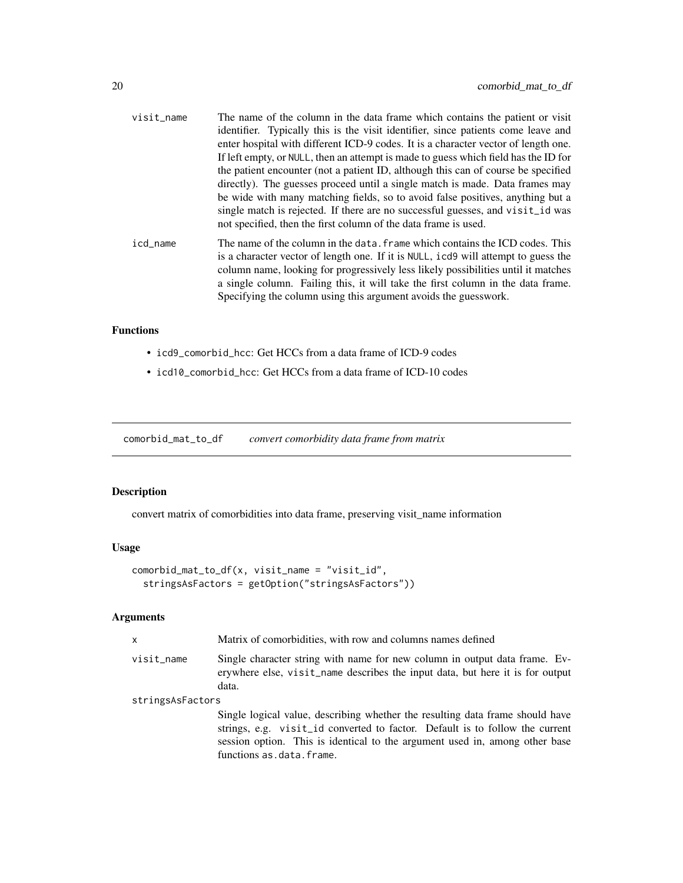<span id="page-19-0"></span>

| visit_name | The name of the column in the data frame which contains the patient or visit<br>identifier. Typically this is the visit identifier, since patients come leave and<br>enter hospital with different ICD-9 codes. It is a character vector of length one.                                                                                                                                                       |
|------------|---------------------------------------------------------------------------------------------------------------------------------------------------------------------------------------------------------------------------------------------------------------------------------------------------------------------------------------------------------------------------------------------------------------|
|            | If left empty, or NULL, then an attempt is made to guess which field has the ID for<br>the patient encounter (not a patient ID, although this can of course be specified<br>directly). The guesses proceed until a single match is made. Data frames may<br>be wide with many matching fields, so to avoid false positives, anything but a                                                                    |
|            | single match is rejected. If there are no successful guesses, and visit id was<br>not specified, then the first column of the data frame is used.                                                                                                                                                                                                                                                             |
| icd_name   | The name of the column in the data. frame which contains the ICD codes. This<br>is a character vector of length one. If it is NULL, icd9 will attempt to guess the<br>column name, looking for progressively less likely possibilities until it matches<br>a single column. Failing this, it will take the first column in the data frame.<br>Specifying the column using this argument avoids the guesswork. |

#### Functions

- icd9\_comorbid\_hcc: Get HCCs from a data frame of ICD-9 codes
- icd10\_comorbid\_hcc: Get HCCs from a data frame of ICD-10 codes

comorbid\_mat\_to\_df *convert comorbidity data frame from matrix*

### Description

convert matrix of comorbidities into data frame, preserving visit\_name information

### Usage

```
comorbid_mat_to_df(x, visit_name = "visit_id",
  stringsAsFactors = getOption("stringsAsFactors"))
```

| $\mathsf{x}$     | Matrix of comorbidities, with row and columns names defined                                                                                                                                                                                                              |  |
|------------------|--------------------------------------------------------------------------------------------------------------------------------------------------------------------------------------------------------------------------------------------------------------------------|--|
| visit_name       | Single character string with name for new column in output data frame. Ev-<br>erywhere else, visit_name describes the input data, but here it is for output<br>data.                                                                                                     |  |
| stringsAsFactors |                                                                                                                                                                                                                                                                          |  |
|                  | Single logical value, describing whether the resulting data frame should have<br>strings, e.g. visit_id converted to factor. Default is to follow the current<br>session option. This is identical to the argument used in, among other base<br>functions as.data.frame. |  |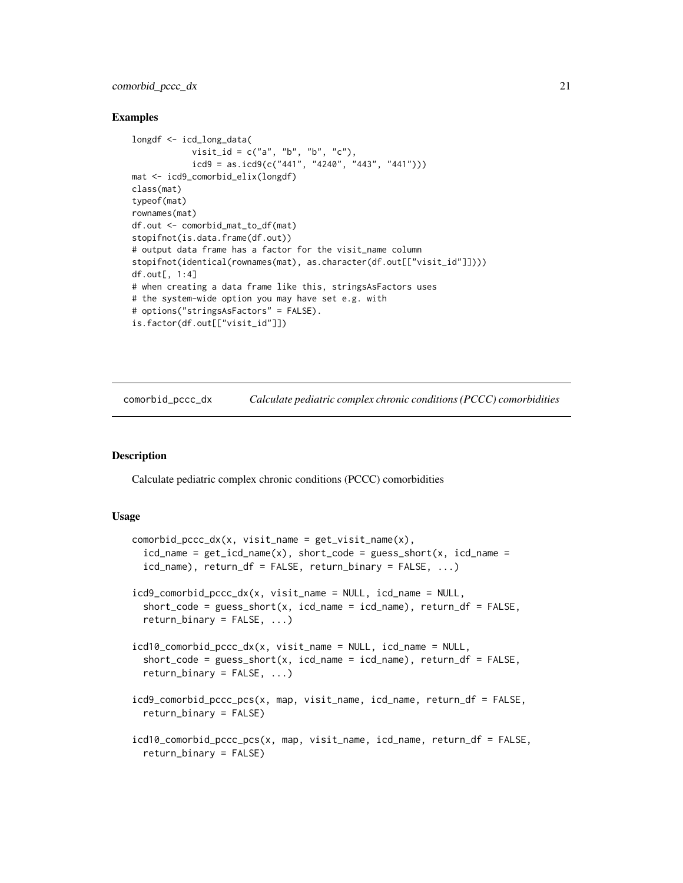#### <span id="page-20-0"></span>comorbid\_pccc\_dx 21

#### Examples

```
longdf <- icd_long_data(
            visit_id = c("a", "b", "b", "c"),
            icd9 = as.icd9(c("441", "4240", "443", "441"))mat <- icd9_comorbid_elix(longdf)
class(mat)
typeof(mat)
rownames(mat)
df.out <- comorbid_mat_to_df(mat)
stopifnot(is.data.frame(df.out))
# output data frame has a factor for the visit_name column
stopifnot(identical(rownames(mat), as.character(df.out[["visit_id"]])))
df.out[, 1:4]
# when creating a data frame like this, stringsAsFactors uses
# the system-wide option you may have set e.g. with
# options("stringsAsFactors" = FALSE).
is.factor(df.out[["visit_id"]])
```
comorbid\_pccc\_dx *Calculate pediatric complex chronic conditions (PCCC) comorbidities*

#### Description

Calculate pediatric complex chronic conditions (PCCC) comorbidities

#### Usage

```
comorbid_pccc_dx(x, visit_name = get_visit_name(x),
  icd_name = get\_icd_name(x), short\_code = guess\_short(x, icd_name =icd_name), return_df = FALSE, return_binary = FALSE, ...)
icd9_comorbid_pccc_dx(x, visit_name = NULL, icd_name = NULL,
  short_code = guess_short(x, icd_name = icd_name), return_df = FALSE,
  return\_binary = FALSE, ...icd10_comorbid_pccc_dx(x, visit_name = NULL, icd_name = NULL,
  short\_code = guess\_short(x, icd_name = icd_name), return_df = FALSE,return\_binary = FALSE, ...)icd9_comorbid_pccc_pcs(x, map, visit_name, icd_name, return_df = FALSE,
  return_binary = FALSE)
icd10_comorbid_pccc_pcs(x, map, visit_name, icd_name, return_df = FALSE,
  return_binary = FALSE)
```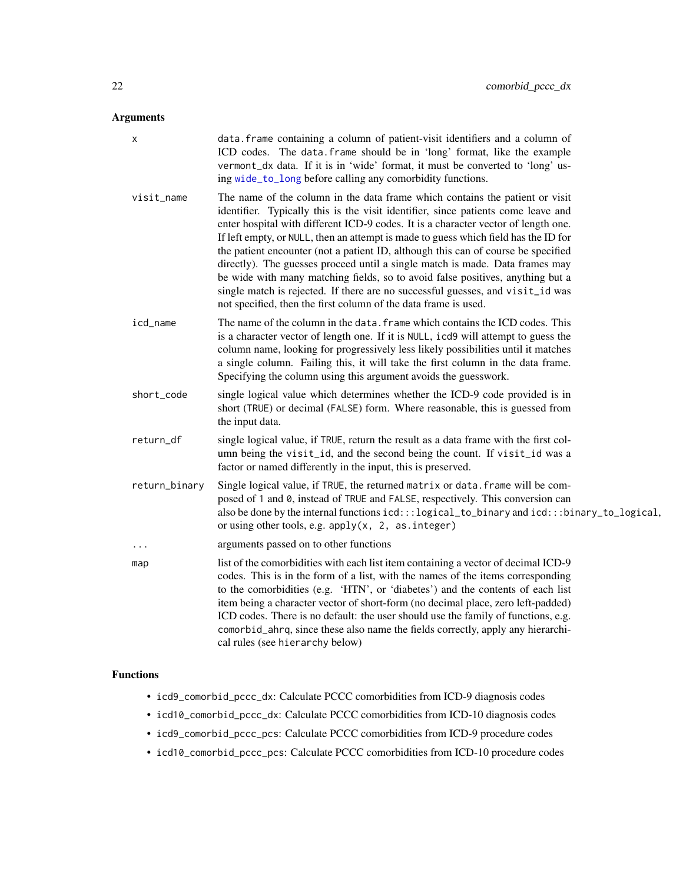#### <span id="page-21-0"></span>Arguments

| х             | data. frame containing a column of patient-visit identifiers and a column of<br>ICD codes. The data. frame should be in 'long' format, like the example<br>vermont_dx data. If it is in 'wide' format, it must be converted to 'long' us-<br>ing wide_to_long before calling any comorbidity functions.                                                                                                                                                                                                                                                                                                                                                                                                                                                    |
|---------------|------------------------------------------------------------------------------------------------------------------------------------------------------------------------------------------------------------------------------------------------------------------------------------------------------------------------------------------------------------------------------------------------------------------------------------------------------------------------------------------------------------------------------------------------------------------------------------------------------------------------------------------------------------------------------------------------------------------------------------------------------------|
| visit_name    | The name of the column in the data frame which contains the patient or visit<br>identifier. Typically this is the visit identifier, since patients come leave and<br>enter hospital with different ICD-9 codes. It is a character vector of length one.<br>If left empty, or NULL, then an attempt is made to guess which field has the ID for<br>the patient encounter (not a patient ID, although this can of course be specified<br>directly). The guesses proceed until a single match is made. Data frames may<br>be wide with many matching fields, so to avoid false positives, anything but a<br>single match is rejected. If there are no successful guesses, and visit_id was<br>not specified, then the first column of the data frame is used. |
| icd_name      | The name of the column in the data. frame which contains the ICD codes. This<br>is a character vector of length one. If it is NULL, icd9 will attempt to guess the<br>column name, looking for progressively less likely possibilities until it matches<br>a single column. Failing this, it will take the first column in the data frame.<br>Specifying the column using this argument avoids the guesswork.                                                                                                                                                                                                                                                                                                                                              |
| short_code    | single logical value which determines whether the ICD-9 code provided is in<br>short (TRUE) or decimal (FALSE) form. Where reasonable, this is guessed from<br>the input data.                                                                                                                                                                                                                                                                                                                                                                                                                                                                                                                                                                             |
| return_df     | single logical value, if TRUE, return the result as a data frame with the first col-<br>umn being the visit_id, and the second being the count. If visit_id was a<br>factor or named differently in the input, this is preserved.                                                                                                                                                                                                                                                                                                                                                                                                                                                                                                                          |
| return_binary | Single logical value, if TRUE, the returned matrix or data. frame will be com-<br>posed of 1 and 0, instead of TRUE and FALSE, respectively. This conversion can<br>also be done by the internal functions icd:::logical_to_binary and icd:::binary_to_logical,<br>or using other tools, e.g. $apply(x, 2, as.integer)$                                                                                                                                                                                                                                                                                                                                                                                                                                    |
| .             | arguments passed on to other functions                                                                                                                                                                                                                                                                                                                                                                                                                                                                                                                                                                                                                                                                                                                     |
| map           | list of the comorbidities with each list item containing a vector of decimal ICD-9<br>codes. This is in the form of a list, with the names of the items corresponding<br>to the comorbidities (e.g. 'HTN', or 'diabetes') and the contents of each list<br>item being a character vector of short-form (no decimal place, zero left-padded)<br>ICD codes. There is no default: the user should use the family of functions, e.g.<br>comorbid_ahrq, since these also name the fields correctly, apply any hierarchi-<br>cal rules (see hierarchy below)                                                                                                                                                                                                     |

### Functions

- icd9\_comorbid\_pccc\_dx: Calculate PCCC comorbidities from ICD-9 diagnosis codes
- icd10\_comorbid\_pccc\_dx: Calculate PCCC comorbidities from ICD-10 diagnosis codes
- icd9\_comorbid\_pccc\_pcs: Calculate PCCC comorbidities from ICD-9 procedure codes
- icd10\_comorbid\_pccc\_pcs: Calculate PCCC comorbidities from ICD-10 procedure codes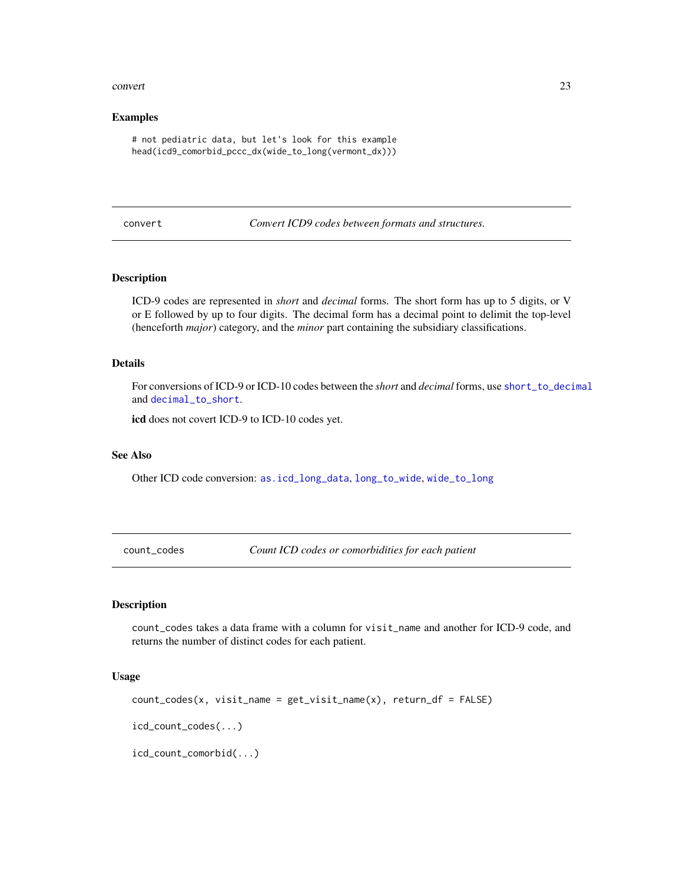#### <span id="page-22-0"></span>convert 23

#### Examples

```
# not pediatric data, but let's look for this example
head(icd9_comorbid_pccc_dx(wide_to_long(vermont_dx)))
```
<span id="page-22-1"></span>convert *Convert ICD9 codes between formats and structures.*

#### Description

ICD-9 codes are represented in *short* and *decimal* forms. The short form has up to 5 digits, or V or E followed by up to four digits. The decimal form has a decimal point to delimit the top-level (henceforth *major*) category, and the *minor* part containing the subsidiary classifications.

#### Details

For conversions of ICD-9 or ICD-10 codes between the *short* and *decimal* forms, use [short\\_to\\_decimal](#page-0-0) and [decimal\\_to\\_short](#page-0-0).

icd does not covert ICD-9 to ICD-10 codes yet.

#### See Also

Other ICD code conversion: [as.icd\\_long\\_data](#page-5-2), [long\\_to\\_wide](#page-40-1), [wide\\_to\\_long](#page-48-1)

count\_codes *Count ICD codes or comorbidities for each patient*

#### Description

count\_codes takes a data frame with a column for visit\_name and another for ICD-9 code, and returns the number of distinct codes for each patient.

#### Usage

```
count\_codes(x, visit\_name = get\_visit\_name(x), return\_df = FALSE)icd_count_codes(...)
icd_count_comorbid(...)
```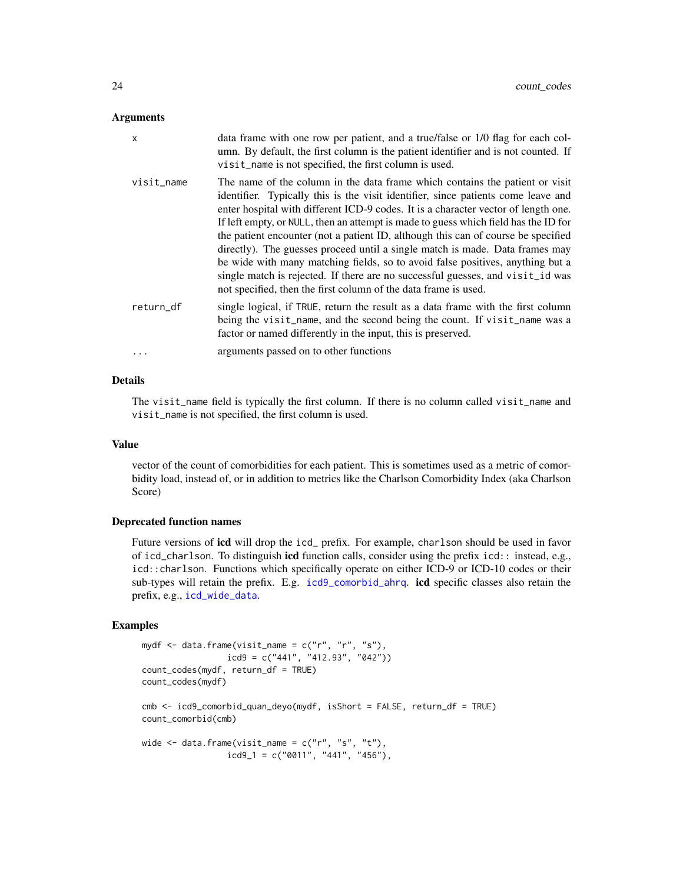#### <span id="page-23-0"></span>Arguments

| X          | data frame with one row per patient, and a true/false or 1/0 flag for each col-<br>umn. By default, the first column is the patient identifier and is not counted. If<br>visit_name is not specified, the first column is used.                                                                                                                                                                                                                                                                                                                                                                                                                                                                                                                            |
|------------|------------------------------------------------------------------------------------------------------------------------------------------------------------------------------------------------------------------------------------------------------------------------------------------------------------------------------------------------------------------------------------------------------------------------------------------------------------------------------------------------------------------------------------------------------------------------------------------------------------------------------------------------------------------------------------------------------------------------------------------------------------|
| visit name | The name of the column in the data frame which contains the patient or visit<br>identifier. Typically this is the visit identifier, since patients come leave and<br>enter hospital with different ICD-9 codes. It is a character vector of length one.<br>If left empty, or NULL, then an attempt is made to guess which field has the ID for<br>the patient encounter (not a patient ID, although this can of course be specified<br>directly). The guesses proceed until a single match is made. Data frames may<br>be wide with many matching fields, so to avoid false positives, anything but a<br>single match is rejected. If there are no successful guesses, and visit id was<br>not specified, then the first column of the data frame is used. |
| return df  | single logical, if TRUE, return the result as a data frame with the first column<br>being the visit_name, and the second being the count. If visit_name was a<br>factor or named differently in the input, this is preserved.                                                                                                                                                                                                                                                                                                                                                                                                                                                                                                                              |
| $\ddots$   | arguments passed on to other functions                                                                                                                                                                                                                                                                                                                                                                                                                                                                                                                                                                                                                                                                                                                     |

#### Details

The visit\_name field is typically the first column. If there is no column called visit\_name and visit\_name is not specified, the first column is used.

#### Value

vector of the count of comorbidities for each patient. This is sometimes used as a metric of comorbidity load, instead of, or in addition to metrics like the Charlson Comorbidity Index (aka Charlson Score)

#### Deprecated function names

Future versions of icd will drop the icd\_ prefix. For example, charlson should be used in favor of icd\_charlson. To distinguish icd function calls, consider using the prefix icd:: instead, e.g., icd::charlson. Functions which specifically operate on either ICD-9 or ICD-10 codes or their sub-types will retain the prefix. E.g. [icd9\\_comorbid\\_ahrq](#page-12-2). icd specific classes also retain the prefix, e.g., [icd\\_wide\\_data](#page-5-1).

#### Examples

```
mydf <- data.frame(visit_name = c("r", "r", "s"),
                icd9 = c("441", "412.93", "042"))count_codes(mydf, return_df = TRUE)
count_codes(mydf)
cmb <- icd9_comorbid_quan_deyo(mydf, isShort = FALSE, return_df = TRUE)
count_comorbid(cmb)
wide \leq data.frame(visit_name = c("r", "s", "t"),icd9_1 = c("0011", "441", "456"),
```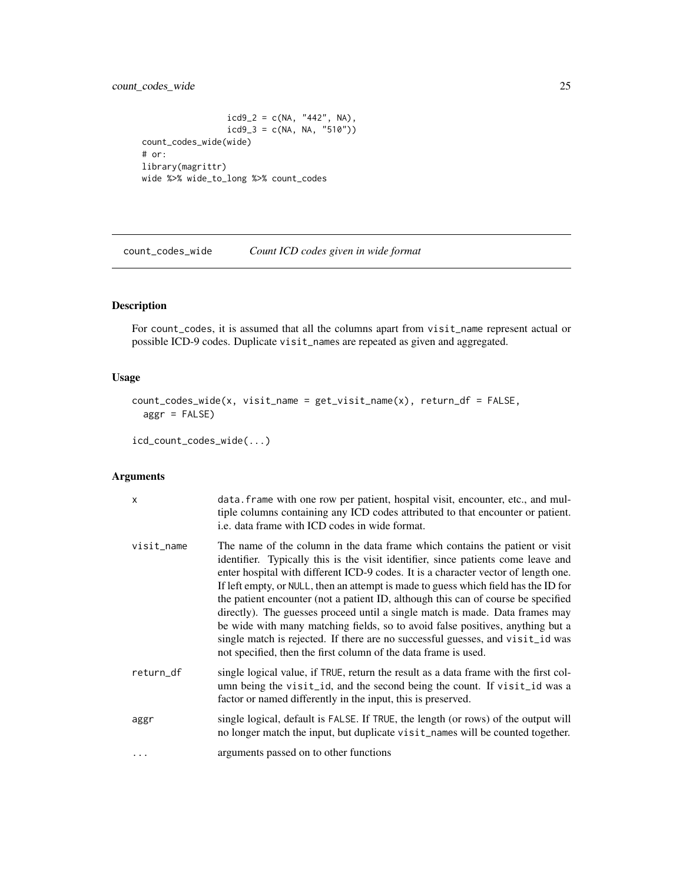#### <span id="page-24-0"></span>count\_codes\_wide 25

```
icd9_2 = c(NA, "442", NA),icd9_3 = c(NA, NA, "510"))count_codes_wide(wide)
# or:
library(magrittr)
wide %>% wide_to_long %>% count_codes
```
count\_codes\_wide *Count ICD codes given in wide format*

#### Description

For count\_codes, it is assumed that all the columns apart from visit\_name represent actual or possible ICD-9 codes. Duplicate visit\_names are repeated as given and aggregated.

#### Usage

```
count_codes_wide(x, visit_name = get_visit_name(x), return_df = FALSE,
  aggr = FALSE)
```

```
icd_count_codes_wide(...)
```

| x          | data. frame with one row per patient, hospital visit, encounter, etc., and mul-<br>tiple columns containing any ICD codes attributed to that encounter or patient.<br>i.e. data frame with ICD codes in wide format.                                                                                                                                                                                                                                                                                                                                                                                                                                                                                                                                       |
|------------|------------------------------------------------------------------------------------------------------------------------------------------------------------------------------------------------------------------------------------------------------------------------------------------------------------------------------------------------------------------------------------------------------------------------------------------------------------------------------------------------------------------------------------------------------------------------------------------------------------------------------------------------------------------------------------------------------------------------------------------------------------|
| visit_name | The name of the column in the data frame which contains the patient or visit<br>identifier. Typically this is the visit identifier, since patients come leave and<br>enter hospital with different ICD-9 codes. It is a character vector of length one.<br>If left empty, or NULL, then an attempt is made to guess which field has the ID for<br>the patient encounter (not a patient ID, although this can of course be specified<br>directly). The guesses proceed until a single match is made. Data frames may<br>be wide with many matching fields, so to avoid false positives, anything but a<br>single match is rejected. If there are no successful guesses, and visit_id was<br>not specified, then the first column of the data frame is used. |
| return_df  | single logical value, if TRUE, return the result as a data frame with the first col-<br>umn being the visit_id, and the second being the count. If visit_id was a<br>factor or named differently in the input, this is preserved.                                                                                                                                                                                                                                                                                                                                                                                                                                                                                                                          |
| aggr       | single logical, default is FALSE. If TRUE, the length (or rows) of the output will<br>no longer match the input, but duplicate visit_names will be counted together.                                                                                                                                                                                                                                                                                                                                                                                                                                                                                                                                                                                       |
| .          | arguments passed on to other functions                                                                                                                                                                                                                                                                                                                                                                                                                                                                                                                                                                                                                                                                                                                     |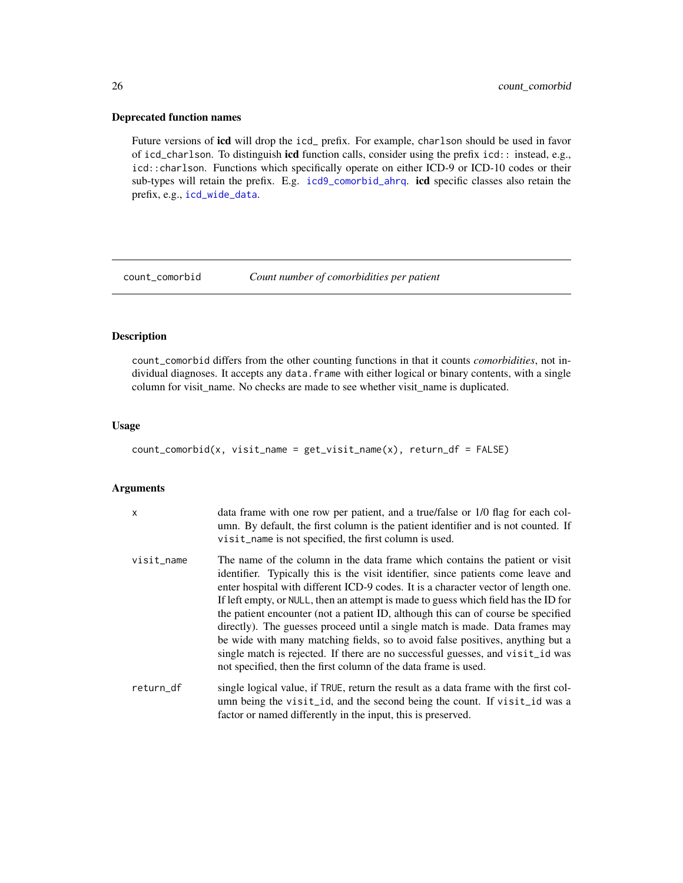#### <span id="page-25-0"></span>Deprecated function names

Future versions of icd will drop the icd\_ prefix. For example, charlson should be used in favor of icd\_charlson. To distinguish icd function calls, consider using the prefix icd:: instead, e.g., icd::charlson. Functions which specifically operate on either ICD-9 or ICD-10 codes or their sub-types will retain the prefix. E.g. [icd9\\_comorbid\\_ahrq](#page-12-2). icd specific classes also retain the prefix, e.g., [icd\\_wide\\_data](#page-5-1).

count\_comorbid *Count number of comorbidities per patient*

#### Description

count\_comorbid differs from the other counting functions in that it counts *comorbidities*, not individual diagnoses. It accepts any data. frame with either logical or binary contents, with a single column for visit\_name. No checks are made to see whether visit\_name is duplicated.

#### Usage

```
count_comorbid(x, visit_name = get_visit_name(x), return_df = FALSE)
```
#### Arguments

| X          | data frame with one row per patient, and a true/false or 1/0 flag for each col-<br>umn. By default, the first column is the patient identifier and is not counted. If<br>visit_name is not specified, the first column is used.                                                                                                                                                                                                                                                                                                                                                                                                                                                                                                                            |
|------------|------------------------------------------------------------------------------------------------------------------------------------------------------------------------------------------------------------------------------------------------------------------------------------------------------------------------------------------------------------------------------------------------------------------------------------------------------------------------------------------------------------------------------------------------------------------------------------------------------------------------------------------------------------------------------------------------------------------------------------------------------------|
| visit_name | The name of the column in the data frame which contains the patient or visit<br>identifier. Typically this is the visit identifier, since patients come leave and<br>enter hospital with different ICD-9 codes. It is a character vector of length one.<br>If left empty, or NULL, then an attempt is made to guess which field has the ID for<br>the patient encounter (not a patient ID, although this can of course be specified<br>directly). The guesses proceed until a single match is made. Data frames may<br>be wide with many matching fields, so to avoid false positives, anything but a<br>single match is rejected. If there are no successful guesses, and visit id was<br>not specified, then the first column of the data frame is used. |
| return df  | single logical value, if TRUE, return the result as a data frame with the first col-<br>umn being the visit_id, and the second being the count. If visit_id was a                                                                                                                                                                                                                                                                                                                                                                                                                                                                                                                                                                                          |

factor or named differently in the input, this is preserved.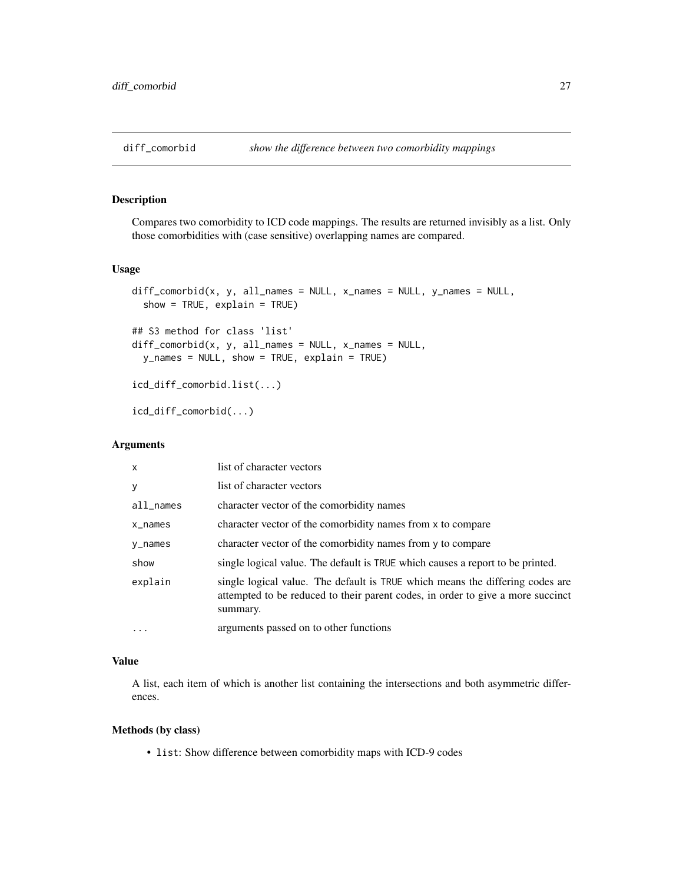<span id="page-26-1"></span><span id="page-26-0"></span>

Compares two comorbidity to ICD code mappings. The results are returned invisibly as a list. Only those comorbidities with (case sensitive) overlapping names are compared.

#### Usage

```
diff\_comorbid(x, y, all\_names = NULL, x\_names = NULL, y\_names = NULL,show = TRUE, explain = TRUE)
## S3 method for class 'list'
diff\_comorbid(x, y, all\_names = NULL, x\_names = NULL,y_names = NULL, show = TRUE, explain = TRUE)
icd_diff_comorbid.list(...)
icd_diff_comorbid(...)
```
#### Arguments

| $\mathsf{x}$ | list of character vectors                                                                                                                                                    |
|--------------|------------------------------------------------------------------------------------------------------------------------------------------------------------------------------|
| y            | list of character vectors                                                                                                                                                    |
| $all$ names  | character vector of the comorbidity names                                                                                                                                    |
| x_names      | character vector of the comorbidity names from x to compare                                                                                                                  |
| y_names      | character vector of the comorbidity names from y to compare                                                                                                                  |
| show         | single logical value. The default is TRUE which causes a report to be printed.                                                                                               |
| explain      | single logical value. The default is TRUE which means the differing codes are<br>attempted to be reduced to their parent codes, in order to give a more succinct<br>summary. |
| $\cdots$     | arguments passed on to other functions                                                                                                                                       |

#### Value

A list, each item of which is another list containing the intersections and both asymmetric differences.

#### Methods (by class)

• list: Show difference between comorbidity maps with ICD-9 codes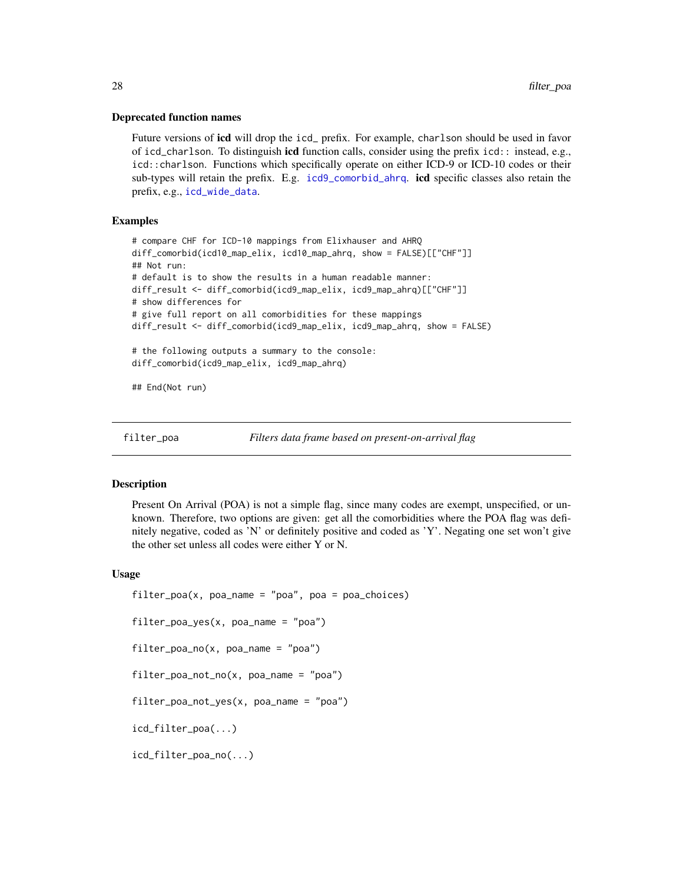#### <span id="page-27-0"></span>Deprecated function names

Future versions of **icd** will drop the icd prefix. For example, charlson should be used in favor of icd\_charlson. To distinguish icd function calls, consider using the prefix icd:: instead, e.g., icd::charlson. Functions which specifically operate on either ICD-9 or ICD-10 codes or their sub-types will retain the prefix. E.g. [icd9\\_comorbid\\_ahrq](#page-12-2). icd specific classes also retain the prefix, e.g., [icd\\_wide\\_data](#page-5-1).

#### Examples

```
# compare CHF for ICD-10 mappings from Elixhauser and AHRQ
diff_comorbid(icd10_map_elix, icd10_map_ahrq, show = FALSE)[["CHF"]]
## Not run:
# default is to show the results in a human readable manner:
diff_result <- diff_comorbid(icd9_map_elix, icd9_map_ahrq)[["CHF"]]
# show differences for
# give full report on all comorbidities for these mappings
diff_result <- diff_comorbid(icd9_map_elix, icd9_map_ahrq, show = FALSE)
# the following outputs a summary to the console:
diff_comorbid(icd9_map_elix, icd9_map_ahrq)
## End(Not run)
```
<span id="page-27-1"></span>

```
filter_poa Filters data frame based on present-on-arrival flag
```
#### **Description**

Present On Arrival (POA) is not a simple flag, since many codes are exempt, unspecified, or unknown. Therefore, two options are given: get all the comorbidities where the POA flag was definitely negative, coded as 'N' or definitely positive and coded as 'Y'. Negating one set won't give the other set unless all codes were either Y or N.

#### Usage

```
filter\_poa(x, poa_name = "poa", poa = poa_choices)filter_poa_yes(x, poa_name = "poa")
filter\_poa\_no(x, poa\_name = "poa")filter_poa_not_no(x, poa_name = "poa")
filter_poa_not_yes(x, poa_name = "poa")
icd_filter_poa(...)
icd_filter_poa_no(...)
```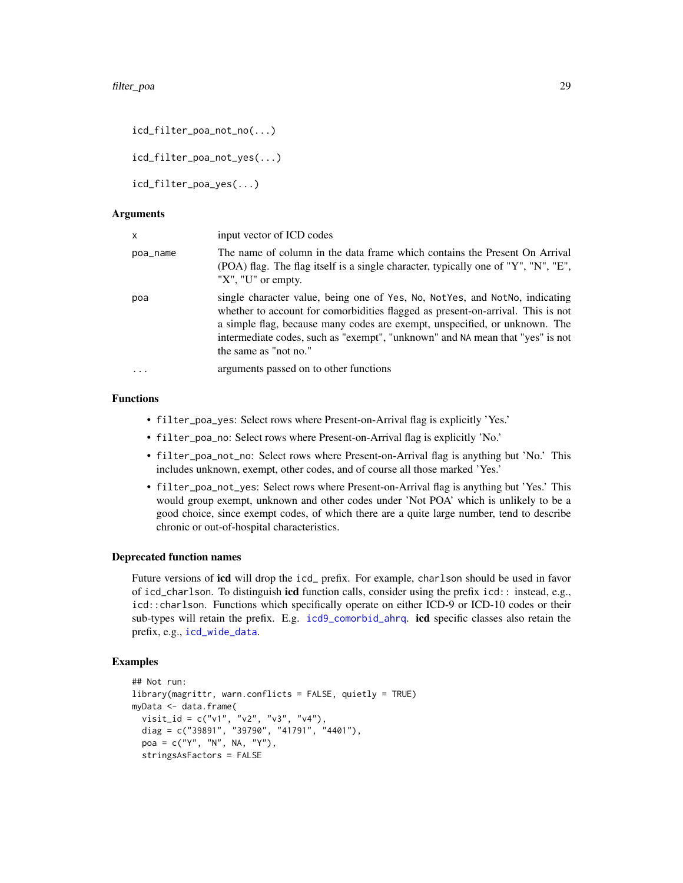```
icd_filter_poa_not_no(...)
```
icd\_filter\_poa\_not\_yes(...)

icd\_filter\_poa\_yes(...)

#### Arguments

| $\mathsf{x}$ | input vector of ICD codes                                                                                                                                                                                                                                                                                                                                |
|--------------|----------------------------------------------------------------------------------------------------------------------------------------------------------------------------------------------------------------------------------------------------------------------------------------------------------------------------------------------------------|
| poa_name     | The name of column in the data frame which contains the Present On Arrival<br>(POA) flag. The flag itself is a single character, typically one of "Y", "N", "E",<br>" $X$ ", " $U$ " or empty.                                                                                                                                                           |
| poa          | single character value, being one of Yes, No, Not Yes, and Not No, indicating<br>whether to account for comorbidities flagged as present-on-arrival. This is not<br>a simple flag, because many codes are exempt, unspecified, or unknown. The<br>intermediate codes, such as "exempt", "unknown" and NA mean that "yes" is not<br>the same as "not no." |
| $\ddotsc$    | arguments passed on to other functions                                                                                                                                                                                                                                                                                                                   |

#### Functions

- filter\_poa\_yes: Select rows where Present-on-Arrival flag is explicitly 'Yes.'
- filter\_poa\_no: Select rows where Present-on-Arrival flag is explicitly 'No.'
- filter\_poa\_not\_no: Select rows where Present-on-Arrival flag is anything but 'No.' This includes unknown, exempt, other codes, and of course all those marked 'Yes.'
- filter\_poa\_not\_yes: Select rows where Present-on-Arrival flag is anything but 'Yes.' This would group exempt, unknown and other codes under 'Not POA' which is unlikely to be a good choice, since exempt codes, of which there are a quite large number, tend to describe chronic or out-of-hospital characteristics.

#### Deprecated function names

Future versions of icd will drop the icd\_ prefix. For example, charlson should be used in favor of icd\_charlson. To distinguish icd function calls, consider using the prefix icd:: instead, e.g., icd::charlson. Functions which specifically operate on either ICD-9 or ICD-10 codes or their sub-types will retain the prefix. E.g. [icd9\\_comorbid\\_ahrq](#page-12-2). icd specific classes also retain the prefix, e.g., [icd\\_wide\\_data](#page-5-1).

#### Examples

```
## Not run:
library(magrittr, warn.conflicts = FALSE, quietly = TRUE)
myData <- data.frame(
  visit_id = c("v1", "v2", "v3", "v4"),
  diag = c("39891", "39790", "41791", "4401"),
  poa = c("Y", "N", NA, "Y"),
 stringsAsFactors = FALSE
```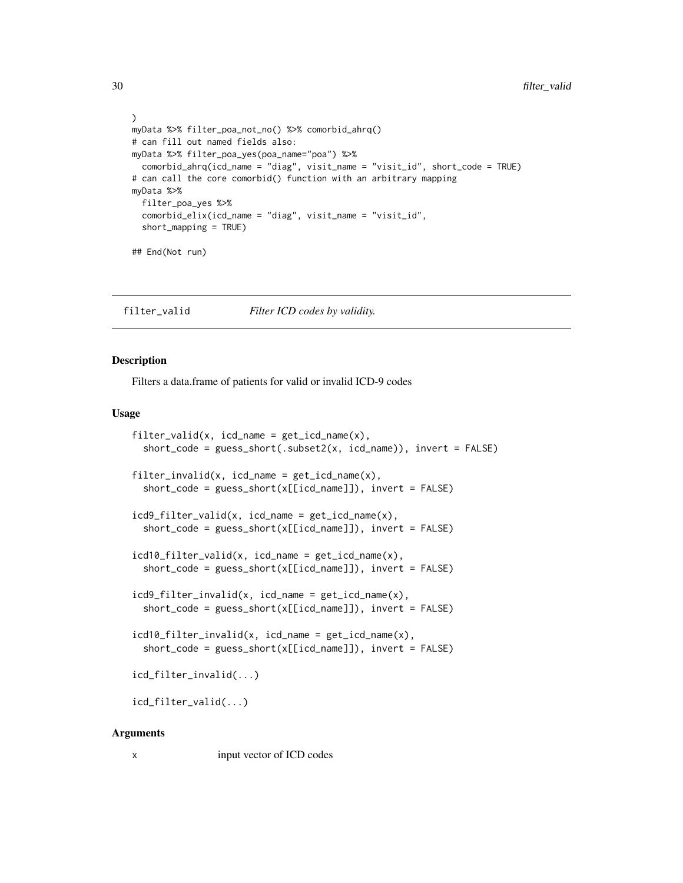```
)
myData %>% filter_poa_not_no() %>% comorbid_ahrq()
# can fill out named fields also:
myData %>% filter_poa_yes(poa_name="poa") %>%
  comorbid_ahrq(icd_name = "diag", visit_name = "visit_id", short_code = TRUE)
# can call the core comorbid() function with an arbitrary mapping
myData %>%
  filter_poa_yes %>%
  comorbid_elix(icd_name = "diag", visit_name = "visit_id",
  short_mapping = TRUE)
## End(Not run)
```
filter\_valid *Filter ICD codes by validity.*

#### Description

Filters a data.frame of patients for valid or invalid ICD-9 codes

#### Usage

```
filter_valid(x, icd_name = get_icd_name(x),
  short_code = guess_short(.subset2(x, icd_name)), invert = FALSE)
filter\_invality(x, icd_name = get\_icd_name(x),short\_code = guess\_short(x[[icd_name]]), invert = FALSE)icd9_filter_valid(x, icd_name = get_icd_name(x),
  short\_code = guess\_short(x[[icd_name]]), invert = FALSE)icd10_filter_valid(x, icd_name = get_icd_name(x),
  short_code = guess_short(x[[icd_name]]), invert = FALSE)
icd9_filter_invalid(x, icd_name = get_icd_name(x),
  short\_code = guess\_short(x[[icd_name]]), invert = FALSE)
icd10_filter_invalid(x, icd_name = get_icd_name(x),
  short\_code = guess\_short(x[[icd_name]]), invert = FALSE)icd_filter_invalid(...)
icd_filter_valid(...)
```
#### Arguments

x input vector of ICD codes

<span id="page-29-0"></span>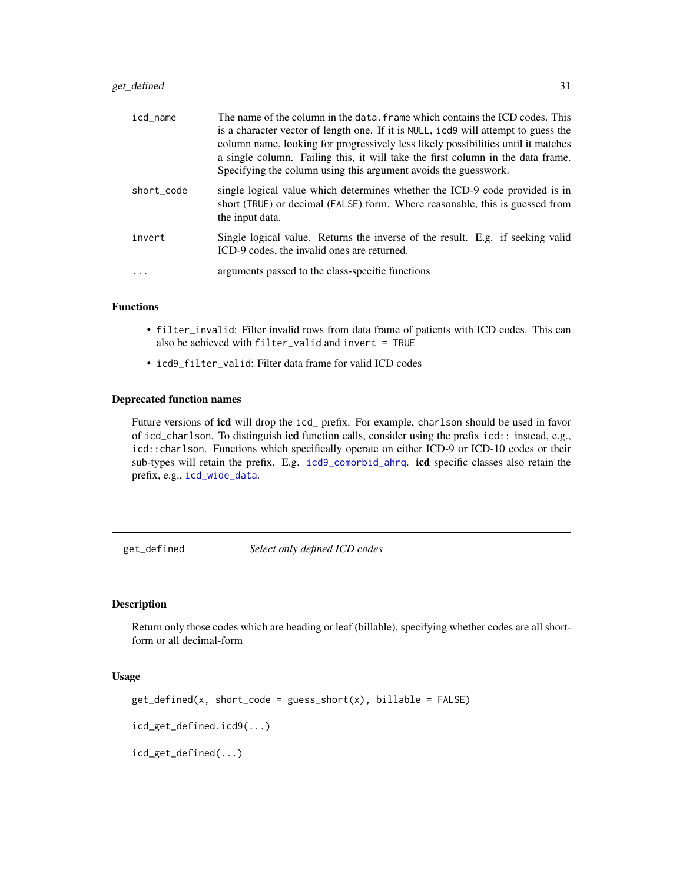#### <span id="page-30-0"></span>get\_defined 31

| icd_name   | The name of the column in the data. frame which contains the ICD codes. This<br>is a character vector of length one. If it is NULL, icd9 will attempt to guess the<br>column name, looking for progressively less likely possibilities until it matches<br>a single column. Failing this, it will take the first column in the data frame.<br>Specifying the column using this argument avoids the guesswork. |
|------------|---------------------------------------------------------------------------------------------------------------------------------------------------------------------------------------------------------------------------------------------------------------------------------------------------------------------------------------------------------------------------------------------------------------|
| short code | single logical value which determines whether the ICD-9 code provided is in<br>short (TRUE) or decimal (FALSE) form. Where reasonable, this is guessed from<br>the input data.                                                                                                                                                                                                                                |
| invert     | Single logical value. Returns the inverse of the result. E.g. if seeking valid<br>ICD-9 codes, the invalid ones are returned.                                                                                                                                                                                                                                                                                 |
| $\cdot$    | arguments passed to the class-specific functions                                                                                                                                                                                                                                                                                                                                                              |

#### Functions

- filter\_invalid: Filter invalid rows from data frame of patients with ICD codes. This can also be achieved with filter\_valid and invert = TRUE
- icd9\_filter\_valid: Filter data frame for valid ICD codes

#### Deprecated function names

Future versions of icd will drop the icd\_ prefix. For example, charlson should be used in favor of icd\_charlson. To distinguish icd function calls, consider using the prefix icd:: instead, e.g., icd::charlson. Functions which specifically operate on either ICD-9 or ICD-10 codes or their sub-types will retain the prefix. E.g. [icd9\\_comorbid\\_ahrq](#page-12-2). icd specific classes also retain the prefix, e.g., [icd\\_wide\\_data](#page-5-1).

get\_defined *Select only defined ICD codes*

#### Description

Return only those codes which are heading or leaf (billable), specifying whether codes are all shortform or all decimal-form

#### Usage

```
get_defined(x, short_code = guess_short(x), billable = FALSE)
```
icd\_get\_defined.icd9(...)

icd\_get\_defined(...)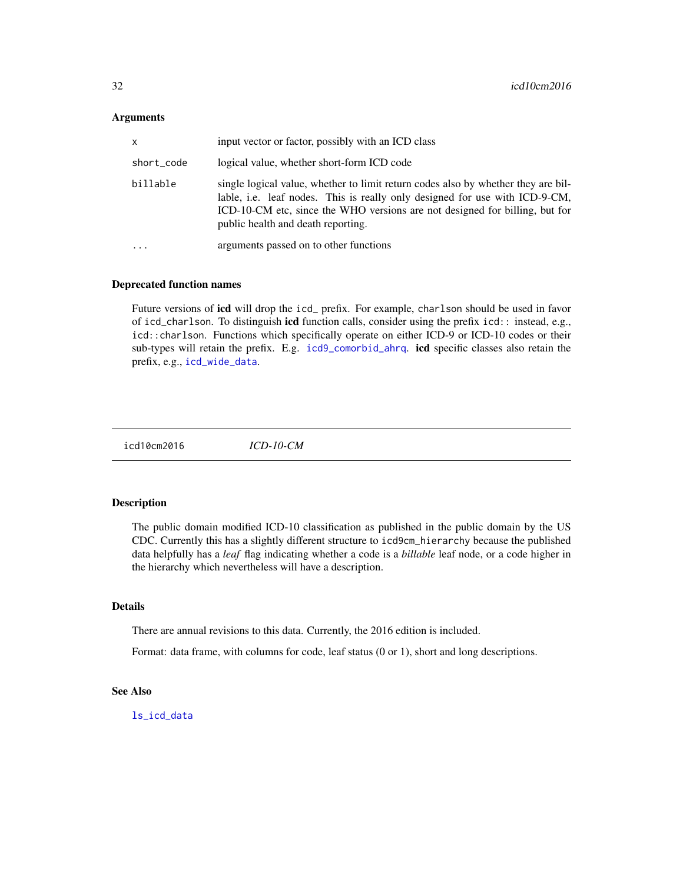#### <span id="page-31-0"></span>Arguments

| x          | input vector or factor, possibly with an ICD class                                                                                                                                                                                                                                    |
|------------|---------------------------------------------------------------------------------------------------------------------------------------------------------------------------------------------------------------------------------------------------------------------------------------|
| short_code | logical value, whether short-form ICD code                                                                                                                                                                                                                                            |
| billable   | single logical value, whether to limit return codes also by whether they are bil-<br>lable, i.e. leaf nodes. This is really only designed for use with ICD-9-CM,<br>ICD-10-CM etc, since the WHO versions are not designed for billing, but for<br>public health and death reporting. |
| .          | arguments passed on to other functions                                                                                                                                                                                                                                                |

#### Deprecated function names

Future versions of **icd** will drop the icd\_ prefix. For example, charlson should be used in favor of icd\_charlson. To distinguish icd function calls, consider using the prefix icd:: instead, e.g., icd::charlson. Functions which specifically operate on either ICD-9 or ICD-10 codes or their sub-types will retain the prefix. E.g. [icd9\\_comorbid\\_ahrq](#page-12-2). icd specific classes also retain the prefix, e.g., [icd\\_wide\\_data](#page-5-1).

icd10cm2016 *ICD-10-CM*

#### Description

The public domain modified ICD-10 classification as published in the public domain by the US CDC. Currently this has a slightly different structure to icd9cm\_hierarchy because the published data helpfully has a *leaf* flag indicating whether a code is a *billable* leaf node, or a code higher in the hierarchy which nevertheless will have a description.

#### Details

There are annual revisions to this data. Currently, the 2016 edition is included.

Format: data frame, with columns for code, leaf status (0 or 1), short and long descriptions.

#### See Also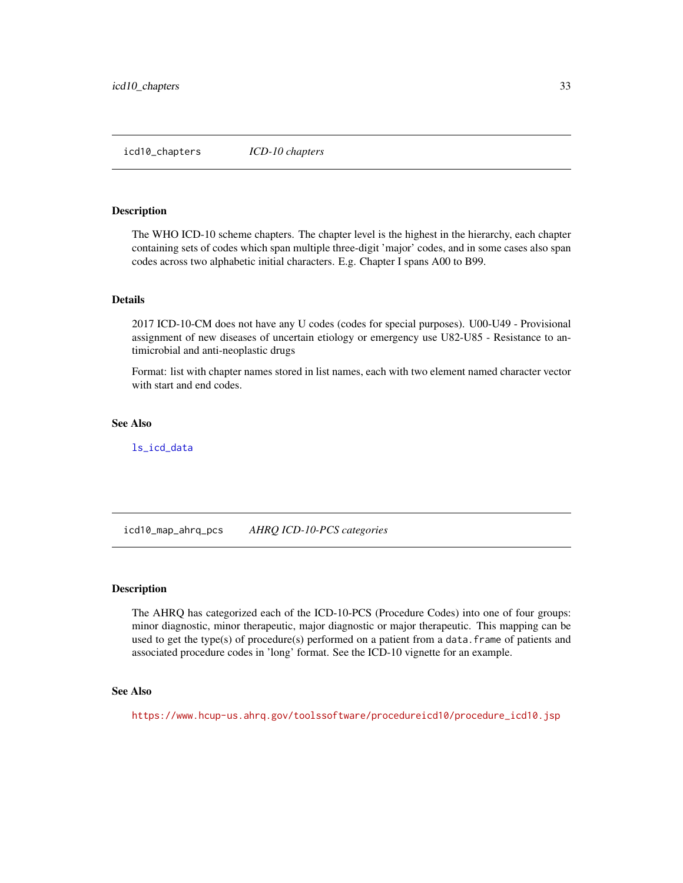<span id="page-32-0"></span>The WHO ICD-10 scheme chapters. The chapter level is the highest in the hierarchy, each chapter containing sets of codes which span multiple three-digit 'major' codes, and in some cases also span codes across two alphabetic initial characters. E.g. Chapter I spans A00 to B99.

#### Details

2017 ICD-10-CM does not have any U codes (codes for special purposes). U00-U49 - Provisional assignment of new diseases of uncertain etiology or emergency use U82-U85 - Resistance to antimicrobial and anti-neoplastic drugs

Format: list with chapter names stored in list names, each with two element named character vector with start and end codes.

#### See Also

[ls\\_icd\\_data](#page-0-0)

icd10\_map\_ahrq\_pcs *AHRQ ICD-10-PCS categories*

#### **Description**

The AHRQ has categorized each of the ICD-10-PCS (Procedure Codes) into one of four groups: minor diagnostic, minor therapeutic, major diagnostic or major therapeutic. This mapping can be used to get the type(s) of procedure(s) performed on a patient from a data.frame of patients and associated procedure codes in 'long' format. See the ICD-10 vignette for an example.

#### See Also

[https://www.hcup-us.ahrq.gov/toolssoftware/procedureicd10/procedure\\_icd10.jsp](https://www.hcup-us.ahrq.gov/toolssoftware/procedureicd10/procedure_icd10.jsp)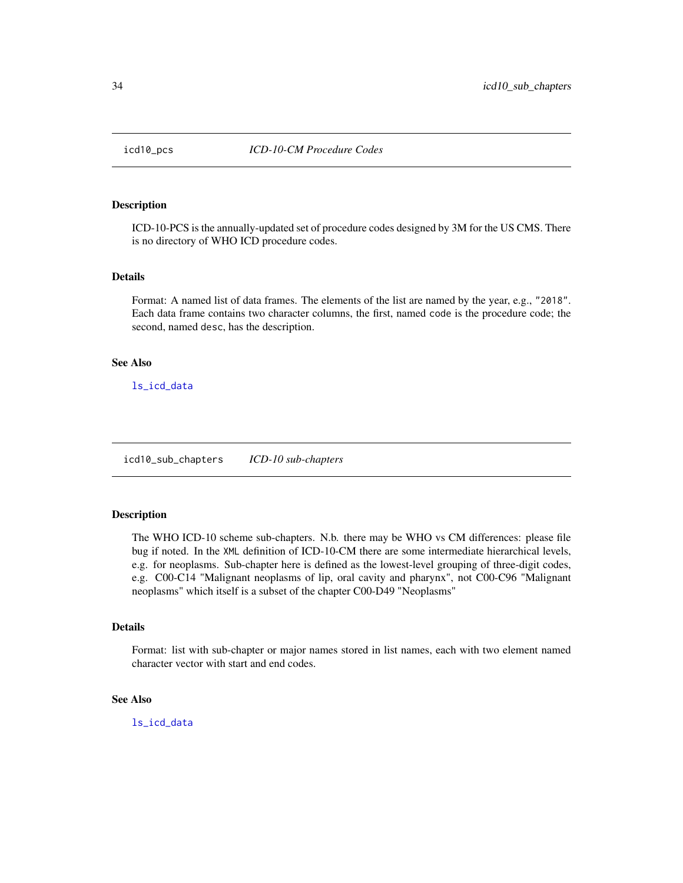<span id="page-33-0"></span>

ICD-10-PCS is the annually-updated set of procedure codes designed by 3M for the US CMS. There is no directory of WHO ICD procedure codes.

#### Details

Format: A named list of data frames. The elements of the list are named by the year, e.g., "2018". Each data frame contains two character columns, the first, named code is the procedure code; the second, named desc, has the description.

#### See Also

[ls\\_icd\\_data](#page-0-0)

icd10\_sub\_chapters *ICD-10 sub-chapters*

#### Description

The WHO ICD-10 scheme sub-chapters. N.b. there may be WHO vs CM differences: please file bug if noted. In the XML definition of ICD-10-CM there are some intermediate hierarchical levels, e.g. for neoplasms. Sub-chapter here is defined as the lowest-level grouping of three-digit codes, e.g. C00-C14 "Malignant neoplasms of lip, oral cavity and pharynx", not C00-C96 "Malignant neoplasms" which itself is a subset of the chapter C00-D49 "Neoplasms"

#### Details

Format: list with sub-chapter or major names stored in list names, each with two element named character vector with start and end codes.

#### See Also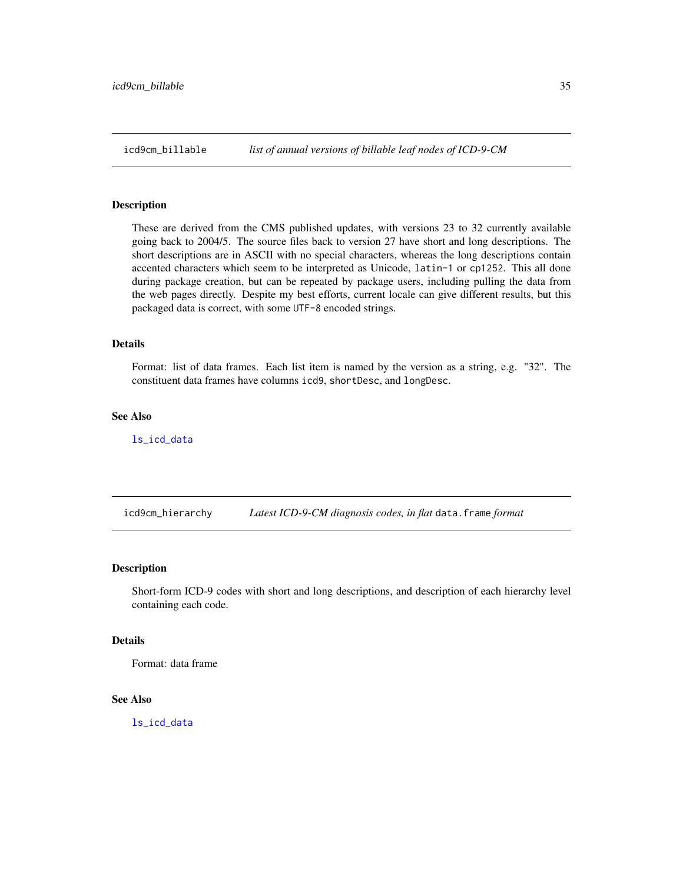<span id="page-34-0"></span>

These are derived from the CMS published updates, with versions 23 to 32 currently available going back to 2004/5. The source files back to version 27 have short and long descriptions. The short descriptions are in ASCII with no special characters, whereas the long descriptions contain accented characters which seem to be interpreted as Unicode, latin-1 or cp1252. This all done during package creation, but can be repeated by package users, including pulling the data from the web pages directly. Despite my best efforts, current locale can give different results, but this packaged data is correct, with some UTF-8 encoded strings.

#### Details

Format: list of data frames. Each list item is named by the version as a string, e.g. "32". The constituent data frames have columns icd9, shortDesc, and longDesc.

#### See Also

[ls\\_icd\\_data](#page-0-0)

<span id="page-34-1"></span>icd9cm\_hierarchy *Latest ICD-9-CM diagnosis codes, in flat* data.frame *format*

#### Description

Short-form ICD-9 codes with short and long descriptions, and description of each hierarchy level containing each code.

#### Details

Format: data frame

#### See Also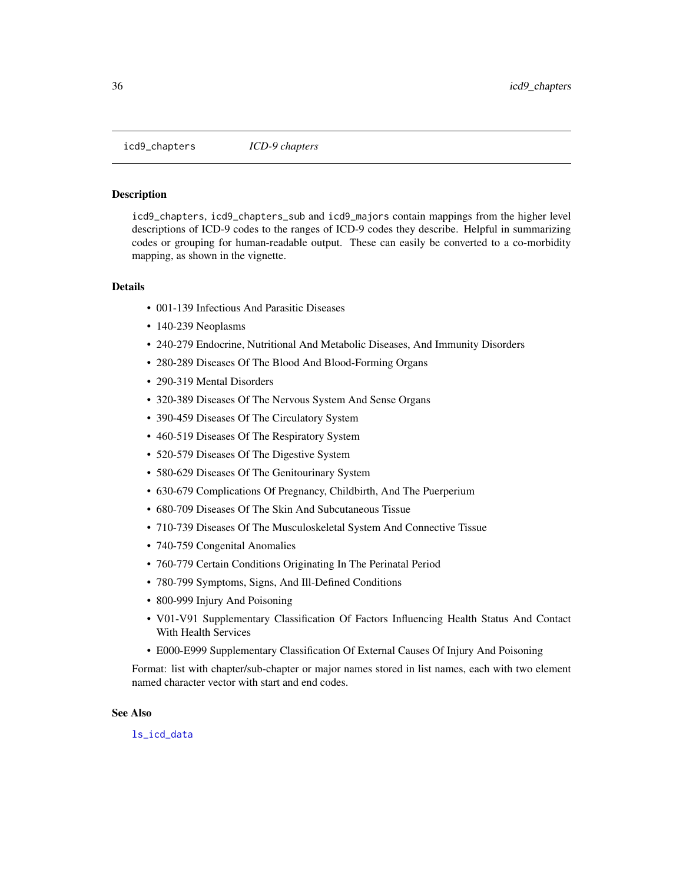<span id="page-35-1"></span><span id="page-35-0"></span>icd9\_chapters *ICD-9 chapters*

#### Description

icd9\_chapters, icd9\_chapters\_sub and icd9\_majors contain mappings from the higher level descriptions of ICD-9 codes to the ranges of ICD-9 codes they describe. Helpful in summarizing codes or grouping for human-readable output. These can easily be converted to a co-morbidity mapping, as shown in the vignette.

#### **Details**

- 001-139 Infectious And Parasitic Diseases
- 140-239 Neoplasms
- 240-279 Endocrine, Nutritional And Metabolic Diseases, And Immunity Disorders
- 280-289 Diseases Of The Blood And Blood-Forming Organs
- 290-319 Mental Disorders
- 320-389 Diseases Of The Nervous System And Sense Organs
- 390-459 Diseases Of The Circulatory System
- 460-519 Diseases Of The Respiratory System
- 520-579 Diseases Of The Digestive System
- 580-629 Diseases Of The Genitourinary System
- 630-679 Complications Of Pregnancy, Childbirth, And The Puerperium
- 680-709 Diseases Of The Skin And Subcutaneous Tissue
- 710-739 Diseases Of The Musculoskeletal System And Connective Tissue
- 740-759 Congenital Anomalies
- 760-779 Certain Conditions Originating In The Perinatal Period
- 780-799 Symptoms, Signs, And Ill-Defined Conditions
- 800-999 Injury And Poisoning
- V01-V91 Supplementary Classification Of Factors Influencing Health Status And Contact With Health Services
- E000-E999 Supplementary Classification Of External Causes Of Injury And Poisoning

Format: list with chapter/sub-chapter or major names stored in list names, each with two element named character vector with start and end codes.

#### See Also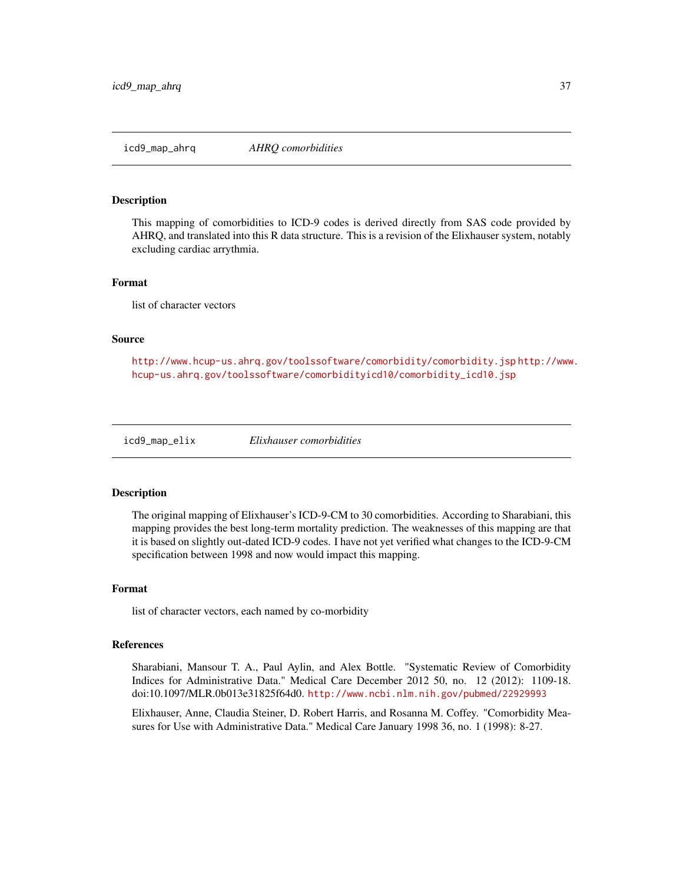<span id="page-36-1"></span><span id="page-36-0"></span>icd9\_map\_ahrq *AHRQ comorbidities*

#### <span id="page-36-2"></span>Description

This mapping of comorbidities to ICD-9 codes is derived directly from SAS code provided by AHRQ, and translated into this R data structure. This is a revision of the Elixhauser system, notably excluding cardiac arrythmia.

#### Format

list of character vectors

#### Source

<http://www.hcup-us.ahrq.gov/toolssoftware/comorbidity/comorbidity.jsp> [http://www](http://www.hcup-us.ahrq.gov/toolssoftware/comorbidityicd10/comorbidity_icd10.jsp). [hcup-us.ahrq.gov/toolssoftware/comorbidityicd10/comorbidity\\_icd10.jsp](http://www.hcup-us.ahrq.gov/toolssoftware/comorbidityicd10/comorbidity_icd10.jsp)

<span id="page-36-3"></span>icd9\_map\_elix *Elixhauser comorbidities*

#### <span id="page-36-4"></span>Description

The original mapping of Elixhauser's ICD-9-CM to 30 comorbidities. According to Sharabiani, this mapping provides the best long-term mortality prediction. The weaknesses of this mapping are that it is based on slightly out-dated ICD-9 codes. I have not yet verified what changes to the ICD-9-CM specification between 1998 and now would impact this mapping.

#### Format

list of character vectors, each named by co-morbidity

#### References

Sharabiani, Mansour T. A., Paul Aylin, and Alex Bottle. "Systematic Review of Comorbidity Indices for Administrative Data." Medical Care December 2012 50, no. 12 (2012): 1109-18. doi:10.1097/MLR.0b013e31825f64d0. <http://www.ncbi.nlm.nih.gov/pubmed/22929993>

Elixhauser, Anne, Claudia Steiner, D. Robert Harris, and Rosanna M. Coffey. "Comorbidity Measures for Use with Administrative Data." Medical Care January 1998 36, no. 1 (1998): 8-27.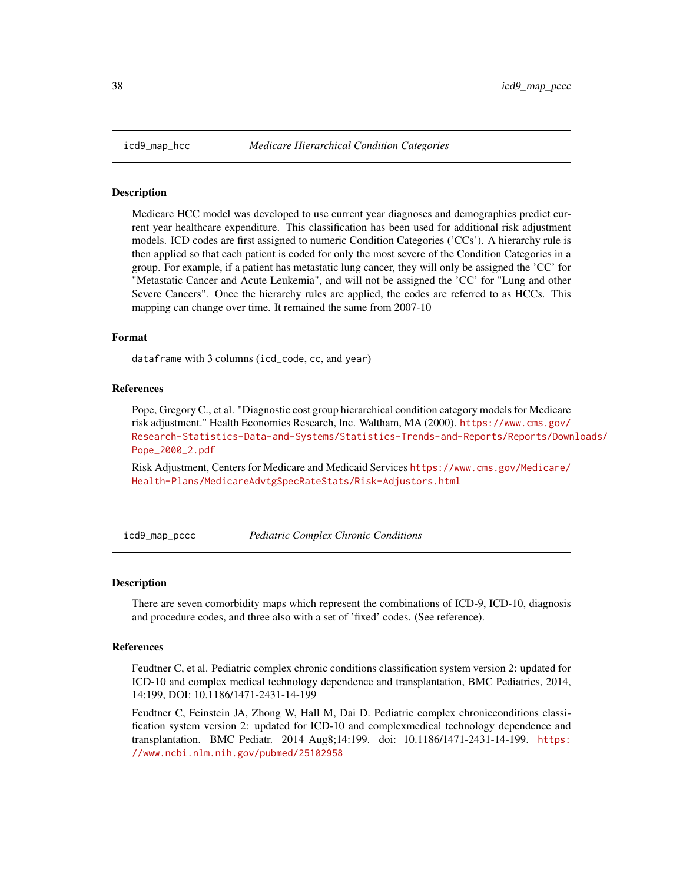<span id="page-37-0"></span>

Medicare HCC model was developed to use current year diagnoses and demographics predict current year healthcare expenditure. This classification has been used for additional risk adjustment models. ICD codes are first assigned to numeric Condition Categories ('CCs'). A hierarchy rule is then applied so that each patient is coded for only the most severe of the Condition Categories in a group. For example, if a patient has metastatic lung cancer, they will only be assigned the 'CC' for "Metastatic Cancer and Acute Leukemia", and will not be assigned the 'CC' for "Lung and other Severe Cancers". Once the hierarchy rules are applied, the codes are referred to as HCCs. This mapping can change over time. It remained the same from 2007-10

#### Format

dataframe with 3 columns (icd\_code, cc, and year)

#### References

Pope, Gregory C., et al. "Diagnostic cost group hierarchical condition category models for Medicare risk adjustment." Health Economics Research, Inc. Waltham, MA (2000). [https://www.cms.gov/](https://www.cms.gov/Research-Statistics-Data-and-Systems/Statistics-Trends-and-Reports/Reports/Downloads/Pope_2000_2.pdf) [Research-Statistics-Data-and-Systems/Statistics-Trends-and-Reports/Reports/Down](https://www.cms.gov/Research-Statistics-Data-and-Systems/Statistics-Trends-and-Reports/Reports/Downloads/Pope_2000_2.pdf)loads/ [Pope\\_2000\\_2.pdf](https://www.cms.gov/Research-Statistics-Data-and-Systems/Statistics-Trends-and-Reports/Reports/Downloads/Pope_2000_2.pdf)

Risk Adjustment, Centers for Medicare and Medicaid Services [https://www.cms.gov/Medicare/](https://www.cms.gov/Medicare/Health-Plans/MedicareAdvtgSpecRateStats/Risk-Adjustors.html) [Health-Plans/MedicareAdvtgSpecRateStats/Risk-Adjustors.html](https://www.cms.gov/Medicare/Health-Plans/MedicareAdvtgSpecRateStats/Risk-Adjustors.html)

icd9\_map\_pccc *Pediatric Complex Chronic Conditions*

#### Description

There are seven comorbidity maps which represent the combinations of ICD-9, ICD-10, diagnosis and procedure codes, and three also with a set of 'fixed' codes. (See reference).

#### References

Feudtner C, et al. Pediatric complex chronic conditions classification system version 2: updated for ICD-10 and complex medical technology dependence and transplantation, BMC Pediatrics, 2014, 14:199, DOI: 10.1186/1471-2431-14-199

Feudtner C, Feinstein JA, Zhong W, Hall M, Dai D. Pediatric complex chronicconditions classification system version 2: updated for ICD-10 and complexmedical technology dependence and transplantation. BMC Pediatr. 2014 Aug8;14:199. doi: 10.1186/1471-2431-14-199. [https:](https://www.ncbi.nlm.nih.gov/pubmed/25102958) [//www.ncbi.nlm.nih.gov/pubmed/25102958](https://www.ncbi.nlm.nih.gov/pubmed/25102958)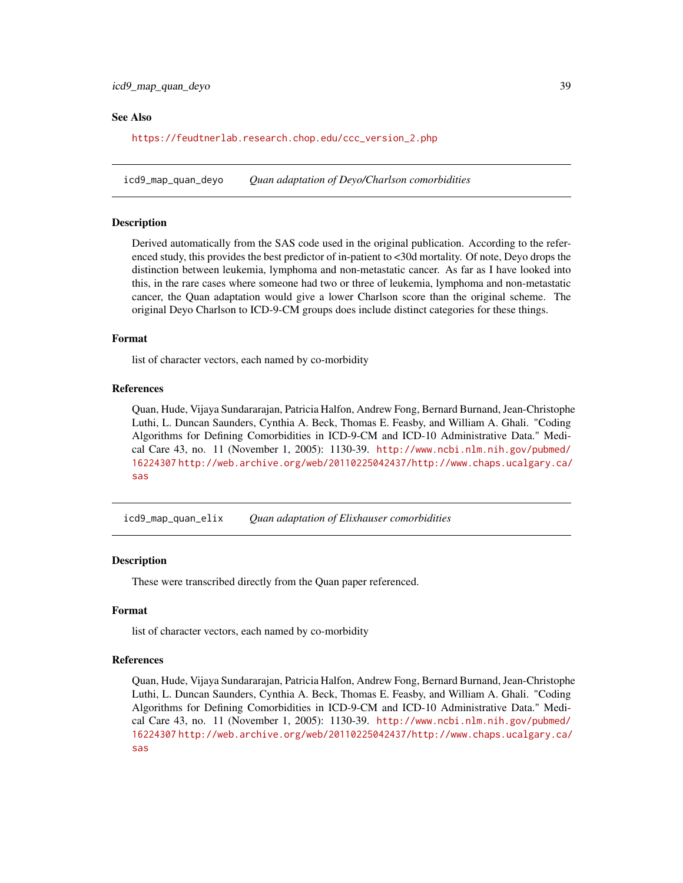#### <span id="page-38-0"></span>See Also

[https://feudtnerlab.research.chop.edu/ccc\\_version\\_2.php](https://feudtnerlab.research.chop.edu/ccc_version_2.php)

<span id="page-38-1"></span>icd9\_map\_quan\_deyo *Quan adaptation of Deyo/Charlson comorbidities*

#### <span id="page-38-2"></span>Description

Derived automatically from the SAS code used in the original publication. According to the referenced study, this provides the best predictor of in-patient to <30d mortality. Of note, Deyo drops the distinction between leukemia, lymphoma and non-metastatic cancer. As far as I have looked into this, in the rare cases where someone had two or three of leukemia, lymphoma and non-metastatic cancer, the Quan adaptation would give a lower Charlson score than the original scheme. The original Deyo Charlson to ICD-9-CM groups does include distinct categories for these things.

#### Format

list of character vectors, each named by co-morbidity

#### References

Quan, Hude, Vijaya Sundararajan, Patricia Halfon, Andrew Fong, Bernard Burnand, Jean-Christophe Luthi, L. Duncan Saunders, Cynthia A. Beck, Thomas E. Feasby, and William A. Ghali. "Coding Algorithms for Defining Comorbidities in ICD-9-CM and ICD-10 Administrative Data." Medical Care 43, no. 11 (November 1, 2005): 1130-39. [http://www.ncbi.nlm.nih.gov/pubmed/](http://www.ncbi.nlm.nih.gov/pubmed/16224307) [16224307](http://www.ncbi.nlm.nih.gov/pubmed/16224307) [http://web.archive.org/web/20110225042437/http://www.chaps.ucalgary.ca/](http://web.archive.org/web/20110225042437/http://www.chaps.ucalgary.ca/sas) [sas](http://web.archive.org/web/20110225042437/http://www.chaps.ucalgary.ca/sas)

<span id="page-38-3"></span>icd9\_map\_quan\_elix *Quan adaptation of Elixhauser comorbidities*

#### <span id="page-38-4"></span>**Description**

These were transcribed directly from the Quan paper referenced.

#### Format

list of character vectors, each named by co-morbidity

#### References

Quan, Hude, Vijaya Sundararajan, Patricia Halfon, Andrew Fong, Bernard Burnand, Jean-Christophe Luthi, L. Duncan Saunders, Cynthia A. Beck, Thomas E. Feasby, and William A. Ghali. "Coding Algorithms for Defining Comorbidities in ICD-9-CM and ICD-10 Administrative Data." Medical Care 43, no. 11 (November 1, 2005): 1130-39. [http://www.ncbi.nlm.nih.gov/pubmed/](http://www.ncbi.nlm.nih.gov/pubmed/16224307) [16224307](http://www.ncbi.nlm.nih.gov/pubmed/16224307) [http://web.archive.org/web/20110225042437/http://www.chaps.ucalgary.ca/](http://web.archive.org/web/20110225042437/http://www.chaps.ucalgary.ca/sas) [sas](http://web.archive.org/web/20110225042437/http://www.chaps.ucalgary.ca/sas)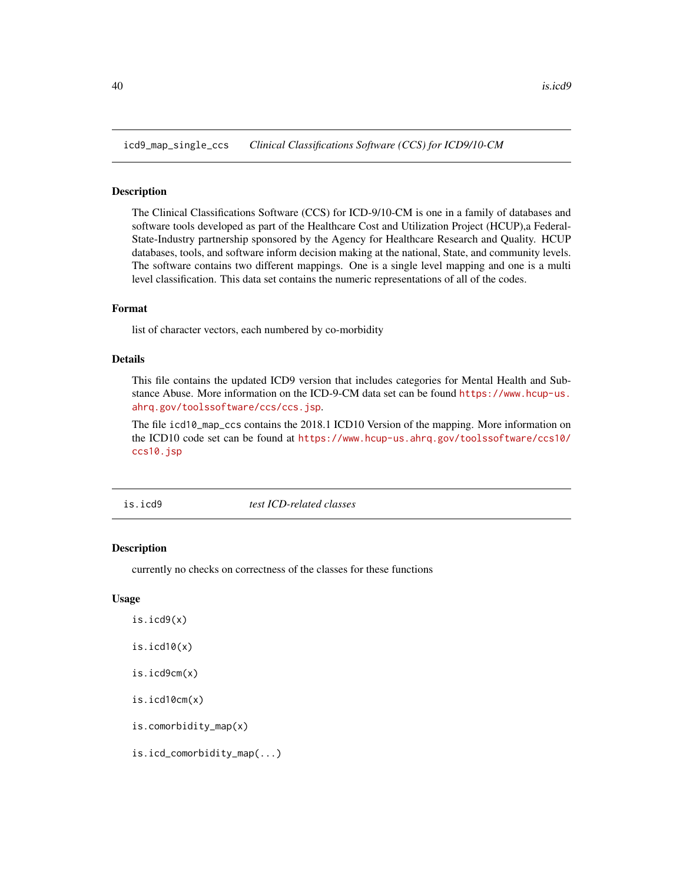<span id="page-39-1"></span><span id="page-39-0"></span>icd9\_map\_single\_ccs *Clinical Classifications Software (CCS) for ICD9/10-CM*

#### Description

The Clinical Classifications Software (CCS) for ICD-9/10-CM is one in a family of databases and software tools developed as part of the Healthcare Cost and Utilization Project (HCUP),a Federal-State-Industry partnership sponsored by the Agency for Healthcare Research and Quality. HCUP databases, tools, and software inform decision making at the national, State, and community levels. The software contains two different mappings. One is a single level mapping and one is a multi level classification. This data set contains the numeric representations of all of the codes.

#### Format

list of character vectors, each numbered by co-morbidity

#### Details

This file contains the updated ICD9 version that includes categories for Mental Health and Substance Abuse. More information on the ICD-9-CM data set can be found [https://www.hcup-us.](https://www.hcup-us.ahrq.gov/toolssoftware/ccs/ccs.jsp) [ahrq.gov/toolssoftware/ccs/ccs.jsp](https://www.hcup-us.ahrq.gov/toolssoftware/ccs/ccs.jsp).

The file icd10\_map\_ccs contains the 2018.1 ICD10 Version of the mapping. More information on the ICD10 code set can be found at [https://www.hcup-us.ahrq.gov/toolssoftware/ccs10/](https://www.hcup-us.ahrq.gov/toolssoftware/ccs10/ccs10.jsp) [ccs10.jsp](https://www.hcup-us.ahrq.gov/toolssoftware/ccs10/ccs10.jsp)

is.icd9 *test ICD-related classes*

#### **Description**

currently no checks on correctness of the classes for these functions

#### Usage

- is.icd9(x)
- $is.id10(x)$
- is.icd9cm(x)
- is.icd10cm(x)
- is.comorbidity\_map(x)
- is.icd\_comorbidity\_map(...)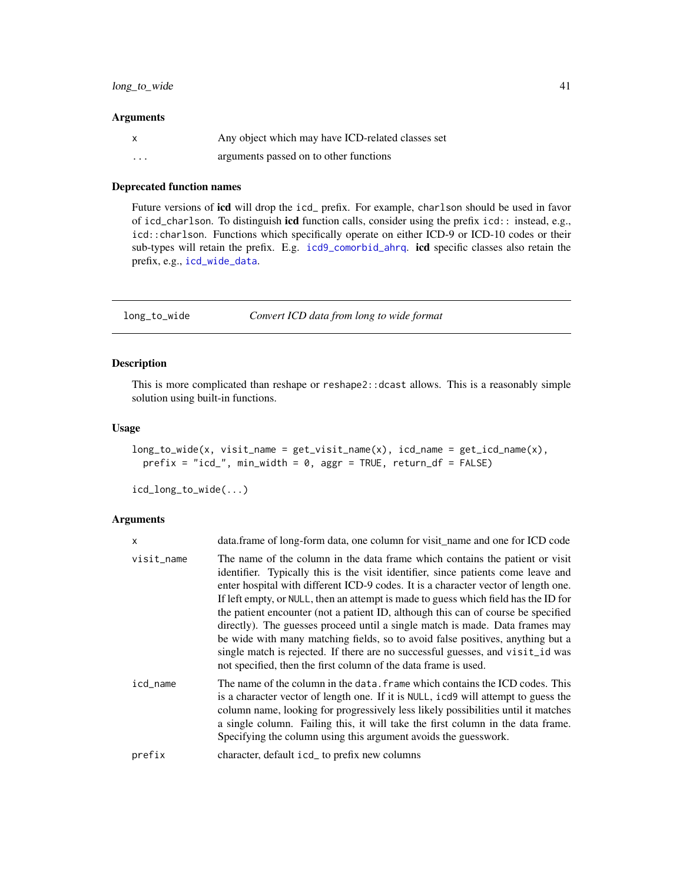#### <span id="page-40-0"></span>Arguments

|          | Any object which may have ICD-related classes set |
|----------|---------------------------------------------------|
| $\cdots$ | arguments passed on to other functions            |

#### Deprecated function names

Future versions of icd will drop the icd\_ prefix. For example, charlson should be used in favor of icd\_charlson. To distinguish icd function calls, consider using the prefix icd:: instead, e.g., icd::charlson. Functions which specifically operate on either ICD-9 or ICD-10 codes or their sub-types will retain the prefix. E.g. [icd9\\_comorbid\\_ahrq](#page-12-2). icd specific classes also retain the prefix, e.g., [icd\\_wide\\_data](#page-5-1).

<span id="page-40-1"></span>long\_to\_wide *Convert ICD data from long to wide format*

#### Description

This is more complicated than reshape or reshape2::dcast allows. This is a reasonably simple solution using built-in functions.

#### Usage

```
long_to_wide(x, visit_name = get_visit_name(x), icd_name = get\_icd_name(x),prefix = "icd,", min\_width = 0, ager = TRUE, return_df = FALSE)
```
icd\_long\_to\_wide(...)

| X          | data.frame of long-form data, one column for visit name and one for ICD code                                                                                                                                                                                                                                                                                                                                                                                                                                                                                                                                                                                                                                                                               |
|------------|------------------------------------------------------------------------------------------------------------------------------------------------------------------------------------------------------------------------------------------------------------------------------------------------------------------------------------------------------------------------------------------------------------------------------------------------------------------------------------------------------------------------------------------------------------------------------------------------------------------------------------------------------------------------------------------------------------------------------------------------------------|
| visit_name | The name of the column in the data frame which contains the patient or visit<br>identifier. Typically this is the visit identifier, since patients come leave and<br>enter hospital with different ICD-9 codes. It is a character vector of length one.<br>If left empty, or NULL, then an attempt is made to guess which field has the ID for<br>the patient encounter (not a patient ID, although this can of course be specified<br>directly). The guesses proceed until a single match is made. Data frames may<br>be wide with many matching fields, so to avoid false positives, anything but a<br>single match is rejected. If there are no successful guesses, and visit_id was<br>not specified, then the first column of the data frame is used. |
| icd_name   | The name of the column in the data, frame which contains the ICD codes. This<br>is a character vector of length one. If it is NULL, icd9 will attempt to guess the<br>column name, looking for progressively less likely possibilities until it matches<br>a single column. Failing this, it will take the first column in the data frame.<br>Specifying the column using this argument avoids the guesswork.                                                                                                                                                                                                                                                                                                                                              |
| prefix     | character, default icd_ to prefix new columns                                                                                                                                                                                                                                                                                                                                                                                                                                                                                                                                                                                                                                                                                                              |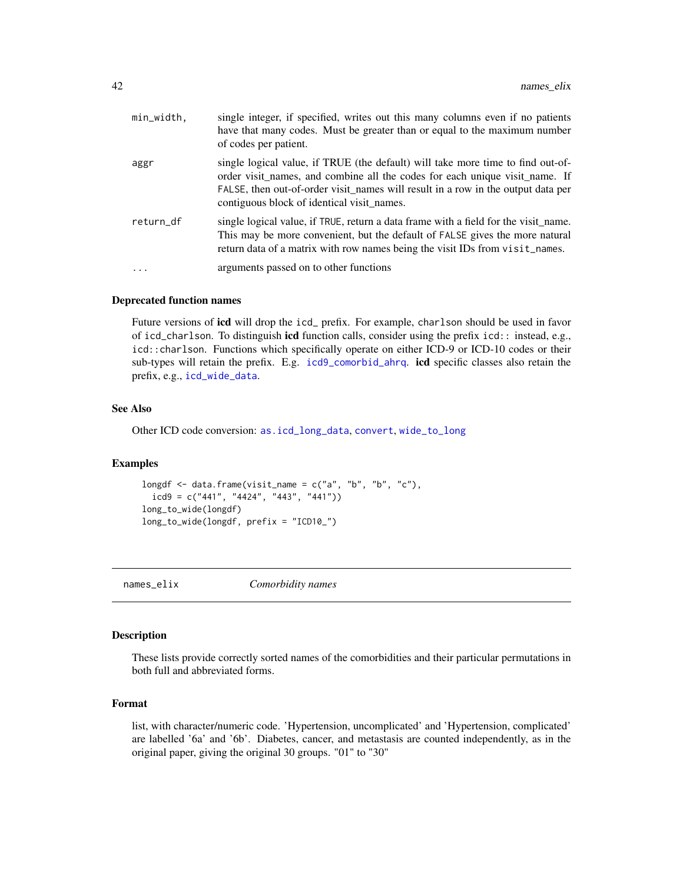<span id="page-41-0"></span>

| min_width, | single integer, if specified, writes out this many columns even if no patients<br>have that many codes. Must be greater than or equal to the maximum number<br>of codes per patient.                                                                                                             |
|------------|--------------------------------------------------------------------------------------------------------------------------------------------------------------------------------------------------------------------------------------------------------------------------------------------------|
| aggr       | single logical value, if TRUE (the default) will take more time to find out-of-<br>order visit names, and combine all the codes for each unique visit name. If<br>FALSE, then out-of-order visit_names will result in a row in the output data per<br>contiguous block of identical visit names. |
| return_df  | single logical value, if TRUE, return a data frame with a field for the visit_name.<br>This may be more convenient, but the default of FALSE gives the more natural<br>return data of a matrix with row names being the visit IDs from visit_names.                                              |
| $\ddotsc$  | arguments passed on to other functions                                                                                                                                                                                                                                                           |

#### Deprecated function names

Future versions of icd will drop the icd\_ prefix. For example, charlson should be used in favor of icd\_charlson. To distinguish icd function calls, consider using the prefix icd:: instead, e.g., icd::charlson. Functions which specifically operate on either ICD-9 or ICD-10 codes or their sub-types will retain the prefix. E.g. [icd9\\_comorbid\\_ahrq](#page-12-2). icd specific classes also retain the prefix, e.g., [icd\\_wide\\_data](#page-5-1).

#### See Also

Other ICD code conversion: [as.icd\\_long\\_data](#page-5-2), [convert](#page-22-1), [wide\\_to\\_long](#page-48-1)

#### Examples

```
longdf \leq data.frame(visit_name = c("a", "b", "b", "c"),
 icd9 = c("441", "4424", "443", "441"))long_to_wide(longdf)
long_to_wide(longdf, prefix = "ICD10_")
```
names\_elix *Comorbidity names*

#### Description

These lists provide correctly sorted names of the comorbidities and their particular permutations in both full and abbreviated forms.

#### Format

list, with character/numeric code. 'Hypertension, uncomplicated' and 'Hypertension, complicated' are labelled '6a' and '6b'. Diabetes, cancer, and metastasis are counted independently, as in the original paper, giving the original 30 groups. "01" to "30"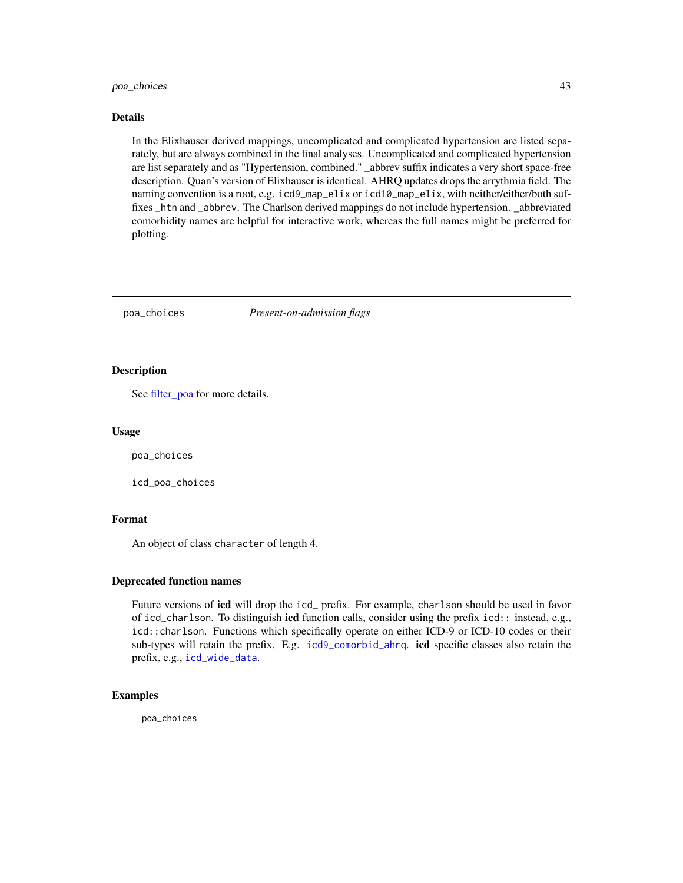#### <span id="page-42-0"></span>poa\_choices 43

#### Details

In the Elixhauser derived mappings, uncomplicated and complicated hypertension are listed separately, but are always combined in the final analyses. Uncomplicated and complicated hypertension are list separately and as "Hypertension, combined." \_abbrev suffix indicates a very short space-free description. Quan's version of Elixhauser is identical. AHRQ updates drops the arrythmia field. The naming convention is a root, e.g. icd9\_map\_elix or icd10\_map\_elix, with neither/either/both suffixes \_htn and \_abbrev. The Charlson derived mappings do not include hypertension. \_abbreviated comorbidity names are helpful for interactive work, whereas the full names might be preferred for plotting.

poa\_choices *Present-on-admission flags*

#### Description

See [filter\\_poa](#page-27-1) for more details.

#### Usage

poa\_choices

icd\_poa\_choices

#### Format

An object of class character of length 4.

#### Deprecated function names

Future versions of **icd** will drop the icd\_ prefix. For example, charlson should be used in favor of icd\_charlson. To distinguish icd function calls, consider using the prefix icd:: instead, e.g., icd::charlson. Functions which specifically operate on either ICD-9 or ICD-10 codes or their sub-types will retain the prefix. E.g. [icd9\\_comorbid\\_ahrq](#page-12-2). icd specific classes also retain the prefix, e.g., [icd\\_wide\\_data](#page-5-1).

#### Examples

poa\_choices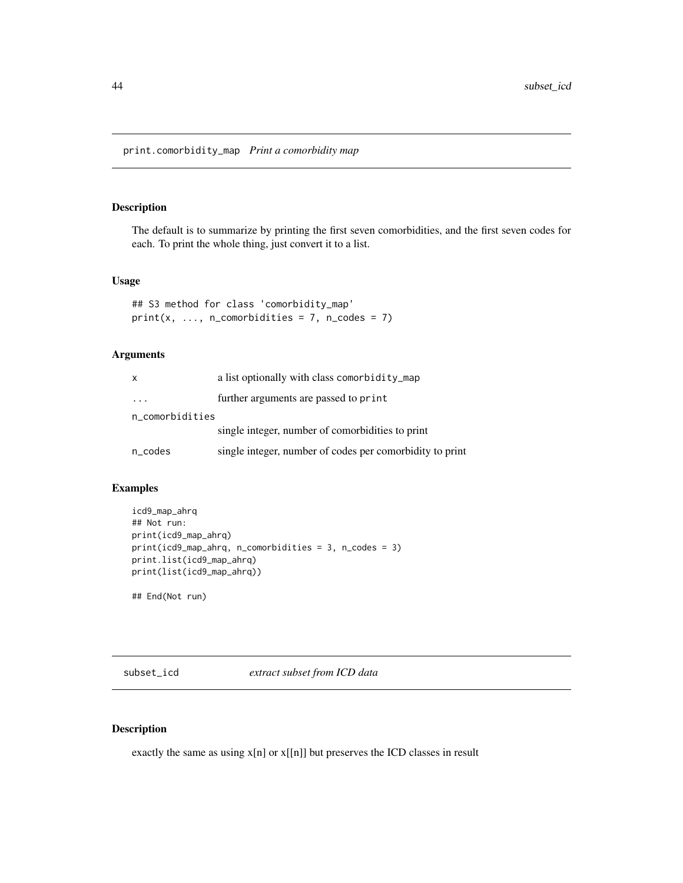<span id="page-43-0"></span>print.comorbidity\_map *Print a comorbidity map*

#### Description

The default is to summarize by printing the first seven comorbidities, and the first seven codes for each. To print the whole thing, just convert it to a list.

#### Usage

```
## S3 method for class 'comorbidity_map'
print(x, ..., n_{conorbidities} = 7, n_{code} = 7)
```
#### Arguments

| X                 | a list optionally with class comorbidity_map             |
|-------------------|----------------------------------------------------------|
| $\cdots$          | further arguments are passed to print                    |
| n_comorbidities   |                                                          |
|                   | single integer, number of comorbidities to print         |
| $n\_{code}$ codes | single integer, number of codes per comorbidity to print |

#### Examples

```
icd9_map_ahrq
## Not run:
print(icd9_map_ahrq)
print(icd9_map_ahrq, n_comorbidities = 3, n_codes = 3)
print.list(icd9_map_ahrq)
print(list(icd9_map_ahrq))
```
## End(Not run)

subset\_icd *extract subset from ICD data*

#### Description

exactly the same as using x[n] or x[[n]] but preserves the ICD classes in result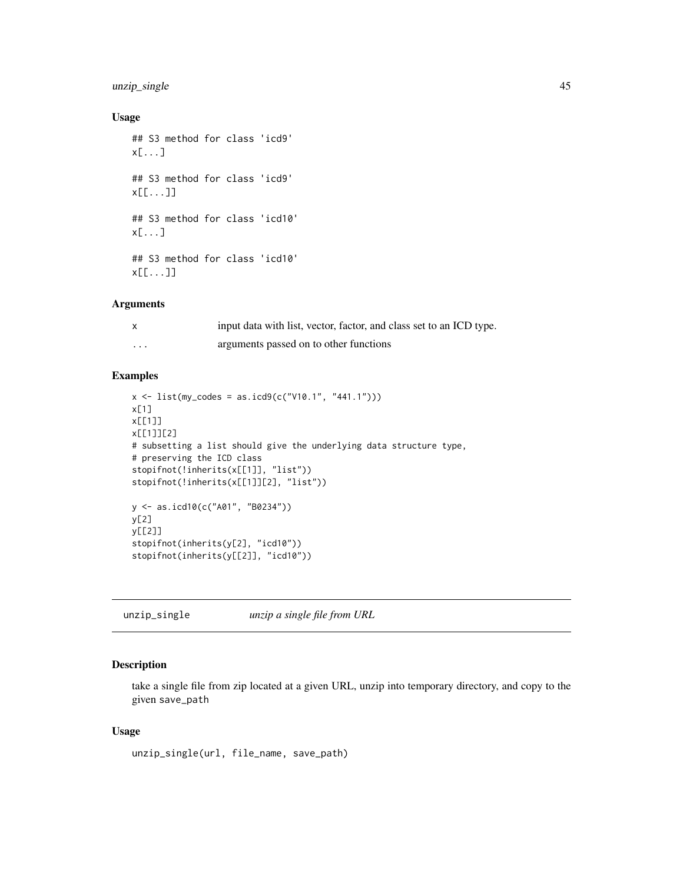#### <span id="page-44-0"></span>unzip\_single 45

#### Usage

```
## S3 method for class 'icd9'
x[...]
## S3 method for class 'icd9'
x[[...]]
## S3 method for class 'icd10'
x[...]
## S3 method for class 'icd10'
x[[...]]
```
#### Arguments

|          | input data with list, vector, factor, and class set to an ICD type. |
|----------|---------------------------------------------------------------------|
| $\cdots$ | arguments passed on to other functions                              |

#### Examples

```
x \le - list(my_codes = as.icd9(c("V10.1", "441.1")))
x[1]
x[[1]]
x[[1]][2]
# subsetting a list should give the underlying data structure type,
# preserving the ICD class
stopifnot(!inherits(x[[1]], "list"))
stopifnot(!inherits(x[[1]][2], "list"))
y <- as.icd10(c("A01", "B0234"))
y[2]
y[[2]]
stopifnot(inherits(y[2], "icd10"))
stopifnot(inherits(y[[2]], "icd10"))
```
unzip\_single *unzip a single file from URL*

#### Description

take a single file from zip located at a given URL, unzip into temporary directory, and copy to the given save\_path

#### Usage

```
unzip_single(url, file_name, save_path)
```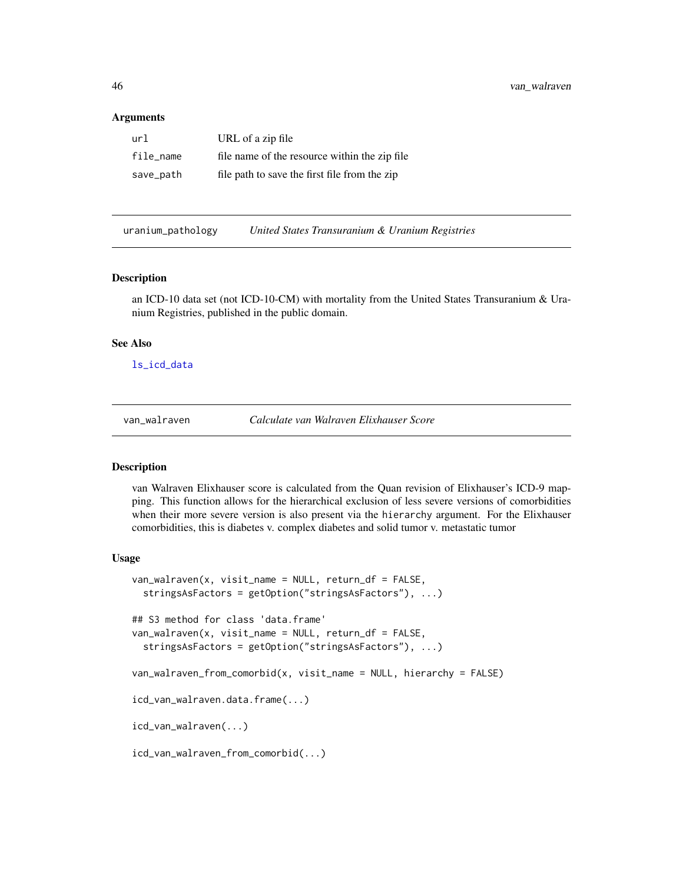#### <span id="page-45-0"></span>Arguments

| url       | URL of a zip file                             |
|-----------|-----------------------------------------------|
| file name | file name of the resource within the zip file |
| save_path | file path to save the first file from the zip |

uranium\_pathology *United States Transuranium & Uranium Registries*

#### Description

an ICD-10 data set (not ICD-10-CM) with mortality from the United States Transuranium & Uranium Registries, published in the public domain.

#### See Also

[ls\\_icd\\_data](#page-0-0)

<span id="page-45-1"></span>

van\_walraven *Calculate van Walraven Elixhauser Score*

#### <span id="page-45-2"></span>Description

van Walraven Elixhauser score is calculated from the Quan revision of Elixhauser's ICD-9 mapping. This function allows for the hierarchical exclusion of less severe versions of comorbidities when their more severe version is also present via the hierarchy argument. For the Elixhauser comorbidities, this is diabetes v. complex diabetes and solid tumor v. metastatic tumor

#### Usage

```
van_walraven(x, visit_name = NULL, return_df = FALSE,
  stringsAsFactors = getOption("stringsAsFactors"), ...)
## S3 method for class 'data.frame'
van_walraven(x, visit_name = NULL, return_df = FALSE,
  stringsAsFactors = getOption("stringsAsFactors"), ...)
van_walraven_from_comorbid(x, visit_name = NULL, hierarchy = FALSE)
icd_van_walraven.data.frame(...)
icd_van_walraven(...)
icd_van_walraven_from_comorbid(...)
```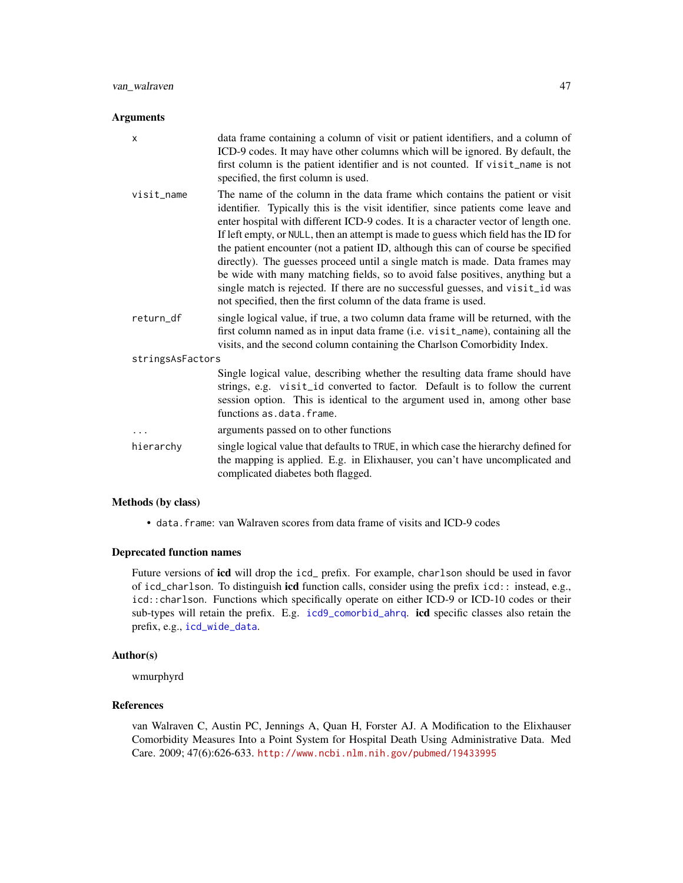#### <span id="page-46-0"></span>Arguments

| $\boldsymbol{\mathsf{x}}$ | data frame containing a column of visit or patient identifiers, and a column of<br>ICD-9 codes. It may have other columns which will be ignored. By default, the<br>first column is the patient identifier and is not counted. If visit_name is not<br>specified, the first column is used.                                                                                                                                                                                                                                                                                                                                                                                                                                                                |
|---------------------------|------------------------------------------------------------------------------------------------------------------------------------------------------------------------------------------------------------------------------------------------------------------------------------------------------------------------------------------------------------------------------------------------------------------------------------------------------------------------------------------------------------------------------------------------------------------------------------------------------------------------------------------------------------------------------------------------------------------------------------------------------------|
| visit name                | The name of the column in the data frame which contains the patient or visit<br>identifier. Typically this is the visit identifier, since patients come leave and<br>enter hospital with different ICD-9 codes. It is a character vector of length one.<br>If left empty, or NULL, then an attempt is made to guess which field has the ID for<br>the patient encounter (not a patient ID, although this can of course be specified<br>directly). The guesses proceed until a single match is made. Data frames may<br>be wide with many matching fields, so to avoid false positives, anything but a<br>single match is rejected. If there are no successful guesses, and visit_id was<br>not specified, then the first column of the data frame is used. |
| return_df                 | single logical value, if true, a two column data frame will be returned, with the<br>first column named as in input data frame (i.e. visit_name), containing all the<br>visits, and the second column containing the Charlson Comorbidity Index.                                                                                                                                                                                                                                                                                                                                                                                                                                                                                                           |
| stringsAsFactors          |                                                                                                                                                                                                                                                                                                                                                                                                                                                                                                                                                                                                                                                                                                                                                            |
|                           | Single logical value, describing whether the resulting data frame should have<br>strings, e.g. visit_id converted to factor. Default is to follow the current<br>session option. This is identical to the argument used in, among other base<br>functions as.data.frame.                                                                                                                                                                                                                                                                                                                                                                                                                                                                                   |
| .                         | arguments passed on to other functions                                                                                                                                                                                                                                                                                                                                                                                                                                                                                                                                                                                                                                                                                                                     |
| hierarchy                 | single logical value that defaults to TRUE, in which case the hierarchy defined for<br>the mapping is applied. E.g. in Elixhauser, you can't have uncomplicated and<br>complicated diabetes both flagged.                                                                                                                                                                                                                                                                                                                                                                                                                                                                                                                                                  |

#### Methods (by class)

• data.frame: van Walraven scores from data frame of visits and ICD-9 codes

#### Deprecated function names

Future versions of icd will drop the icd\_ prefix. For example, charlson should be used in favor of icd\_charlson. To distinguish icd function calls, consider using the prefix icd:: instead, e.g., icd::charlson. Functions which specifically operate on either ICD-9 or ICD-10 codes or their sub-types will retain the prefix. E.g. [icd9\\_comorbid\\_ahrq](#page-12-2). icd specific classes also retain the prefix, e.g., [icd\\_wide\\_data](#page-5-1).

#### Author(s)

wmurphyrd

#### References

van Walraven C, Austin PC, Jennings A, Quan H, Forster AJ. A Modification to the Elixhauser Comorbidity Measures Into a Point System for Hospital Death Using Administrative Data. Med Care. 2009; 47(6):626-633. <http://www.ncbi.nlm.nih.gov/pubmed/19433995>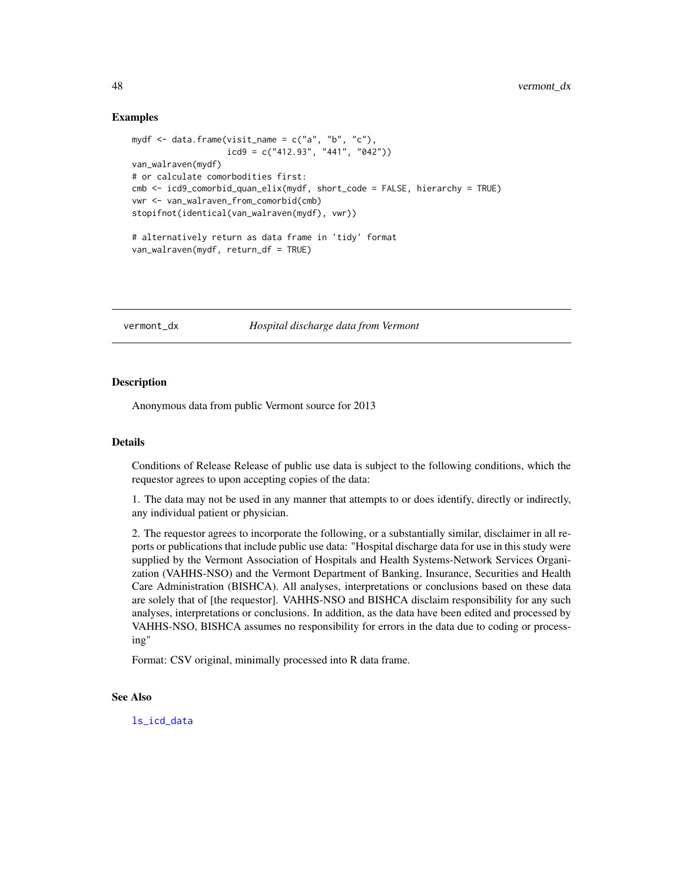#### Examples

```
mydf \leq data.frame(visit_name = c("a", "b", "c"),icd9 = c("412.93", "441", "042"))
van_walraven(mydf)
# or calculate comorbodities first:
cmb <- icd9_comorbid_quan_elix(mydf, short_code = FALSE, hierarchy = TRUE)
vwr <- van_walraven_from_comorbid(cmb)
stopifnot(identical(van_walraven(mydf), vwr))
# alternatively return as data frame in 'tidy' format
van_walraven(mydf, return_df = TRUE)
```
vermont\_dx *Hospital discharge data from Vermont*

#### Description

Anonymous data from public Vermont source for 2013

#### Details

Conditions of Release Release of public use data is subject to the following conditions, which the requestor agrees to upon accepting copies of the data:

1. The data may not be used in any manner that attempts to or does identify, directly or indirectly, any individual patient or physician.

2. The requestor agrees to incorporate the following, or a substantially similar, disclaimer in all reports or publications that include public use data: "Hospital discharge data for use in this study were supplied by the Vermont Association of Hospitals and Health Systems-Network Services Organization (VAHHS-NSO) and the Vermont Department of Banking, Insurance, Securities and Health Care Administration (BISHCA). All analyses, interpretations or conclusions based on these data are solely that of [the requestor]. VAHHS-NSO and BISHCA disclaim responsibility for any such analyses, interpretations or conclusions. In addition, as the data have been edited and processed by VAHHS-NSO, BISHCA assumes no responsibility for errors in the data due to coding or processing"

Format: CSV original, minimally processed into R data frame.

#### See Also

<span id="page-47-0"></span>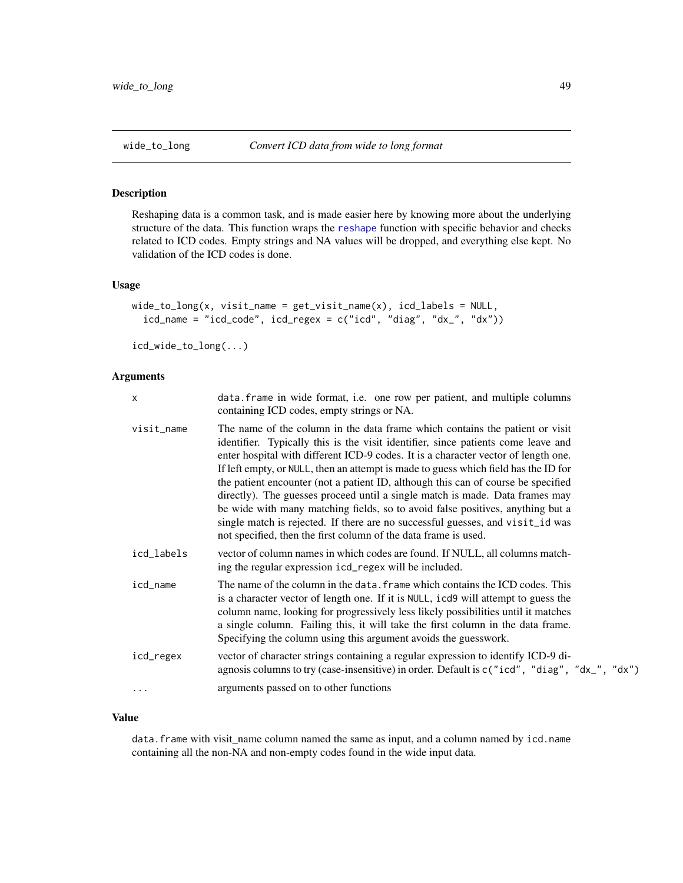<span id="page-48-1"></span><span id="page-48-0"></span>

Reshaping data is a common task, and is made easier here by knowing more about the underlying structure of the data. This function wraps the [reshape](#page-0-0) function with specific behavior and checks related to ICD codes. Empty strings and NA values will be dropped, and everything else kept. No validation of the ICD codes is done.

#### Usage

```
wide\_to\_long(x, visit\_name = get\_visit\_name(x), icd\_labels = NULL,icd_name = "icd_code", icd_regex = c("icd", "diag", "dx", "dx"))
```
icd\_wide\_to\_long(...)

#### Arguments

| $\times$   | data. frame in wide format, i.e. one row per patient, and multiple columns<br>containing ICD codes, empty strings or NA.                                                                                                                                                                                                                                                                                                                                                                                                                                                                                                                                                                                                                                   |
|------------|------------------------------------------------------------------------------------------------------------------------------------------------------------------------------------------------------------------------------------------------------------------------------------------------------------------------------------------------------------------------------------------------------------------------------------------------------------------------------------------------------------------------------------------------------------------------------------------------------------------------------------------------------------------------------------------------------------------------------------------------------------|
| visit_name | The name of the column in the data frame which contains the patient or visit<br>identifier. Typically this is the visit identifier, since patients come leave and<br>enter hospital with different ICD-9 codes. It is a character vector of length one.<br>If left empty, or NULL, then an attempt is made to guess which field has the ID for<br>the patient encounter (not a patient ID, although this can of course be specified<br>directly). The guesses proceed until a single match is made. Data frames may<br>be wide with many matching fields, so to avoid false positives, anything but a<br>single match is rejected. If there are no successful guesses, and visit_id was<br>not specified, then the first column of the data frame is used. |
| icd_labels | vector of column names in which codes are found. If NULL, all columns match-<br>ing the regular expression icd_regex will be included.                                                                                                                                                                                                                                                                                                                                                                                                                                                                                                                                                                                                                     |
| icd_name   | The name of the column in the data. frame which contains the ICD codes. This<br>is a character vector of length one. If it is NULL, icd9 will attempt to guess the<br>column name, looking for progressively less likely possibilities until it matches<br>a single column. Failing this, it will take the first column in the data frame.<br>Specifying the column using this argument avoids the guesswork.                                                                                                                                                                                                                                                                                                                                              |
| icd_regex  | vector of character strings containing a regular expression to identify ICD-9 di-<br>agnosis columns to try (case-insensitive) in order. Default is c("icd", "diag", "dx_", "dx")                                                                                                                                                                                                                                                                                                                                                                                                                                                                                                                                                                          |
|            | arguments passed on to other functions                                                                                                                                                                                                                                                                                                                                                                                                                                                                                                                                                                                                                                                                                                                     |

#### Value

data. frame with visit\_name column named the same as input, and a column named by icd.name containing all the non-NA and non-empty codes found in the wide input data.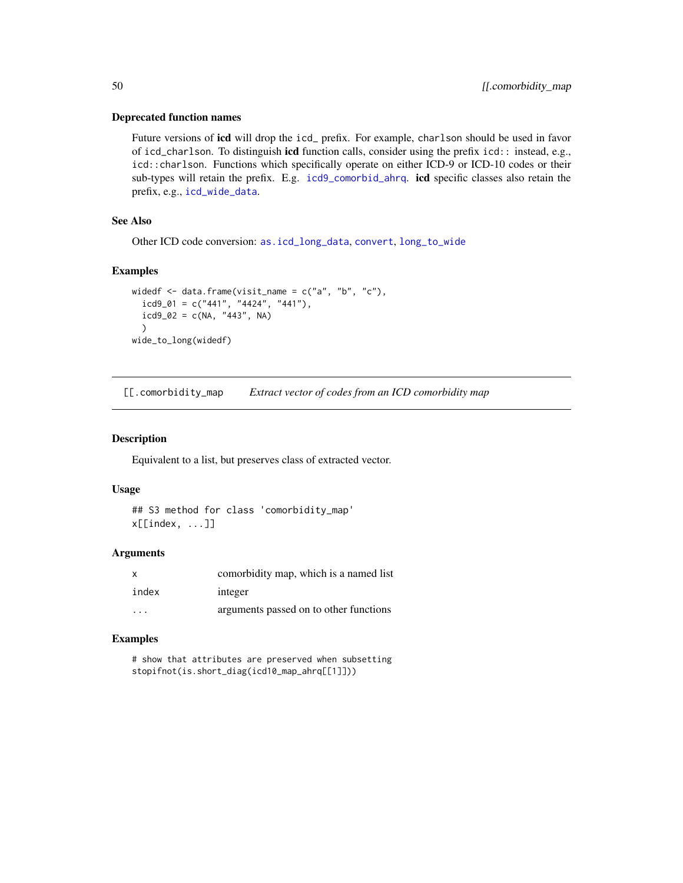#### Deprecated function names

Future versions of **icd** will drop the icd\_ prefix. For example, charlson should be used in favor of icd\_charlson. To distinguish icd function calls, consider using the prefix icd:: instead, e.g., icd::charlson. Functions which specifically operate on either ICD-9 or ICD-10 codes or their sub-types will retain the prefix. E.g. [icd9\\_comorbid\\_ahrq](#page-12-2). icd specific classes also retain the prefix, e.g., [icd\\_wide\\_data](#page-5-1).

#### See Also

Other ICD code conversion: [as.icd\\_long\\_data](#page-5-2), [convert](#page-22-1), [long\\_to\\_wide](#page-40-1)

#### Examples

```
widedf \leq data.frame(visit_name = c("a", "b", "c"),icd9_01 = c("441", "4424", "441"),icd9_02 = c(NA, "443", NA))
wide_to_long(widedf)
```
[[.comorbidity\_map *Extract vector of codes from an ICD comorbidity map*

#### Description

Equivalent to a list, but preserves class of extracted vector.

#### Usage

## S3 method for class 'comorbidity\_map' x[[index, ...]]

#### Arguments

| $\mathbf{x}$            | comorbidity map, which is a named list |
|-------------------------|----------------------------------------|
| index                   | integer                                |
| $\cdot$ $\cdot$ $\cdot$ | arguments passed on to other functions |

#### Examples

```
# show that attributes are preserved when subsetting
stopifnot(is.short_diag(icd10_map_ahrq[[1]]))
```
<span id="page-49-0"></span>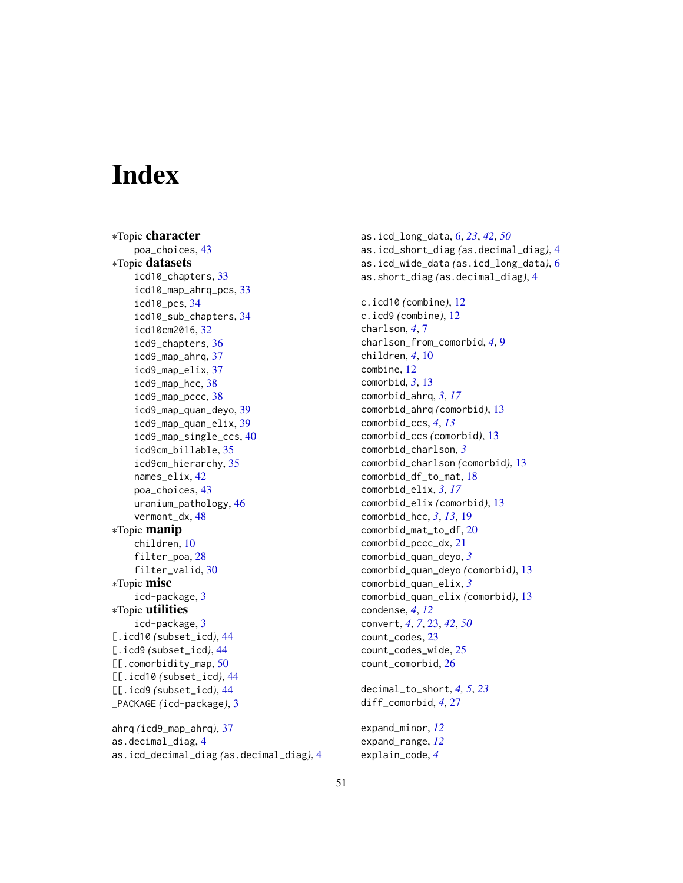# <span id="page-50-0"></span>**Index**

∗Topic character poa\_choices, [43](#page-42-0) ∗Topic datasets icd10\_chapters, [33](#page-32-0) icd10\_map\_ahrq\_pcs, [33](#page-32-0) icd10\_pcs, [34](#page-33-0) icd10\_sub\_chapters, [34](#page-33-0) icd10cm2016, [32](#page-31-0) icd9\_chapters, [36](#page-35-0) icd9\_map\_ahrq, [37](#page-36-0) icd9\_map\_elix, [37](#page-36-0) icd9\_map\_hcc, [38](#page-37-0) icd9\_map\_pccc, [38](#page-37-0) icd9\_map\_quan\_deyo, [39](#page-38-0) icd9\_map\_quan\_elix, [39](#page-38-0) icd9\_map\_single\_ccs, [40](#page-39-0) icd9cm\_billable, [35](#page-34-0) icd9cm\_hierarchy, [35](#page-34-0) names\_elix, [42](#page-41-0) poa\_choices, [43](#page-42-0) uranium\_pathology, [46](#page-45-0) vermont\_dx, [48](#page-47-0) ∗Topic manip children, [10](#page-9-0) filter\_poa, [28](#page-27-0) filter\_valid, [30](#page-29-0) ∗Topic misc icd-package, [3](#page-2-0) ∗Topic utilities icd-package, [3](#page-2-0) [.icd10 *(*subset\_icd*)*, [44](#page-43-0) [.icd9 *(*subset\_icd*)*, [44](#page-43-0) [[.comorbidity\_map, [50](#page-49-0) [[.icd10 *(*subset\_icd*)*, [44](#page-43-0) [[.icd9 *(*subset\_icd*)*, [44](#page-43-0) \_PACKAGE *(*icd-package*)*, [3](#page-2-0) ahrq *(*icd9\_map\_ahrq*)*, [37](#page-36-0)

as.decimal\_diag, [4](#page-3-0) as.icd\_decimal\_diag *(*as.decimal\_diag*)*, [4](#page-3-0) as.icd\_long\_data, [6,](#page-5-0) *[23](#page-22-0)*, *[42](#page-41-0)*, *[50](#page-49-0)* as.icd\_short\_diag *(*as.decimal\_diag*)*, [4](#page-3-0) as.icd\_wide\_data *(*as.icd\_long\_data*)*, [6](#page-5-0) as.short\_diag *(*as.decimal\_diag*)*, [4](#page-3-0) c.icd10 *(*combine*)*, [12](#page-11-0) c.icd9 *(*combine*)*, [12](#page-11-0) charlson, *[4](#page-3-0)*, [7](#page-6-0) charlson\_from\_comorbid, *[4](#page-3-0)*, [9](#page-8-0) children, *[4](#page-3-0)*, [10](#page-9-0) combine, [12](#page-11-0) comorbid, *[3](#page-2-0)*, [13](#page-12-0) comorbid\_ahrq, *[3](#page-2-0)*, *[17](#page-16-0)* comorbid\_ahrq *(*comorbid*)*, [13](#page-12-0) comorbid\_ccs, *[4](#page-3-0)*, *[13](#page-12-0)* comorbid\_ccs *(*comorbid*)*, [13](#page-12-0) comorbid\_charlson, *[3](#page-2-0)* comorbid\_charlson *(*comorbid*)*, [13](#page-12-0) comorbid\_df\_to\_mat, [18](#page-17-0) comorbid\_elix, *[3](#page-2-0)*, *[17](#page-16-0)* comorbid\_elix *(*comorbid*)*, [13](#page-12-0) comorbid\_hcc, *[3](#page-2-0)*, *[13](#page-12-0)*, [19](#page-18-0) comorbid\_mat\_to\_df, [20](#page-19-0) comorbid\_pccc\_dx, [21](#page-20-0) comorbid\_quan\_deyo, *[3](#page-2-0)* comorbid\_quan\_deyo *(*comorbid*)*, [13](#page-12-0) comorbid\_quan\_elix, *[3](#page-2-0)* comorbid\_quan\_elix *(*comorbid*)*, [13](#page-12-0) condense, *[4](#page-3-0)*, *[12](#page-11-0)* convert, *[4](#page-3-0)*, *[7](#page-6-0)*, [23,](#page-22-0) *[42](#page-41-0)*, *[50](#page-49-0)* count\_codes, [23](#page-22-0) count\_codes\_wide, [25](#page-24-0) count\_comorbid, [26](#page-25-0)

decimal\_to\_short, *[4,](#page-3-0) [5](#page-4-0)*, *[23](#page-22-0)* diff\_comorbid, *[4](#page-3-0)*, [27](#page-26-0)

expand\_minor, *[12](#page-11-0)* expand\_range, *[12](#page-11-0)* explain\_code, *[4](#page-3-0)*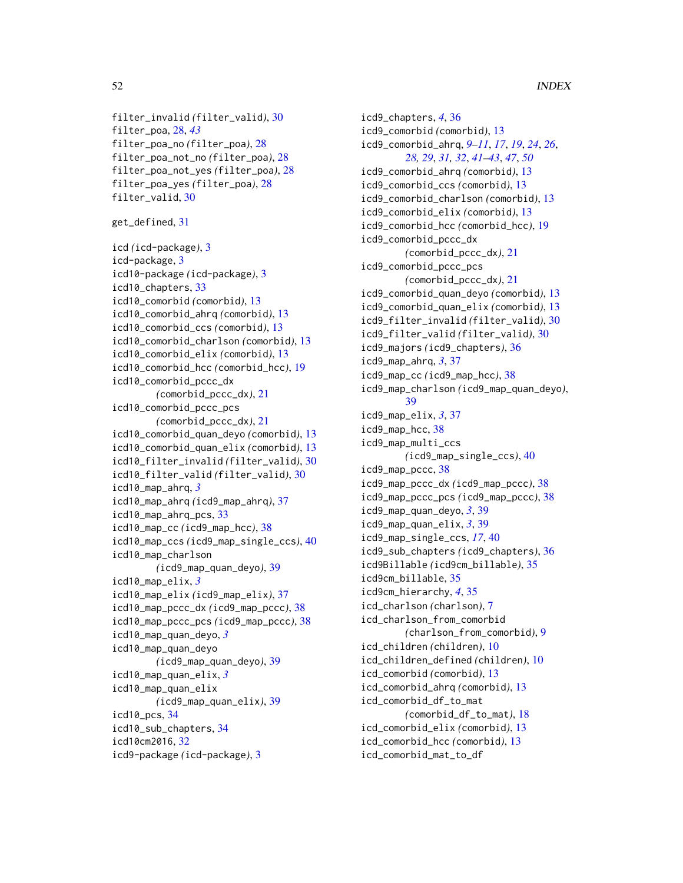```
filter_invalid (filter_valid), 30
filter_poa, 28, 43
filter_poa_no (filter_poa), 28
filter_poa_not_no (filter_poa), 28
filter_poa_not_yes (filter_poa), 28
filter_poa_yes (filter_poa), 28
filter_valid, 30
```

```
get_defined, 31
```

```
icd (icd-package), 3
icd-package, 3
icd10-package (icd-package), 3
icd10_chapters, 33
icd10_comorbid (comorbid), 13
icd10_comorbid_ahrq (comorbid), 13
icd10_comorbid_ccs (comorbid), 13
icd10_comorbid_charlson (comorbid), 13
icd10_comorbid_elix (comorbid), 13
icd10_comorbid_hcc (comorbid_hcc), 19
icd10_comorbid_pccc_dx
        (comorbid_pccc_dx), 21
icd10_comorbid_pccc_pcs
        (comorbid_pccc_dx), 21
icd10_comorbid_quan_deyo (comorbid), 13
icd10_comorbid_quan_elix (comorbid), 13
icd10_filter_invalid (filter_valid), 30
icd10_filter_valid (filter_valid), 30
icd10_map_ahrq, 3
icd10_map_ahrq (icd9_map_ahrq), 37
icd10_map_ahrq_pcs, 33
icd10_map_cc (icd9_map_hcc), 38
icd10_map_ccs (icd9_map_single_ccs), 40
icd10_map_charlson
        (icd9_map_quan_deyo), 39
icd10_map_elix, 3
icd10_map_elix (icd9_map_elix), 37
icd10_map_pccc_dx (icd9_map_pccc), 38
icd10_map_pccc_pcs (icd9_map_pccc), 38
icd10_map_quan_deyo, 3
icd10_map_quan_deyo
        (icd9_map_quan_deyo), 39
icd10_map_quan_elix, 3
icd10_map_quan_elix
        (icd9_map_quan_elix), 39
icd10_pcs, 34
icd10_sub_chapters, 34
icd10cm2016, 32
icd9-package (icd-package), 3
```
icd9\_chapters, *[4](#page-3-0)*, [36](#page-35-0) icd9\_comorbid *(*comorbid*)*, [13](#page-12-0) icd9\_comorbid\_ahrq, *[9](#page-8-0)[–11](#page-10-0)*, *[17](#page-16-0)*, *[19](#page-18-0)*, *[24](#page-23-0)*, *[26](#page-25-0)*, *[28,](#page-27-0) [29](#page-28-0)*, *[31,](#page-30-0) [32](#page-31-0)*, *[41](#page-40-0)[–43](#page-42-0)*, *[47](#page-46-0)*, *[50](#page-49-0)* icd9\_comorbid\_ahrq *(*comorbid*)*, [13](#page-12-0) icd9\_comorbid\_ccs *(*comorbid*)*, [13](#page-12-0) icd9\_comorbid\_charlson *(*comorbid*)*, [13](#page-12-0) icd9\_comorbid\_elix *(*comorbid*)*, [13](#page-12-0) icd9\_comorbid\_hcc *(*comorbid\_hcc*)*, [19](#page-18-0) icd9\_comorbid\_pccc\_dx *(*comorbid\_pccc\_dx*)*, [21](#page-20-0) icd9\_comorbid\_pccc\_pcs *(*comorbid\_pccc\_dx*)*, [21](#page-20-0) icd9\_comorbid\_quan\_deyo *(*comorbid*)*, [13](#page-12-0) icd9\_comorbid\_quan\_elix *(*comorbid*)*, [13](#page-12-0) icd9\_filter\_invalid *(*filter\_valid*)*, [30](#page-29-0) icd9\_filter\_valid *(*filter\_valid*)*, [30](#page-29-0) icd9\_majors *(*icd9\_chapters*)*, [36](#page-35-0) icd9\_map\_ahrq, *[3](#page-2-0)*, [37](#page-36-0) icd9\_map\_cc *(*icd9\_map\_hcc*)*, [38](#page-37-0) icd9\_map\_charlson *(*icd9\_map\_quan\_deyo*)*, [39](#page-38-0) icd9\_map\_elix, *[3](#page-2-0)*, [37](#page-36-0) icd9\_map\_hcc, [38](#page-37-0) icd9\_map\_multi\_ccs *(*icd9\_map\_single\_ccs*)*, [40](#page-39-0) icd9\_map\_pccc, [38](#page-37-0) icd9\_map\_pccc\_dx *(*icd9\_map\_pccc*)*, [38](#page-37-0) icd9\_map\_pccc\_pcs *(*icd9\_map\_pccc*)*, [38](#page-37-0) icd9\_map\_quan\_deyo, *[3](#page-2-0)*, [39](#page-38-0) icd9\_map\_quan\_elix, *[3](#page-2-0)*, [39](#page-38-0) icd9\_map\_single\_ccs, *[17](#page-16-0)*, [40](#page-39-0) icd9\_sub\_chapters *(*icd9\_chapters*)*, [36](#page-35-0) icd9Billable *(*icd9cm\_billable*)*, [35](#page-34-0) icd9cm\_billable, [35](#page-34-0) icd9cm\_hierarchy, *[4](#page-3-0)*, [35](#page-34-0) icd\_charlson *(*charlson*)*, [7](#page-6-0) icd\_charlson\_from\_comorbid *(*charlson\_from\_comorbid*)*, [9](#page-8-0) icd\_children *(*children*)*, [10](#page-9-0) icd\_children\_defined *(*children*)*, [10](#page-9-0) icd\_comorbid *(*comorbid*)*, [13](#page-12-0) icd\_comorbid\_ahrq *(*comorbid*)*, [13](#page-12-0) icd\_comorbid\_df\_to\_mat *(*comorbid\_df\_to\_mat*)*, [18](#page-17-0) icd\_comorbid\_elix *(*comorbid*)*, [13](#page-12-0) icd\_comorbid\_hcc *(*comorbid*)*, [13](#page-12-0) icd\_comorbid\_mat\_to\_df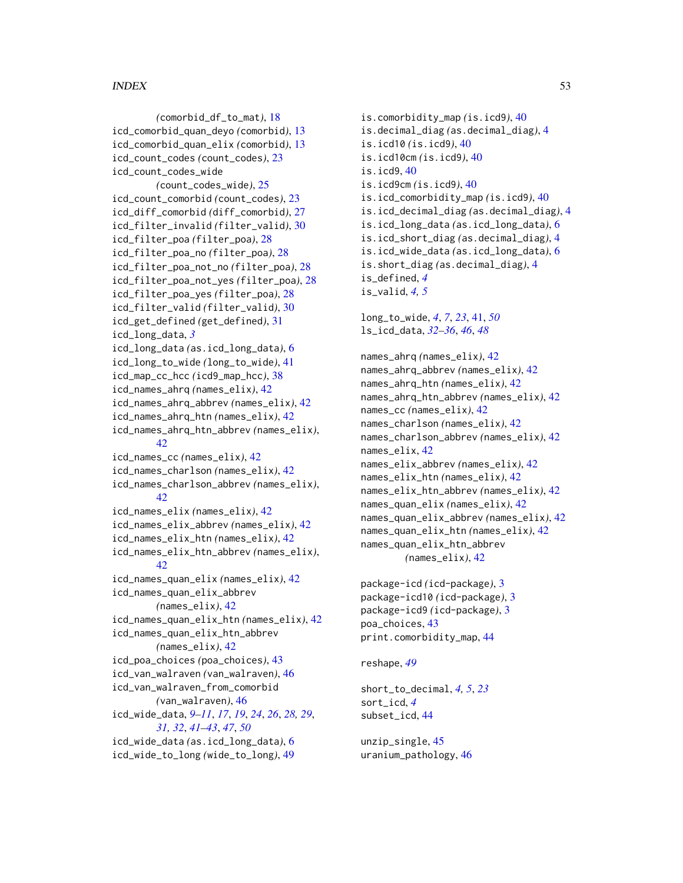#### $I<sub>N</sub>DEX$  53

*(*comorbid\_df\_to\_mat*)*, [18](#page-17-0) icd\_comorbid\_quan\_deyo *(*comorbid*)*, [13](#page-12-0) icd\_comorbid\_quan\_elix *(*comorbid*)*, [13](#page-12-0) icd\_count\_codes *(*count\_codes*)*, [23](#page-22-0) icd\_count\_codes\_wide *(*count\_codes\_wide*)*, [25](#page-24-0) icd\_count\_comorbid *(*count\_codes*)*, [23](#page-22-0) icd\_diff\_comorbid *(*diff\_comorbid*)*, [27](#page-26-0) icd\_filter\_invalid *(*filter\_valid*)*, [30](#page-29-0) icd\_filter\_poa *(*filter\_poa*)*, [28](#page-27-0) icd\_filter\_poa\_no *(*filter\_poa*)*, [28](#page-27-0) icd\_filter\_poa\_not\_no *(*filter\_poa*)*, [28](#page-27-0) icd\_filter\_poa\_not\_yes *(*filter\_poa*)*, [28](#page-27-0) icd\_filter\_poa\_yes *(*filter\_poa*)*, [28](#page-27-0) icd\_filter\_valid *(*filter\_valid*)*, [30](#page-29-0) icd\_get\_defined *(*get\_defined*)*, [31](#page-30-0) icd\_long\_data, *[3](#page-2-0)* icd\_long\_data *(*as.icd\_long\_data*)*, [6](#page-5-0) icd\_long\_to\_wide *(*long\_to\_wide*)*, [41](#page-40-0) icd\_map\_cc\_hcc *(*icd9\_map\_hcc*)*, [38](#page-37-0) icd\_names\_ahrq *(*names\_elix*)*, [42](#page-41-0) icd\_names\_ahrq\_abbrev *(*names\_elix*)*, [42](#page-41-0) icd\_names\_ahrq\_htn *(*names\_elix*)*, [42](#page-41-0) icd\_names\_ahrq\_htn\_abbrev *(*names\_elix*)*, [42](#page-41-0) icd\_names\_cc *(*names\_elix*)*, [42](#page-41-0) icd\_names\_charlson *(*names\_elix*)*, [42](#page-41-0) icd\_names\_charlson\_abbrev *(*names\_elix*)*, [42](#page-41-0) icd\_names\_elix *(*names\_elix*)*, [42](#page-41-0) icd\_names\_elix\_abbrev *(*names\_elix*)*, [42](#page-41-0) icd\_names\_elix\_htn *(*names\_elix*)*, [42](#page-41-0) icd\_names\_elix\_htn\_abbrev *(*names\_elix*)*, [42](#page-41-0) icd\_names\_quan\_elix *(*names\_elix*)*, [42](#page-41-0) icd\_names\_quan\_elix\_abbrev *(*names\_elix*)*, [42](#page-41-0) icd\_names\_quan\_elix\_htn *(*names\_elix*)*, [42](#page-41-0) icd\_names\_quan\_elix\_htn\_abbrev *(*names\_elix*)*, [42](#page-41-0) icd\_poa\_choices *(*poa\_choices*)*, [43](#page-42-0) icd\_van\_walraven *(*van\_walraven*)*, [46](#page-45-0) icd\_van\_walraven\_from\_comorbid *(*van\_walraven*)*, [46](#page-45-0) icd\_wide\_data, *[9](#page-8-0)[–11](#page-10-0)*, *[17](#page-16-0)*, *[19](#page-18-0)*, *[24](#page-23-0)*, *[26](#page-25-0)*, *[28,](#page-27-0) [29](#page-28-0)*, *[31,](#page-30-0) [32](#page-31-0)*, *[41](#page-40-0)[–43](#page-42-0)*, *[47](#page-46-0)*, *[50](#page-49-0)* icd\_wide\_data *(*as.icd\_long\_data*)*, [6](#page-5-0) icd\_wide\_to\_long *(*wide\_to\_long*)*, [49](#page-48-0)

is.comorbidity\_map *(*is.icd9*)*, [40](#page-39-0) is.decimal\_diag *(*as.decimal\_diag*)*, [4](#page-3-0) is.icd10 *(*is.icd9*)*, [40](#page-39-0) is.icd10cm *(*is.icd9*)*, [40](#page-39-0) is.icd9, [40](#page-39-0) is.icd9cm *(*is.icd9*)*, [40](#page-39-0) is.icd\_comorbidity\_map *(*is.icd9*)*, [40](#page-39-0) is.icd\_decimal\_diag *(*as.decimal\_diag*)*, [4](#page-3-0) is.icd\_long\_data *(*as.icd\_long\_data*)*, [6](#page-5-0) is.icd\_short\_diag *(*as.decimal\_diag*)*, [4](#page-3-0) is.icd\_wide\_data *(*as.icd\_long\_data*)*, [6](#page-5-0) is.short\_diag *(*as.decimal\_diag*)*, [4](#page-3-0) is\_defined, *[4](#page-3-0)* is\_valid, *[4,](#page-3-0) [5](#page-4-0)* long\_to\_wide, *[4](#page-3-0)*, *[7](#page-6-0)*, *[23](#page-22-0)*, [41,](#page-40-0) *[50](#page-49-0)* ls\_icd\_data, *[32](#page-31-0)[–36](#page-35-0)*, *[46](#page-45-0)*, *[48](#page-47-0)* names\_ahrq *(*names\_elix*)*, [42](#page-41-0) names\_ahrq\_abbrev *(*names\_elix*)*, [42](#page-41-0) names\_ahrq\_htn *(*names\_elix*)*, [42](#page-41-0) names\_ahrq\_htn\_abbrev *(*names\_elix*)*, [42](#page-41-0) names\_cc *(*names\_elix*)*, [42](#page-41-0) names\_charlson *(*names\_elix*)*, [42](#page-41-0) names\_charlson\_abbrev *(*names\_elix*)*, [42](#page-41-0) names\_elix, [42](#page-41-0) names\_elix\_abbrev *(*names\_elix*)*, [42](#page-41-0) names\_elix\_htn *(*names\_elix*)*, [42](#page-41-0) names\_elix\_htn\_abbrev *(*names\_elix*)*, [42](#page-41-0) names\_quan\_elix *(*names\_elix*)*, [42](#page-41-0) names\_quan\_elix\_abbrev *(*names\_elix*)*, [42](#page-41-0) names\_quan\_elix\_htn *(*names\_elix*)*, [42](#page-41-0) names\_quan\_elix\_htn\_abbrev *(*names\_elix*)*, [42](#page-41-0) package-icd *(*icd-package*)*, [3](#page-2-0) package-icd10 *(*icd-package*)*, [3](#page-2-0)

package-icd9 *(*icd-package*)*, [3](#page-2-0) poa\_choices, [43](#page-42-0) print.comorbidity\_map, [44](#page-43-0)

reshape, *[49](#page-48-0)*

short\_to\_decimal, *[4,](#page-3-0) [5](#page-4-0)*, *[23](#page-22-0)* sort\_icd, *[4](#page-3-0)* subset\_icd, [44](#page-43-0)

unzip\_single, [45](#page-44-0) uranium\_pathology, [46](#page-45-0)